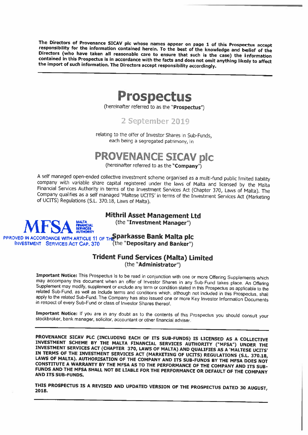The Directors of Provenance SICAV plc whose names appear on page 1 of this Prospectus accept<br>responsibility for the information contained herein. To the best of the knowledge and belief of the<br>Directors (who have taken all



(hereinafter referred to as the "Prospectus")

2 September 2019

relating to the offer of Investor Shares in Sub-Funds, each being <sup>a</sup> segregated patrimony, in

# **PROVENANCE SICAV plc**<br>(hereinafter referred to as the "Company")

A self managed open-ended collective investment scheme organised as a multi-fund public limited liability company with variable share capital registered under the laws of Malta and licensed by the Malta Financial Services

## Mithril Asset Management Ltd

(the "Investment Manager")



PPROVED IN ACCORDANCE WITH ARTICLE 11 OF THE Sparkasse Bank Malta plc<br>INVESTMENT SERVICES ACT CAP. 370 (the "Depositary and Banker") INVESTMENT SERVICES ACT CAP. 370

## Trident Fund Services (Malta) Limited (the "Administrator")

**Important Notice:** This Prospectus is to be read in conjunction with one or more Offering Supplements which may accompany this document when an offer of Investor Shares in any Sub-Fund takes place. An Offering Supplement

Important Notice: If you are in any doubt as to the contents of this Prospectus you should consult your stockbroker, bank manager, solicitor, accountant or other financial adviser.

PROVENANCE SICAV PLC (INCLUDING EACH OF ITS SUB-FUNDS) IS LICENSED AS A COLLECTIVE<br>INVESTMENT SCHEME BY THE MALTA FINANCIAL SERVICES AUTHORITY ("MFSA") UNDER THE<br>INVESTMENT SERVICES ACT (CHAPTER 370, LAWS OF MALTA) AND QUA

THIS PROSPECTUS IS A REVISED AND UPDATED VERSION OF THE PROSPECTUS DATED 30 AUGUST,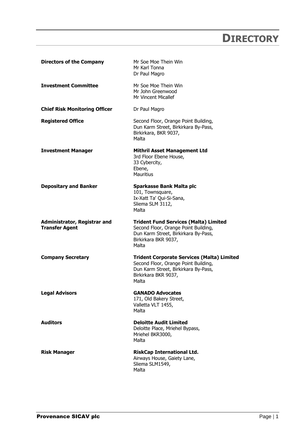## **DIRECTORY**

<span id="page-1-0"></span>

| <b>Directors of the Company</b>                              | Mr Soe Moe Thein Win<br>Mr Karl Tonna<br>Dr Paul Magro                                                                                                             |
|--------------------------------------------------------------|--------------------------------------------------------------------------------------------------------------------------------------------------------------------|
| <b>Investment Committee</b>                                  | Mr Soe Moe Thein Win<br>Mr John Greenwood<br>Mr Vincent Micallef                                                                                                   |
| <b>Chief Risk Monitoring Officer</b>                         | Dr Paul Magro                                                                                                                                                      |
| <b>Registered Office</b>                                     | Second Floor, Orange Point Building,<br>Dun Karm Street, Birkirkara By-Pass,<br>Birkirkara, BKR 9037,<br>Malta                                                     |
| <b>Investment Manager</b>                                    | <b>Mithril Asset Management Ltd</b><br>3rd Floor Ebene House,<br>33 Cybercity,<br>Ebene,<br><b>Mauritius</b>                                                       |
| <b>Depositary and Banker</b>                                 | Sparkasse Bank Malta plc<br>101, Townsquare,<br>Ix-Xatt Ta' Qui-Si-Sana,<br>Sliema SLM 3112,<br>Malta                                                              |
|                                                              |                                                                                                                                                                    |
| <b>Administrator, Registrar and</b><br><b>Transfer Agent</b> | <b>Trident Fund Services (Malta) Limited</b><br>Second Floor, Orange Point Building,<br>Dun Karm Street, Birkirkara By-Pass,<br>Birkirkara BKR 9037,<br>Malta      |
| <b>Company Secretary</b>                                     | <b>Trident Corporate Services (Malta) Limited</b><br>Second Floor, Orange Point Building,<br>Dun Karm Street, Birkirkara By-Pass,<br>Birkirkara BKR 9037,<br>Malta |
| <b>Legal Advisors</b>                                        | <b>GANADO Advocates</b><br>171, Old Bakery Street,<br>Valletta VLT 1455,<br>Malta                                                                                  |
| <b>Auditors</b>                                              | <b>Deloitte Audit Limited</b><br>Deloitte Place, Mriehel Bypass,<br>Mriehel BKR3000,<br>Malta                                                                      |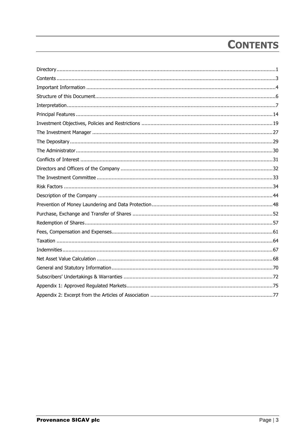## **CONTENTS**

<span id="page-2-0"></span>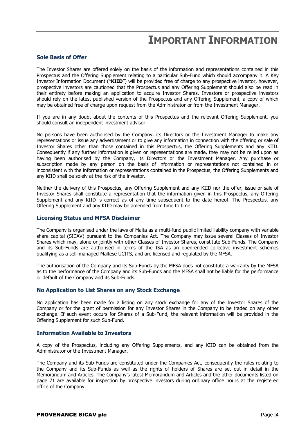## **IMPORTANT INFORMATION**

## <span id="page-3-0"></span>**Sole Basis of Offer**

The Investor Shares are offered solely on the basis of the information and representations contained in this Prospectus and the Offering Supplement relating to a particular Sub-Fund which should accompany it. A Key Investor Information Document ("**KIID**") will be provided free of charge to any prospective investor, however, prospective investors are cautioned that the Prospectus and any Offering Supplement should also be read in their entirety before making an application to acquire Investor Shares. Investors or prospective investors should rely on the latest published version of the Prospectus and any Offering Supplement, a copy of which may be obtained free of charge upon request from the Administrator or from the Investment Manager.

If you are in any doubt about the contents of this Prospectus and the relevant Offering Supplement, you should consult an independent investment advisor.

No persons have been authorised by the Company, its Directors or the Investment Manager to make any representations or issue any advertisement or to give any information in connection with the offering or sale of Investor Shares other than those contained in this Prospectus, the Offering Supplements and any KIID. Consequently if any further information is given or representations are made, they may not be relied upon as having been authorised by the Company, its Directors or the Investment Manager. Any purchase or subscription made by any person on the basis of information or representations not contained in or inconsistent with the information or representations contained in the Prospectus, the Offering Supplements and any KIID shall be solely at the risk of the investor.

Neither the delivery of this Prospectus, any Offering Supplement and any KIID nor the offer, issue or sale of Investor Shares shall constitute a representation that the information given in this Prospectus, any Offering Supplement and any KIID is correct as of any time subsequent to the date hereof. The Prospectus, any Offering Supplement and any KIID may be amended from time to time.

## **Licensing Status and MFSA Disclaimer**

The Company is organised under the laws of Malta as a multi-fund public limited liability company with variable share capital (SICAV) pursuant to the Companies Act. The Company may issue several Classes of Investor Shares which may, alone or jointly with other Classes of Investor Shares, constitute Sub-Funds. The Company and its Sub-Funds are authorised in terms of the ISA as an open-ended collective investment schemes qualifying as a self-managed Maltese UCITS, and are licensed and regulated by the MFSA.

The authorisation of the Company and its Sub-Funds by the MFSA does not constitute a warranty by the MFSA as to the performance of the Company and its Sub-Funds and the MFSA shall not be liable for the performance or default of the Company and its Sub-Funds.

## **No Application to List Shares on any Stock Exchange**

No application has been made for a listing on any stock exchange for any of the Investor Shares of the Company or for the grant of permission for any Investor Shares in the Company to be traded on any other exchange. If such event occurs for Shares of a Sub-Fund, the relevant information will be provided in the Offering Supplement for such Sub-Fund.

## **Information Available to Investors**

A copy of the Prospectus, including any Offering Supplements, and any KIID can be obtained from the Administrator or the Investment Manager.

The Company and its Sub-Funds are constituted under the Companies Act, consequently the rules relating to the Company and its Sub-Funds as well as the rights of holders of Shares are set out in detail in the Memorandum and Articles. The Company's latest Memorandum and Articles and the other documents listed on page 71 are available for inspection by prospective investors during ordinary office hours at the registered office of the Company.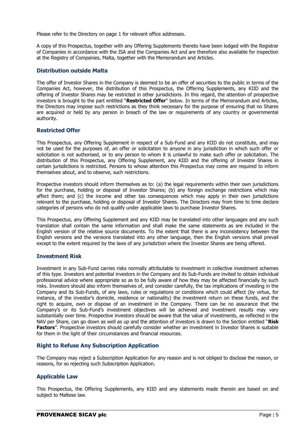Please refer to the Directory on page 1 for relevant office addresses.

A copy of this Prospectus, together with any Offering Supplements thereto have been lodged with the Registrar of Companies in accordance with the ISA and the Companies Act and are therefore also available for inspection at the Registry of Companies, Malta, together with the Memorandum and Articles.

## **Distribution outside Malta**

The offer of Investor Shares in the Company is deemed to be an offer of securities to the public in terms of the Companies Act, however, the distribution of this Prospectus, the Offering Supplements, any KIID and the offering of Investor Shares may be restricted in other jurisdictions. In this regard, the attention of prospective investors is brought to the part entitled "**Restricted Offer**" below. In terms of the Memorandum and Articles, the Directors may impose such restrictions as they think necessary for the purpose of ensuring that no Shares are acquired or held by any person in breach of the law or requirements of any country or governmental authority.

## **Restricted Offer**

This Prospectus, any Offering Supplement in respect of a Sub-Fund and any KIID do not constitute, and may not be used for the purposes of, an offer or solicitation to anyone in any jurisdiction in which such offer or solicitation is not authorised, or to any person to whom it is unlawful to make such offer or solicitation. The distribution of this Prospectus, any Offering Supplement, any KIID and the offering of Investor Shares in certain jurisdictions is restricted. Persons to whose attention this Prospectus may come are required to inform themselves about, and to observe, such restrictions.

Prospective investors should inform themselves as to: (a) the legal requirements within their own jurisdictions for the purchase, holding or disposal of Investor Shares; (b) any foreign exchange restrictions which may affect them; and (c) the income and other tax consequences which may apply in their own jurisdictions relevant to the purchase, holding or disposal of Investor Shares. The Directors may from time to time declare categories of persons who do not qualify under applicable laws to purchase Investor Shares.

This Prospectus, any Offering Supplement and any KIID may be translated into other languages and any such translation shall contain the same information and shall make the same statements as are included in the English version of the relative source documents. To the extent that there is any inconsistency between the English versions and the versions translated into any other language, then the English versions shall prevail except to the extent required by the laws of any jurisdiction where the Investor Shares are being offered.

## **Investment Risk**

Investment in any Sub-Fund carries risks normally attributable to investment in collective investment schemes of this type. Investors and potential investors in the Company and its Sub-Funds are invited to obtain individual professional advice where appropriate so as to be fully aware of how they may be affected financially by such risks. Investors should also inform themselves of, and consider carefully, the tax implications of investing in the Company and its Sub-Funds, of any laws, rules or regulations or conditions which could affect (by virtue, for instance, of the investor's domicile, residence or nationality) the investment return on these funds, and the right to acquire, own or dispose of an investment in the Company. There can be no assurance that the Company's or its Sub-Fund's investment objectives will be achieved and investment results may vary substantially over time. Prospective investors should be aware that the value of investments, as reflected in the NAV per Share, can go down as well as up and the attention of investors is drawn to the Section entitled "**Risk Factors**". Prospective investors should carefully consider whether an investment in Investor Shares is suitable for them in the light of their circumstances and financial resources.

## **Right to Refuse Any Subscription Application**

The Company may reject a Subscription Application for any reason and is not obliged to disclose the reason, or reasons, for so rejecting such Subscription Application.

## **Applicable Law**

This Prospectus, the Offering Supplements, any KIID and any statements made therein are based on and subject to Maltese law.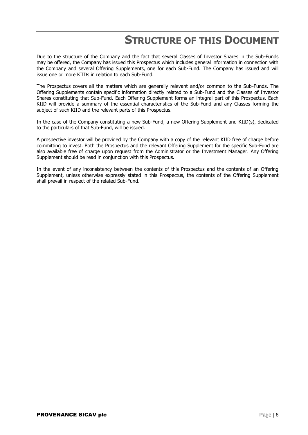## **STRUCTURE OF THIS DOCUMENT**

<span id="page-5-0"></span>Due to the structure of the Company and the fact that several Classes of Investor Shares in the Sub-Funds may be offered, the Company has issued this Prospectus which includes general information in connection with the Company and several Offering Supplements, one for each Sub-Fund. The Company has issued and will issue one or more KIIDs in relation to each Sub-Fund.

The Prospectus covers all the matters which are generally relevant and/or common to the Sub-Funds. The Offering Supplements contain specific information directly related to a Sub-Fund and the Classes of Investor Shares constituting that Sub-Fund. Each Offering Supplement forms an integral part of this Prospectus. Each KIID will provide a summary of the essential characteristics of the Sub-Fund and any Classes forming the subject of such KIID and the relevant parts of this Prospectus.

In the case of the Company constituting a new Sub-Fund, a new Offering Supplement and KIID(s), dedicated to the particulars of that Sub-Fund, will be issued.

A prospective investor will be provided by the Company with a copy of the relevant KIID free of charge before committing to invest. Both the Prospectus and the relevant Offering Supplement for the specific Sub-Fund are also available free of charge upon request from the Administrator or the Investment Manager. Any Offering Supplement should be read in conjunction with this Prospectus.

In the event of any inconsistency between the contents of this Prospectus and the contents of an Offering Supplement, unless otherwise expressly stated in this Prospectus, the contents of the Offering Supplement shall prevail in respect of the related Sub-Fund.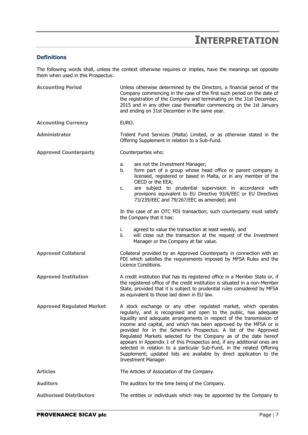## **INTERPRETATION**

## <span id="page-6-0"></span>**Definitions**

The following words shall, unless the context otherwise requires or implies, have the meanings set opposite them when used in this Prospectus:

| <b>Accounting Period</b>         | Unless otherwise determined by the Directors, a financial period of the<br>Company commencing in the case of the first such period on the date of<br>the registration of the Company and terminating on the 31st December,<br>2015 and in any other case thereafter commencing on the 1st January<br>and ending on 31st December in the same year.                                                                                                                                                                                                                                                                                                                            |
|----------------------------------|-------------------------------------------------------------------------------------------------------------------------------------------------------------------------------------------------------------------------------------------------------------------------------------------------------------------------------------------------------------------------------------------------------------------------------------------------------------------------------------------------------------------------------------------------------------------------------------------------------------------------------------------------------------------------------|
| <b>Accounting Currency</b>       | EURO.                                                                                                                                                                                                                                                                                                                                                                                                                                                                                                                                                                                                                                                                         |
| <b>Administrator</b>             | Trident Fund Services (Malta) Limited, or as otherwise stated in the<br>Offering Supplement in relation to a Sub-Fund.                                                                                                                                                                                                                                                                                                                                                                                                                                                                                                                                                        |
| <b>Approved Counterparty</b>     | Counterparties who:                                                                                                                                                                                                                                                                                                                                                                                                                                                                                                                                                                                                                                                           |
|                                  | are not the Investment Manager;<br>a.<br>form part of a group whose head office or parent company is<br>b.<br>licensed, registered or based in Malta, or in any member of the<br>OECD or the EEA;<br>are subject to prudential supervision in accordance with<br>c.<br>provisions equivalent to EU Directive 93/6/EEC or EU Directives<br>73/239/EEC and 79/267/EEC as amended; and                                                                                                                                                                                                                                                                                           |
|                                  | In the case of an OTC FDI transaction, such counterparty must satisfy<br>the Company that it has:                                                                                                                                                                                                                                                                                                                                                                                                                                                                                                                                                                             |
|                                  | i.<br>agreed to value the transaction at least weekly, and<br>will close out the transaction at the request of the Investment<br>ii.<br>Manager or the Company at fair value.                                                                                                                                                                                                                                                                                                                                                                                                                                                                                                 |
| <b>Approved Collateral</b>       | Collateral provided by an Approved Counterparty in connection with an<br>FDI which satisfies the requirements imposed by MFSA Rules and the<br>Licence Conditions.                                                                                                                                                                                                                                                                                                                                                                                                                                                                                                            |
| <b>Approved Institution</b>      | A credit institution that has its registered office in a Member State or, if<br>the registered office of the credit institution is situated in a non-Member<br>State, provided that it is subject to prudential rules considered by MFSA<br>as equivalent to those laid down in EU law.                                                                                                                                                                                                                                                                                                                                                                                       |
| <b>Approved Regulated Market</b> | A stock exchange or any other regulated market, which operates<br>regularly, and is recognised and open to the public, has adequate<br>liquidity and adequate arrangements in respect of the transmission of<br>income and capital, and which has been approved by the MFSA or is<br>provided for in the Scheme's Prospectus. A list of the Approved<br>Regulated Markets selected for the Company as of the date hereof<br>appears in Appendix 1 of this Prospectus and, if any additional ones are<br>selected in relation to a particular Sub-Fund, in the related Offering<br>Supplement; updated lists are available by direct application to the<br>Investment Manager. |
| <b>Articles</b>                  | The Articles of Association of the Company.                                                                                                                                                                                                                                                                                                                                                                                                                                                                                                                                                                                                                                   |
| <b>Auditors</b>                  | The auditors for the time being of the Company.                                                                                                                                                                                                                                                                                                                                                                                                                                                                                                                                                                                                                               |
| <b>Authorised Distributors</b>   | The entities or individuals which may be appointed by the Company to                                                                                                                                                                                                                                                                                                                                                                                                                                                                                                                                                                                                          |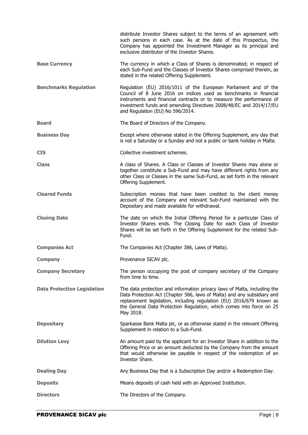|                                    | distribute Investor Shares subject to the terms of an agreement with<br>such persons in each case. As at the date of this Prospectus, the<br>Company has appointed the Investment Manager as its principal and<br>exclusive distributor of the Investor Shares.                                                        |
|------------------------------------|------------------------------------------------------------------------------------------------------------------------------------------------------------------------------------------------------------------------------------------------------------------------------------------------------------------------|
| <b>Base Currency</b>               | The currency in which a Class of Shares is denominated; in respect of<br>each Sub-Fund and the Classes of Investor Shares comprised therein, as<br>stated in the related Offering Supplement.                                                                                                                          |
| <b>Benchmarks Regulation</b>       | Regulation (EU) 2016/1011 of the European Parliament and of the<br>Council of 8 June 2016 on indices used as benchmarks in financial<br>instruments and financial contracts or to measure the performance of<br>investment funds and amending Directives 2008/48/EC and 2014/17/EU<br>and Regulation (EU) No 596/2014. |
| <b>Board</b>                       | The Board of Directors of the Company.                                                                                                                                                                                                                                                                                 |
| <b>Business Day</b>                | Except where otherwise stated in the Offering Supplement, any day that<br>is not a Saturday or a Sunday and not a public or bank holiday in Malta.                                                                                                                                                                     |
| <b>CIS</b>                         | Collective investment schemes.                                                                                                                                                                                                                                                                                         |
| <b>Class</b>                       | A class of Shares. A Class or Classes of Investor Shares may alone or<br>together constitute a Sub-Fund and may have different rights from any<br>other Class or Classes in the same Sub-Fund, as set forth in the relevant<br>Offering Supplement.                                                                    |
| <b>Cleared Funds</b>               | Subscription monies that have been credited to the client money<br>account of the Company and relevant Sub-Fund maintained with the<br>Depositary and made available for withdrawal.                                                                                                                                   |
| <b>Closing Date</b>                | The date on which the Initial Offering Period for a particular Class of<br>Investor Shares ends. The Closing Date for each Class of Investor<br>Shares will be set forth in the Offering Supplement for the related Sub-<br>Fund.                                                                                      |
| <b>Companies Act</b>               | The Companies Act (Chapter 386, Laws of Malta).                                                                                                                                                                                                                                                                        |
| <b>Company</b>                     | Provenance SICAV plc.                                                                                                                                                                                                                                                                                                  |
| <b>Company Secretary</b>           | The person occupying the post of company secretary of the Company<br>from time to time.                                                                                                                                                                                                                                |
| <b>Data Protection Legislation</b> | The data protection and information privacy laws of Malta, including the<br>Data Protection Act (Chapter 586, laws of Malta) and any subsidiary and<br>replacement legislation, including regulation (EU) 2016/679 known as<br>the General Data Protection Regulation, which comes into force on 25<br>May 2018.       |
| <b>Depositary</b>                  |                                                                                                                                                                                                                                                                                                                        |
|                                    | Sparkasse Bank Malta plc, or as otherwise stated in the relevant Offering<br>Supplement in relation to a Sub-Fund.                                                                                                                                                                                                     |
| <b>Dilution Levy</b>               | An amount paid by the applicant for an Investor Share in addition to the<br>Offering Price or an amount deducted by the Company from the amount<br>that would otherwise be payable in respect of the redemption of an<br>Investor Share.                                                                               |
| <b>Dealing Day</b>                 | Any Business Day that is a Subscription Day and/or a Redemption Day.                                                                                                                                                                                                                                                   |
| <b>Deposits</b>                    | Means deposits of cash held with an Approved Institution.                                                                                                                                                                                                                                                              |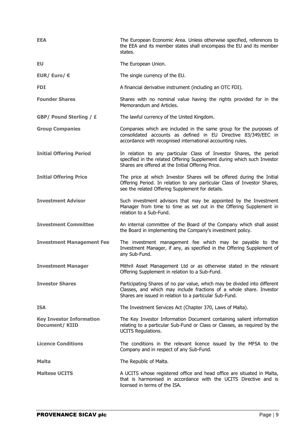| <b>EEA</b>                                              | The European Economic Area. Unless otherwise specified, references to<br>the EEA and its member states shall encompass the EU and its member<br>states.                                                     |
|---------------------------------------------------------|-------------------------------------------------------------------------------------------------------------------------------------------------------------------------------------------------------------|
| <b>EU</b>                                               | The European Union.                                                                                                                                                                                         |
| EUR/Euro/ $\epsilon$                                    | The single currency of the EU.                                                                                                                                                                              |
| <b>FDI</b>                                              | A financial derivative instrument (including an OTC FDI).                                                                                                                                                   |
| <b>Founder Shares</b>                                   | Shares with no nominal value having the rights provided for in the<br>Memorandum and Articles.                                                                                                              |
| <b>GBP/ Pound Sterling / £</b>                          | The lawful currency of the United Kingdom.                                                                                                                                                                  |
| <b>Group Companies</b>                                  | Companies which are included in the same group for the purposes of<br>consolidated accounts as defined in EU Directive 83/349/EEC in<br>accordance with recognised international accounting rules.          |
| <b>Initial Offering Period</b>                          | In relation to any particular Class of Investor Shares, the period<br>specified in the related Offering Supplement during which such Investor<br>Shares are offered at the Initial Offering Price.          |
| <b>Initial Offering Price</b>                           | The price at which Investor Shares will be offered during the Initial<br>Offering Period. In relation to any particular Class of Investor Shares,<br>see the related Offering Supplement for details.       |
| <b>Investment Advisor</b>                               | Such investment advisors that may be appointed by the Investment<br>Manager from time to time as set out in the Offering Supplement in<br>relation to a Sub-Fund.                                           |
| <b>Investment Committee</b>                             | An internal committee of the Board of the Company which shall assist<br>the Board in implementing the Company's investment policy.                                                                          |
| <b>Investment Management Fee</b>                        | The investment management fee which may be payable to the<br>Investment Manager, if any, as specified in the Offering Supplement of<br>any Sub-Fund.                                                        |
| <b>Investment Manager</b>                               | Mithril Asset Management Ltd or as otherwise stated in the relevant<br>Offering Supplement in relation to a Sub-Fund.                                                                                       |
| <b>Investor Shares</b>                                  | Participating Shares of no par value, which may be divided into different<br>Classes, and which may include fractions of a whole share. Investor<br>Shares are issued in relation to a particular Sub-Fund. |
| <b>ISA</b>                                              | The Investment Services Act (Chapter 370, Laws of Malta).                                                                                                                                                   |
| <b>Key Investor Information</b><br><b>Document/KIID</b> | The Key Investor Information Document containing salient information<br>relating to a particular Sub-Fund or Class or Classes, as required by the<br><b>UCITS Regulations.</b>                              |
| <b>Licence Conditions</b>                               | The conditions in the relevant licence issued by the MFSA to the<br>Company and in respect of any Sub-Fund.                                                                                                 |
| <b>Malta</b>                                            | The Republic of Malta.                                                                                                                                                                                      |
| <b>Maltese UCITS</b>                                    | A UCITS whose registered office and head office are situated in Malta,<br>that is harmonised in accordance with the UCITS Directive and is<br>licensed in terms of the ISA.                                 |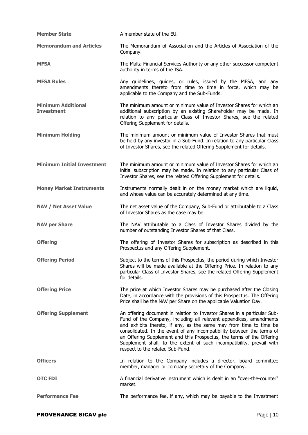| <b>Member State</b>                            | A member state of the EU.                                                                                                                                                                                                                                                                                                                                                                                                                                                            |
|------------------------------------------------|--------------------------------------------------------------------------------------------------------------------------------------------------------------------------------------------------------------------------------------------------------------------------------------------------------------------------------------------------------------------------------------------------------------------------------------------------------------------------------------|
| <b>Memorandum and Articles</b>                 | The Memorandum of Association and the Articles of Association of the<br>Company.                                                                                                                                                                                                                                                                                                                                                                                                     |
| <b>MFSA</b>                                    | The Malta Financial Services Authority or any other successor competent<br>authority in terms of the ISA.                                                                                                                                                                                                                                                                                                                                                                            |
| <b>MFSA Rules</b>                              | Any guidelines, guides, or rules, issued by the MFSA, and any<br>amendments thereto from time to time in force, which may be<br>applicable to the Company and the Sub-Funds.                                                                                                                                                                                                                                                                                                         |
| <b>Minimum Additional</b><br><b>Investment</b> | The minimum amount or minimum value of Investor Shares for which an<br>additional subscription by an existing Shareholder may be made. In<br>relation to any particular Class of Investor Shares, see the related<br>Offering Supplement for details.                                                                                                                                                                                                                                |
| <b>Minimum Holding</b>                         | The minimum amount or minimum value of Investor Shares that must<br>be held by any investor in a Sub-Fund. In relation to any particular Class<br>of Investor Shares, see the related Offering Supplement for details.                                                                                                                                                                                                                                                               |
| <b>Minimum Initial Investment</b>              | The minimum amount or minimum value of Investor Shares for which an<br>initial subscription may be made. In relation to any particular Class of<br>Investor Shares, see the related Offering Supplement for details.                                                                                                                                                                                                                                                                 |
| <b>Money Market Instruments</b>                | Instruments normally dealt in on the money market which are liquid,<br>and whose value can be accurately determined at any time.                                                                                                                                                                                                                                                                                                                                                     |
| <b>NAV / Net Asset Value</b>                   | The net asset value of the Company, Sub-Fund or attributable to a Class<br>of Investor Shares as the case may be.                                                                                                                                                                                                                                                                                                                                                                    |
|                                                |                                                                                                                                                                                                                                                                                                                                                                                                                                                                                      |
| <b>NAV per Share</b>                           | The NAV attributable to a Class of Investor Shares divided by the<br>number of outstanding Investor Shares of that Class.                                                                                                                                                                                                                                                                                                                                                            |
| <b>Offering</b>                                | The offering of Investor Shares for subscription as described in this<br>Prospectus and any Offering Supplement.                                                                                                                                                                                                                                                                                                                                                                     |
| <b>Offering Period</b>                         | Subject to the terms of this Prospectus, the period during which Investor<br>Shares will be made available at the Offering Price. In relation to any<br>particular Class of Investor Shares, see the related Offering Supplement<br>for details.                                                                                                                                                                                                                                     |
| <b>Offering Price</b>                          | The price at which Investor Shares may be purchased after the Closing<br>Date, in accordance with the provisions of this Prospectus. The Offering<br>Price shall be the NAV per Share on the applicable Valuation Day.                                                                                                                                                                                                                                                               |
| <b>Offering Supplement</b>                     | An offering document in relation to Investor Shares in a particular Sub-<br>Fund of the Company, including all relevant appendices, amendments<br>and exhibits thereto, if any, as the same may from time to time be<br>consolidated. In the event of any incompatibility between the terms of<br>an Offering Supplement and this Prospectus, the terms of the Offering<br>Supplement shall, to the extent of such incompatibility, prevail with<br>respect to the related Sub-Fund. |
| <b>Officers</b>                                | In relation to the Company includes a director, board committee<br>member, manager or company secretary of the Company.                                                                                                                                                                                                                                                                                                                                                              |
| <b>OTC FDI</b>                                 | A financial derivative instrument which is dealt in an "over-the-counter"<br>market.                                                                                                                                                                                                                                                                                                                                                                                                 |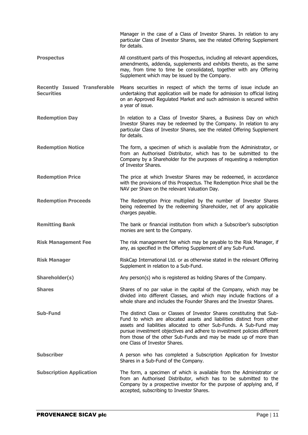|                                                          | Manager in the case of a Class of Investor Shares. In relation to any<br>particular Class of Investor Shares, see the related Offering Supplement<br>for details.                                                                                                                                                                                                                                          |
|----------------------------------------------------------|------------------------------------------------------------------------------------------------------------------------------------------------------------------------------------------------------------------------------------------------------------------------------------------------------------------------------------------------------------------------------------------------------------|
| <b>Prospectus</b>                                        | All constituent parts of this Prospectus, including all relevant appendices,<br>amendments, addenda, supplements and exhibits thereto, as the same<br>may, from time to time be consolidated, together with any Offering<br>Supplement which may be issued by the Company.                                                                                                                                 |
| <b>Recently Issued Transferable</b><br><b>Securities</b> | Means securities in respect of which the terms of issue include an<br>undertaking that application will be made for admission to official listing<br>on an Approved Regulated Market and such admission is secured within<br>a year of issue.                                                                                                                                                              |
| <b>Redemption Day</b>                                    | In relation to a Class of Investor Shares, a Business Day on which<br>Investor Shares may be redeemed by the Company. In relation to any<br>particular Class of Investor Shares, see the related Offering Supplement<br>for details.                                                                                                                                                                       |
| <b>Redemption Notice</b>                                 | The form, a specimen of which is available from the Administrator, or<br>from an Authorised Distributor, which has to be submitted to the<br>Company by a Shareholder for the purposes of requesting a redemption<br>of Investor Shares.                                                                                                                                                                   |
| <b>Redemption Price</b>                                  | The price at which Investor Shares may be redeemed, in accordance<br>with the provisions of this Prospectus. The Redemption Price shall be the<br>NAV per Share on the relevant Valuation Day.                                                                                                                                                                                                             |
| <b>Redemption Proceeds</b>                               | The Redemption Price multiplied by the number of Investor Shares<br>being redeemed by the redeeming Shareholder, net of any applicable<br>charges payable.                                                                                                                                                                                                                                                 |
| <b>Remitting Bank</b>                                    | The bank or financial institution from which a Subscriber's subscription<br>monies are sent to the Company.                                                                                                                                                                                                                                                                                                |
| <b>Risk Management Fee</b>                               | The risk management fee which may be payable to the Risk Manager, if<br>any, as specified in the Offering Supplement of any Sub-Fund.                                                                                                                                                                                                                                                                      |
| <b>Risk Manager</b>                                      | RiskCap International Ltd. or as otherwise stated in the relevant Offering<br>Supplement in relation to a Sub-Fund.                                                                                                                                                                                                                                                                                        |
| Shareholder(s)                                           | Any person(s) who is registered as holding Shares of the Company.                                                                                                                                                                                                                                                                                                                                          |
| <b>Shares</b>                                            | Shares of no par value in the capital of the Company, which may be<br>divided into different Classes, and which may include fractions of a<br>whole share and includes the Founder Shares and the Investor Shares.                                                                                                                                                                                         |
| <b>Sub-Fund</b>                                          | The distinct Class or Classes of Investor Shares constituting that Sub-<br>Fund to which are allocated assets and liabilities distinct from other<br>assets and liabilities allocated to other Sub-Funds. A Sub-Fund may<br>pursue investment objectives and adhere to investment policies different<br>from those of the other Sub-Funds and may be made up of more than<br>one Class of Investor Shares. |
| <b>Subscriber</b>                                        | A person who has completed a Subscription Application for Investor<br>Shares in a Sub-Fund of the Company.                                                                                                                                                                                                                                                                                                 |
| <b>Subscription Application</b>                          | The form, a specimen of which is available from the Administrator or<br>from an Authorised Distributor, which has to be submitted to the<br>Company by a prospective investor for the purpose of applying and, if<br>accepted, subscribing to Investor Shares.                                                                                                                                             |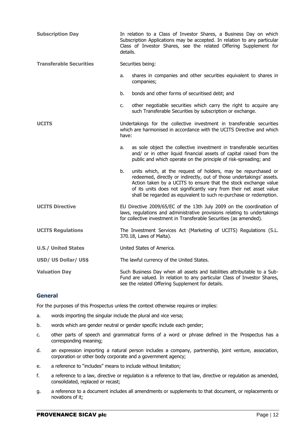| <b>Subscription Day</b>        | In relation to a Class of Investor Shares, a Business Day on which<br>Subscription Applications may be accepted. In relation to any particular<br>Class of Investor Shares, see the related Offering Supplement for<br>details.                                                                                                                             |
|--------------------------------|-------------------------------------------------------------------------------------------------------------------------------------------------------------------------------------------------------------------------------------------------------------------------------------------------------------------------------------------------------------|
| <b>Transferable Securities</b> | Securities being:                                                                                                                                                                                                                                                                                                                                           |
|                                | shares in companies and other securities equivalent to shares in<br>a.<br>companies;                                                                                                                                                                                                                                                                        |
|                                | b.<br>bonds and other forms of securitised debt; and                                                                                                                                                                                                                                                                                                        |
|                                | other negotiable securities which carry the right to acquire any<br>c.<br>such Transferable Securities by subscription or exchange.                                                                                                                                                                                                                         |
| <b>UCITS</b>                   | Undertakings for the collective investment in transferable securities<br>which are harmonised in accordance with the UCITS Directive and which<br>have:                                                                                                                                                                                                     |
|                                | as sole object the collective investment in transferable securities<br>a.<br>and/ or in other liquid financial assets of capital raised from the<br>public and which operate on the principle of risk-spreading; and                                                                                                                                        |
|                                | units which, at the request of holders, may be repurchased or<br>b.<br>redeemed, directly or indirectly, out of those undertakings' assets.<br>Action taken by a UCITS to ensure that the stock exchange value<br>of its units does not significantly vary from their net asset value<br>shall be regarded as equivalent to such re-purchase or redemption. |
| <b>UCITS Directive</b>         | EU Directive 2009/65/EC of the 13th July 2009 on the coordination of<br>laws, regulations and administrative provisions relating to undertakings<br>for collective investment in Transferable Securities (as amended).                                                                                                                                      |
| <b>UCITS Regulations</b>       | The Investment Services Act (Marketing of UCITS) Regulations (S.L.<br>370.18, Laws of Malta).                                                                                                                                                                                                                                                               |
| <b>U.S./ United States</b>     | United States of America.                                                                                                                                                                                                                                                                                                                                   |
| USD/ US Dollar/ US\$           | The lawful currency of the United States.                                                                                                                                                                                                                                                                                                                   |
| <b>Valuation Day</b>           | Such Business Day when all assets and liabilities attributable to a Sub-<br>Fund are valued. In relation to any particular Class of Investor Shares,<br>see the related Offering Supplement for details.                                                                                                                                                    |

## **General**

For the purposes of this Prospectus unless the context otherwise requires or implies:

- a. words importing the singular include the plural and vice versa;
- b. words which are gender neutral or gender specific include each gender;
- c. other parts of speech and grammatical forms of a word or phrase defined in the Prospectus has a corresponding meaning;
- d. an expression importing a natural person includes a company, partnership, joint venture, association, corporation or other body corporate and a government agency;
- e. a reference to "includes" means to include without limitation;
- f. a reference to a law, directive or regulation is a reference to that law, directive or regulation as amended, consolidated, replaced or recast;
- g. a reference to a document includes all amendments or supplements to that document, or replacements or novations of it;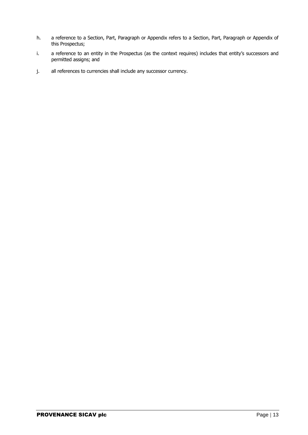- h. a reference to a Section, Part, Paragraph or Appendix refers to a Section, Part, Paragraph or Appendix of this Prospectus;
- i. a reference to an entity in the Prospectus (as the context requires) includes that entity's successors and permitted assigns; and
- j. all references to currencies shall include any successor currency.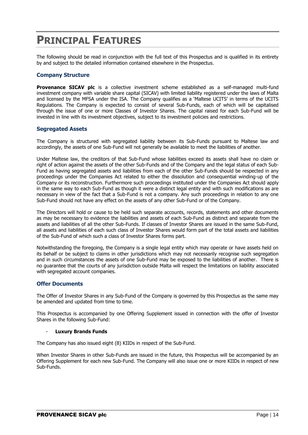## <span id="page-13-0"></span>**PRINCIPAL FEATURES**

The following should be read in conjunction with the full text of this Prospectus and is qualified in its entirety by and subject to the detailed information contained elsewhere in the Prospectus.

## **Company Structure**

**Provenance SICAV plc** is a collective investment scheme established as a self-managed multi-fund investment company with variable share capital (SICAV) with limited liability registered under the laws of Malta and licensed by the MFSA under the ISA. The Company qualifies as a 'Maltese UCITS' in terms of the UCITS Regulations. The Company is expected to consist of several Sub-Funds, each of which will be capitalised through the issue of one or more Classes of Investor Shares. The capital raised for each Sub-Fund will be invested in line with its investment objectives, subject to its investment policies and restrictions.

## **Segregated Assets**

The Company is structured with segregated liability between its Sub-Funds pursuant to Maltese law and accordingly, the assets of one Sub-Fund will not generally be available to meet the liabilities of another.

Under Maltese law, the creditors of that Sub-Fund whose liabilities exceed its assets shall have no claim or right of action against the assets of the other Sub-Funds and of the Company and the legal status of each Sub-Fund as having segregated assets and liabilities from each of the other Sub-Funds should be respected in any proceedings under the Companies Act related to either the dissolution and consequential winding-up of the Company or its reconstruction. Furthermore such proceedings instituted under the Companies Act should apply in the same way to each Sub-Fund as though it were a distinct legal entity and with such modifications as are necessary in view of the fact that a Sub-Fund is not a company. Any such proceedings in relation to any one Sub-Fund should not have any effect on the assets of any other Sub-Fund or of the Company.

The Directors will hold or cause to be held such separate accounts, records, statements and other documents as may be necessary to evidence the liabilities and assets of each Sub-Fund as distinct and separate from the assets and liabilities of all the other Sub-Funds. If classes of Investor Shares are issued in the same Sub-Fund, all assets and liabilities of each such class of Investor Shares would form part of the total assets and liabilities of the Sub-Fund of which such a class of Investor Shares forms part.

Notwithstanding the foregoing, the Company is a single legal entity which may operate or have assets held on its behalf or be subject to claims in other jurisdictions which may not necessarily recognise such segregation and in such circumstances the assets of one Sub-Fund may be exposed to the liabilities of another. There is no guarantee that the courts of any jurisdiction outside Malta will respect the limitations on liability associated with segregated account companies.

## **Offer Documents**

The Offer of Investor Shares in any Sub-Fund of the Company is governed by this Prospectus as the same may be amended and updated from time to time.

This Prospectus is accompanied by one Offering Supplement issued in connection with the offer of Investor Shares in the following Sub-Fund:

#### - **Luxury Brands Funds**

The Company has also issued eight (8) KIIDs in respect of the Sub-Fund.

When Investor Shares in other Sub-Funds are issued in the future, this Prospectus will be accompanied by an Offering Supplement for each new Sub-Fund. The Company will also issue one or more KIIDs in respect of new Sub-Funds.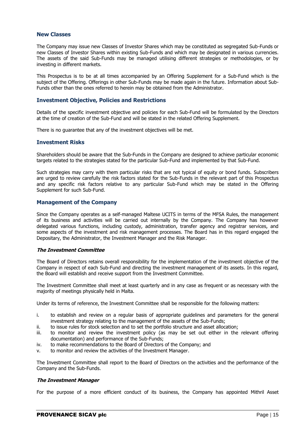#### **New Classes**

The Company may issue new Classes of Investor Shares which may be constituted as segregated Sub-Funds or new Classes of Investor Shares within existing Sub-Funds and which may be designated in various currencies. The assets of the said Sub-Funds may be managed utilising different strategies or methodologies, or by investing in different markets.

This Prospectus is to be at all times accompanied by an Offering Supplement for a Sub-Fund which is the subject of the Offering. Offerings in other Sub-Funds may be made again in the future. Information about Sub-Funds other than the ones referred to herein may be obtained from the Administrator.

### **Investment Objective, Policies and Restrictions**

Details of the specific investment objective and policies for each Sub-Fund will be formulated by the Directors at the time of creation of the Sub-Fund and will be stated in the related Offering Supplement.

There is no guarantee that any of the investment objectives will be met.

#### **Investment Risks**

Shareholders should be aware that the Sub-Funds in the Company are designed to achieve particular economic targets related to the strategies stated for the particular Sub-Fund and implemented by that Sub-Fund.

Such strategies may carry with them particular risks that are not typical of equity or bond funds. Subscribers are urged to review carefully the risk factors stated for the Sub-Funds in the relevant part of this Prospectus and any specific risk factors relative to any particular Sub-Fund which may be stated in the Offering Supplement for such Sub-Fund.

## **Management of the Company**

Since the Company operates as a self-managed Maltese UCITS in terms of the MFSA Rules, the management of its business and activities will be carried out internally by the Company. The Company has however delegated various functions, including custody, administration, transfer agency and registrar services, and some aspects of the investment and risk management processes. The Board has in this regard engaged the Depositary, the Administrator, the Investment Manager and the Risk Manager.

#### **The Investment Committee**

The Board of Directors retains overall responsibility for the implementation of the investment objective of the Company in respect of each Sub-Fund and directing the investment management of its assets. In this regard, the Board will establish and receive support from the Investment Committee.

The Investment Committee shall meet at least quarterly and in any case as frequent or as necessary with the majority of meetings physically held in Malta.

Under its terms of reference, the Investment Committee shall be responsible for the following matters:

- i. to establish and review on a regular basis of appropriate guidelines and parameters for the general investment strategy relating to the management of the assets of the Sub-Funds;
- ii. to issue rules for stock selection and to set the portfolio structure and asset allocation;
- iii. to monitor and review the investment policy (as may be set out either in the relevant offering documentation) and performance of the Sub-Funds;
- iv. to make recommendations to the Board of Directors of the Company; and
- v. to monitor and review the activities of the Investment Manager.

The Investment Committee shall report to the Board of Directors on the activities and the performance of the Company and the Sub-Funds.

#### **The Investment Manager**

For the purpose of a more efficient conduct of its business, the Company has appointed Mithril Asset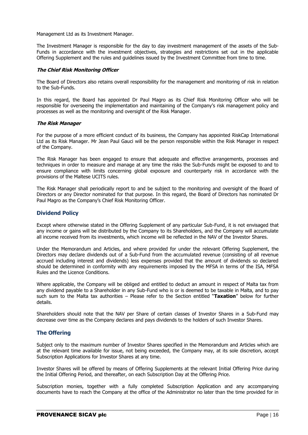Management Ltd as its Investment Manager.

The Investment Manager is responsible for the day to day investment management of the assets of the Sub-Funds in accordance with the investment objectives, strategies and restrictions set out in the applicable Offering Supplement and the rules and guidelines issued by the Investment Committee from time to time.

#### **The Chief Risk Monitoring Officer**

The Board of Directors also retains overall responsibility for the management and monitoring of risk in relation to the Sub-Funds.

In this regard, the Board has appointed Dr Paul Magro as its Chief Risk Monitoring Officer who will be responsible for overseeing the implementation and maintaining of the Company's risk management policy and processes as well as the monitoring and oversight of the Risk Manager.

#### **The Risk Manager**

For the purpose of a more efficient conduct of its business, the Company has appointed RiskCap International Ltd as its Risk Manager. Mr Jean Paul Gauci will be the person responsible within the Risk Manager in respect of the Company.

The Risk Manager has been engaged to ensure that adequate and effective arrangements, processes and techniques in order to measure and manage at any time the risks the Sub-Funds might be exposed to and to ensure compliance with limits concerning global exposure and counterparty risk in accordance with the provisions of the Maltese UCITS rules.

The Risk Manager shall periodically report to and be subject to the monitoring and oversight of the Board of Directors or any Director nominated for that purpose. In this regard, the Board of Directors has nominated Dr Paul Magro as the Company's Chief Risk Monitoring Officer.

## **Dividend Policy**

Except where otherwise stated in the Offering Supplement of any particular Sub-Fund, it is not envisaged that any income or gains will be distributed by the Company to its Shareholders, and the Company will accumulate all income received from its investments, which income will be reflected in the NAV of the Investor Shares.

Under the Memorandum and Articles, and where provided for under the relevant Offering Supplement, the Directors may declare dividends out of a Sub-Fund from the accumulated revenue (consisting of all revenue accrued including interest and dividends) less expenses provided that the amount of dividends so declared should be determined in conformity with any requirements imposed by the MFSA in terms of the ISA, MFSA Rules and the Licence Conditions.

Where applicable, the Company will be obliged and entitled to deduct an amount in respect of Malta tax from any dividend payable to a Shareholder in any Sub-Fund who is or is deemed to be taxable in Malta, and to pay such sum to the Malta tax authorities – Please refer to the Section entitled "**Taxation**" below for further details.

Shareholders should note that the NAV per Share of certain classes of Investor Shares in a Sub-Fund may decrease over time as the Company declares and pays dividends to the holders of such Investor Shares.

## **The Offering**

Subject only to the maximum number of Investor Shares specified in the Memorandum and Articles which are at the relevant time available for issue, not being exceeded, the Company may, at its sole discretion, accept Subscription Applications for Investor Shares at any time.

Investor Shares will be offered by means of Offering Supplements at the relevant Initial Offering Price during the Initial Offering Period, and thereafter, on each Subscription Day at the Offering Price.

Subscription monies, together with a fully completed Subscription Application and any accompanying documents have to reach the Company at the office of the Administrator no later than the time provided for in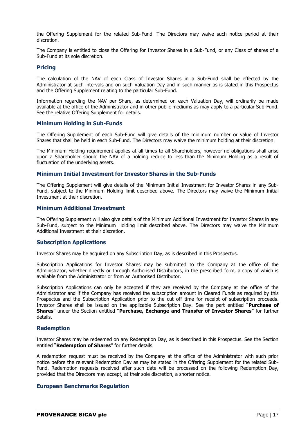the Offering Supplement for the related Sub-Fund. The Directors may waive such notice period at their discretion.

The Company is entitled to close the Offering for Investor Shares in a Sub-Fund, or any Class of shares of a Sub-Fund at its sole discretion.

### **Pricing**

The calculation of the NAV of each Class of Investor Shares in a Sub-Fund shall be effected by the Administrator at such intervals and on such Valuation Day and in such manner as is stated in this Prospectus and the Offering Supplement relating to the particular Sub-Fund.

Information regarding the NAV per Share, as determined on each Valuation Day, will ordinarily be made available at the office of the Administrator and in other public mediums as may apply to a particular Sub-Fund. See the relative Offering Supplement for details.

#### **Minimum Holding in Sub-Funds**

The Offering Supplement of each Sub-Fund will give details of the minimum number or value of Investor Shares that shall be held in each Sub-Fund. The Directors may waive the minimum holding at their discretion.

The Minimum Holding requirement applies at all times to all Shareholders, however no obligations shall arise upon a Shareholder should the NAV of a holding reduce to less than the Minimum Holding as a result of fluctuation of the underlying assets.

#### **Minimum Initial Investment for Investor Shares in the Sub-Funds**

The Offering Supplement will give details of the Minimum Initial Investment for Investor Shares in any Sub-Fund, subject to the Minimum Holding limit described above. The Directors may waive the Minimum Initial Investment at their discretion.

#### **Minimum Additional Investment**

The Offering Supplement will also give details of the Minimum Additional Investment for Investor Shares in any Sub-Fund, subject to the Minimum Holding limit described above. The Directors may waive the Minimum Additional Investment at their discretion.

#### **Subscription Applications**

Investor Shares may be acquired on any Subscription Day, as is described in this Prospectus.

Subscription Applications for Investor Shares may be submitted to the Company at the office of the Administrator, whether directly or through Authorised Distributors, in the prescribed form, a copy of which is available from the Administrator or from an Authorised Distributor.

Subscription Applications can only be accepted if they are received by the Company at the office of the Administrator and if the Company has received the subscription amount in Cleared Funds as required by this Prospectus and the Subscription Application prior to the cut off time for receipt of subscription proceeds. Investor Shares shall be issued on the applicable Subscription Day. See the part entitled "**Purchase of Shares**" under the Section entitled "**Purchase, Exchange and Transfer of Investor Shares**" for further details.

#### **Redemption**

Investor Shares may be redeemed on any Redemption Day, as is described in this Prospectus. See the Section entitled "**Redemption of Shares**" for further details.

A redemption request must be received by the Company at the office of the Administrator with such prior notice before the relevant Redemption Day as may be stated in the Offering Supplement for the related Sub-Fund. Redemption requests received after such date will be processed on the following Redemption Day, provided that the Directors may accept, at their sole discretion, a shorter notice.

## **European Benchmarks Regulation**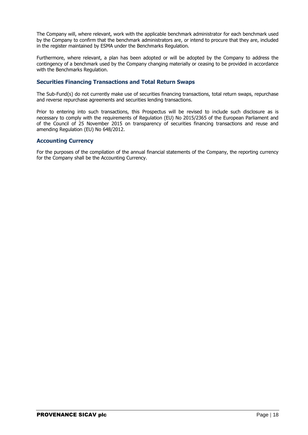The Company will, where relevant, work with the applicable benchmark administrator for each benchmark used by the Company to confirm that the benchmark administrators are, or intend to procure that they are, included in the register maintained by ESMA under the Benchmarks Regulation.

Furthermore, where relevant, a plan has been adopted or will be adopted by the Company to address the contingency of a benchmark used by the Company changing materially or ceasing to be provided in accordance with the Benchmarks Regulation.

## **Securities Financing Transactions and Total Return Swaps**

The Sub-Fund(s) do not currently make use of securities financing transactions, total return swaps, repurchase and reverse repurchase agreements and securities lending transactions.

Prior to entering into such transactions, this Prospectus will be revised to include such disclosure as is necessary to comply with the requirements of Regulation (EU) No 2015/2365 of the European Parliament and of the Council of 25 November 2015 on transparency of securities financing transactions and reuse and amending Regulation (EU) No 648/2012.

## **Accounting Currency**

For the purposes of the compilation of the annual financial statements of the Company, the reporting currency for the Company shall be the Accounting Currency.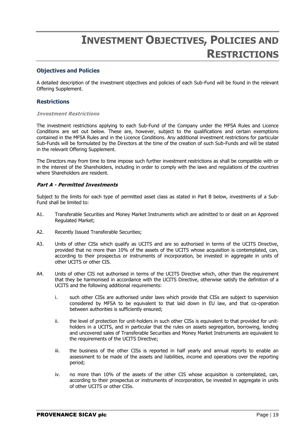## **INVESTMENT OBJECTIVES, POLICIES AND RESTRICTIONS**

## <span id="page-18-0"></span>**Objectives and Policies**

A detailed description of the investment objectives and policies of each Sub-Fund will be found in the relevant Offering Supplement.

## **Restrictions**

#### **Investment Restrictions**

The investment restrictions applying to each Sub-Fund of the Company under the MFSA Rules and Licence Conditions are set out below. These are, however, subject to the qualifications and certain exemptions contained in the MFSA Rules and in the Licence Conditions. Any additional investment restrictions for particular Sub-Funds will be formulated by the Directors at the time of the creation of such Sub-Funds and will be stated in the relevant Offering Supplement.

The Directors may from time to time impose such further investment restrictions as shall be compatible with or in the interest of the Shareholders, including in order to comply with the laws and regulations of the countries where Shareholders are resident.

## **Part A - Permitted Investments**

Subject to the limits for each type of permitted asset class as stated in Part B below, investments of a Sub-Fund shall be limited to:

- A1. Transferable Securities and Money Market Instruments which are admitted to or dealt on an Approved Regulated Market;
- A2. Recently Issued Transferable Securities;
- A3. Units of other CISs which qualify as UCITS and are so authorised in terms of the UCITS Directive, provided that no more than 10% of the assets of the UCITS whose acquisition is contemplated, can, according to their prospectus or instruments of incorporation, be invested in aggregate in units of other UCITS or other CIS.
- A4. Units of other CIS not authorised in terms of the UCITS Directive which, other than the requirement that they be harmonised in accordance with the UCITS Directive, otherwise satisfy the definition of a UCITS and the following additional requirements:
	- i. such other CISs are authorised under laws which provide that CISs are subject to supervision considered by MFSA to be equivalent to that laid down in EU law, and that co-operation between authorities is sufficiently ensured;
	- ii. the level of protection for unit-holders in such other CISs is equivalent to that provided for unitholders in a UCITS, and in particular that the rules on assets segregation, borrowing, lending and uncovered sales of Transferable Securities and Money Market Instruments are equivalent to the requirements of the UCITS Directive;
	- iii. the business of the other CISs is reported in half yearly and annual reports to enable an assessment to be made of the assets and liabilities, income and operations over the reporting period;
	- iv. no more than 10% of the assets of the other CIS whose acquisition is contemplated, can, according to their prospectus or instruments of incorporation, be invested in aggregate in units of other UCITS or other CISs.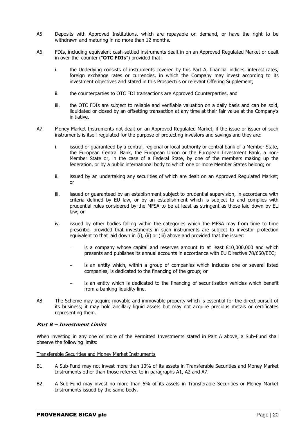- A5. Deposits with Approved Institutions, which are repayable on demand, or have the right to be withdrawn and maturing in no more than 12 months.
- A6. FDIs, including equivalent cash-settled instruments dealt in on an Approved Regulated Market or dealt in over-the–counter ("**OTC FDIs**") provided that:
	- i. the Underlying consists of instruments covered by this Part A, financial indices, interest rates, foreign exchange rates or currencies, in which the Company may invest according to its investment objectives and stated in this Prospectus or relevant Offering Supplement;
	- ii. the counterparties to OTC FDI transactions are Approved Counterparties, and
	- iii. the OTC FDIs are subject to reliable and verifiable valuation on a daily basis and can be sold, liquidated or closed by an offsetting transaction at any time at their fair value at the Company's initiative.
- A7. Money Market Instruments not dealt on an Approved Regulated Market, if the issue or issuer of such instruments is itself regulated for the purpose of protecting investors and savings and they are:
	- i. issued or guaranteed by a central, regional or local authority or central bank of a Member State, the European Central Bank, the European Union or the European Investment Bank, a non-Member State or, in the case of a Federal State, by one of the members making up the federation, or by a public international body to which one or more Member States belong; or
	- ii. issued by an undertaking any securities of which are dealt on an Approved Regulated Market; or
	- iii. issued or quaranteed by an establishment subject to prudential supervision, in accordance with criteria defined by EU law, or by an establishment which is subject to and complies with prudential rules considered by the MFSA to be at least as stringent as those laid down by EU law; or
	- iv. issued by other bodies falling within the categories which the MFSA may from time to time prescribe, provided that investments in such instruments are subject to investor protection equivalent to that laid down in (i), (ii) or (iii) above and provided that the issuer:
		- is a company whose capital and reserves amount to at least €10,000,000 and which presents and publishes its annual accounts in accordance with EU Directive 78/660/EEC;
		- is an entity which, within a group of companies which includes one or several listed companies, is dedicated to the financing of the group; or
		- is an entity which is dedicated to the financing of securitisation vehicles which benefit from a banking liquidity line.
- A8. The Scheme may acquire movable and immovable property which is essential for the direct pursuit of its business; it may hold ancillary liquid assets but may not acquire precious metals or certificates representing them.

## **Part B – Investment Limits**

When investing in any one or more of the Permitted Investments stated in Part A above, a Sub-Fund shall observe the following limits:

#### Transferable Securities and Money Market Instruments

- B1. A Sub-Fund may not invest more than 10% of its assets in Transferable Securities and Money Market Instruments other than those referred to in paragraphs A1, A2 and A7.
- B2. A Sub-Fund may invest no more than 5% of its assets in Transferable Securities or Money Market Instruments issued by the same body.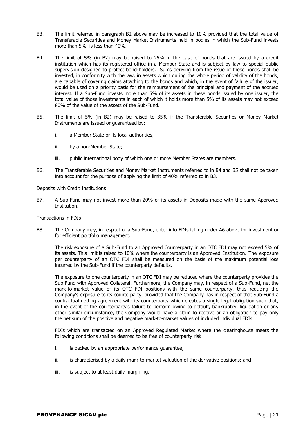- B3. The limit referred in paragraph B2 above may be increased to 10% provided that the total value of Transferable Securities and Money Market Instruments held in bodies in which the Sub-Fund invests more than 5%, is less than 40%.
- B4. The limit of 5% (in B2) may be raised to 25% in the case of bonds that are issued by a credit institution which has its registered office in a Member State and is subject by law to special public supervision designed to protect bond-holders. Sums deriving from the issue of these bonds shall be invested, in conformity with the law, in assets which during the whole period of validity of the bonds, are capable of covering claims attaching to the bonds and which, in the event of failure of the issuer, would be used on a priority basis for the reimbursement of the principal and payment of the accrued interest. If a Sub-Fund invests more than 5% of its assets in these bonds issued by one issuer, the total value of those investments in each of which it holds more than 5% of its assets may not exceed 80% of the value of the assets of the Sub-Fund.
- B5. The limit of 5% (in B2) may be raised to 35% if the Transferable Securities or Money Market Instruments are issued or guaranteed by:
	- i. a Member State or its local authorities;
	- ii. by a non-Member State;
	- iii. public international body of which one or more Member States are members.
- B6. The Transferable Securities and Money Market Instruments referred to in B4 and B5 shall not be taken into account for the purpose of applying the limit of 40% referred to in B3.

#### Deposits with Credit Institutions

B7. A Sub-Fund may not invest more than 20% of its assets in Deposits made with the same Approved Institution.

#### Transactions in FDIs

B8. The Company may, in respect of a Sub-Fund, enter into FDIs falling under A6 above for investment or for efficient portfolio management.

The risk exposure of a Sub-Fund to an Approved Counterparty in an OTC FDI may not exceed 5% of its assets. This limit is raised to 10% where the counterparty is an Approved Institution. The exposure per counterparty of an OTC FDI shall be measured on the basis of the maximum potential loss incurred by the Sub-Fund if the counterparty defaults.

The exposure to one counterparty in an OTC FDI may be reduced where the counterparty provides the Sub Fund with Approved Collateral. Furthermore, the Company may, in respect of a Sub-Fund, net the mark-to-market value of its OTC FDI positions with the same counterparty, thus reducing the Company's exposure to its counterparty, provided that the Company has in respect of that Sub-Fund a contractual netting agreement with its counterparty which creates a single legal obligation such that, in the event of the counterparty's failure to perform owing to default, bankruptcy, liquidation or any other similar circumstance, the Company would have a claim to receive or an obligation to pay only the net sum of the positive and negative mark-to-market values of included individual FDIs.

FDIs which are transacted on an Approved Regulated Market where the clearinghouse meets the following conditions shall be deemed to be free of counterparty risk:

- i. is backed by an appropriate performance guarantee;
- ii. is characterised by a daily mark-to-market valuation of the derivative positions; and
- iii. is subject to at least daily margining.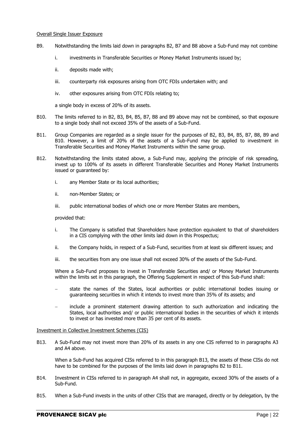#### Overall Single Issuer Exposure

- B9. Notwithstanding the limits laid down in paragraphs B2, B7 and B8 above a Sub-Fund may not combine
	- i. investments in Transferable Securities or Money Market Instruments issued by;
	- ii. deposits made with;
	- iii. counterparty risk exposures arising from OTC FDIs undertaken with; and
	- iv. other exposures arising from OTC FDIs relating to;

a single body in excess of 20% of its assets.

- B10. The limits referred to in B2, B3, B4, B5, B7, B8 and B9 above may not be combined, so that exposure to a single body shall not exceed 35% of the assets of a Sub-Fund.
- B11. Group Companies are regarded as a single issuer for the purposes of B2, B3, B4, B5, B7, B8, B9 and B10. However, a limit of 20% of the assets of a Sub-Fund may be applied to investment in Transferable Securities and Money Market Instruments within the same group.
- B12. Notwithstanding the limits stated above, a Sub-Fund may, applying the principle of risk spreading, invest up to 100% of its assets in different Transferable Securities and Money Market Instruments issued or guaranteed by:
	- i. any Member State or its local authorities;
	- ii. non-Member States; or
	- iii. public international bodies of which one or more Member States are members,

provided that:

- i. The Company is satisfied that Shareholders have protection equivalent to that of shareholders in a CIS complying with the other limits laid down in this Prospectus;
- ii. the Company holds, in respect of a Sub-Fund, securities from at least six different issues; and
- iii. the securities from any one issue shall not exceed 30% of the assets of the Sub-Fund.

Where a Sub-Fund proposes to invest in Transferable Securities and/ or Money Market Instruments within the limits set in this paragraph, the Offering Supplement in respect of this Sub-Fund shall:

- state the names of the States, local authorities or public international bodies issuing or guaranteeing securities in which it intends to invest more than 35% of its assets; and
- include a prominent statement drawing attention to such authorization and indicating the States, local authorities and/ or public international bodies in the securities of which it intends to invest or has invested more than 35 per cent of its assets.

#### Investment in Collective Investment Schemes (CIS)

B13. A Sub-Fund may not invest more than 20% of its assets in any one CIS referred to in paragraphs A3 and A4 above.

When a Sub-Fund has acquired CISs referred to in this paragraph B13, the assets of these CISs do not have to be combined for the purposes of the limits laid down in paragraphs B2 to B11.

- B14. Investment in CISs referred to in paragraph A4 shall not, in aggregate, exceed 30% of the assets of a Sub-Fund.
- B15. When a Sub-Fund invests in the units of other CISs that are managed, directly or by delegation, by the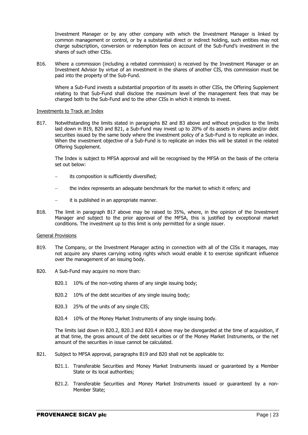Investment Manager or by any other company with which the Investment Manager is linked by common management or control, or by a substantial direct or indirect holding, such entities may not charge subscription, conversion or redemption fees on account of the Sub-Fund's investment in the shares of such other CISs.

B16. Where a commission (including a rebated commission) is received by the Investment Manager or an Investment Advisor by virtue of an investment in the shares of another CIS, this commission must be paid into the property of the Sub-Fund.

Where a Sub-Fund invests a substantial proportion of its assets in other CISs, the Offering Supplement relating to that Sub-Fund shall disclose the maximum level of the management fees that may be charged both to the Sub-Fund and to the other CISs in which it intends to invest.

#### Investments to Track an Index

B17. Notwithstanding the limits stated in paragraphs B2 and B3 above and without prejudice to the limits laid down in B19, B20 and B21, a Sub-Fund may invest up to 20% of its assets in shares and/or debt securities issued by the same body where the investment policy of a Sub-Fund is to replicate an index. When the investment objective of a Sub-Fund is to replicate an index this will be stated in the related Offering Supplement.

The Index is subject to MFSA approval and will be recognised by the MFSA on the basis of the criteria set out below:

- its composition is sufficiently diversified;
- the index represents an adequate benchmark for the market to which it refers; and
- it is published in an appropriate manner.
- B18. The limit in paragraph B17 above may be raised to 35%, where, in the opinion of the Investment Manager and subject to the prior approval of the MFSA, this is justified by exceptional market conditions. The investment up to this limit is only permitted for a single issuer.

#### General Provisions

- B19. The Company, or the Investment Manager acting in connection with all of the CISs it manages, may not acquire any shares carrying voting rights which would enable it to exercise significant influence over the management of an issuing body.
- B20. A Sub-Fund may acquire no more than:
	- B20.1 10% of the non-voting shares of any single issuing body;
	- B20.2 10% of the debt securities of any single issuing body;
	- B20.3 25% of the units of any single CIS;
	- B20.4 10% of the Money Market Instruments of any single issuing body.

The limits laid down in B20.2, B20.3 and B20.4 above may be disregarded at the time of acquisition, if at that time, the gross amount of the debt securities or of the Money Market Instruments, or the net amount of the securities in issue cannot be calculated.

- B21. Subject to MFSA approval, paragraphs B19 and B20 shall not be applicable to:
	- B21.1. Transferable Securities and Money Market Instruments issued or guaranteed by a Member State or its local authorities;
	- B21.2. Transferable Securities and Money Market Instruments issued or guaranteed by a non-Member State;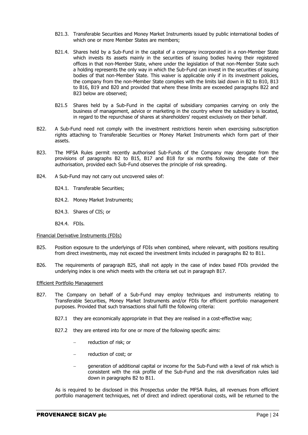- B21.3. Transferable Securities and Money Market Instruments issued by public international bodies of which one or more Member States are members;
- B21.4. Shares held by a Sub-Fund in the capital of a company incorporated in a non-Member State which invests its assets mainly in the securities of issuing bodies having their registered offices in that non-Member State, where under the legislation of that non-Member State such a holding represents the only way in which the Sub-Fund can invest in the securities of issuing bodies of that non-Member State. This waiver is applicable only if in its investment policies, the company from the non-Member State complies with the limits laid down in B2 to B10, B13 to B16, B19 and B20 and provided that where these limits are exceeded paragraphs B22 and B23 below are observed;
- B21.5 Shares held by a Sub-Fund in the capital of subsidiary companies carrying on only the business of management, advice or marketing in the country where the subsidiary is located, in regard to the repurchase of shares at shareholders' request exclusively on their behalf.
- B22. A Sub-Fund need not comply with the investment restrictions herein when exercising subscription rights attaching to Transferable Securities or Money Market Instruments which form part of their assets.
- B23. The MFSA Rules permit recently authorised Sub-Funds of the Company may derogate from the provisions of paragraphs B2 to B15, B17 and B18 for six months following the date of their authorisation, provided each Sub-Fund observes the principle of risk spreading.
- B24. A Sub-Fund may not carry out uncovered sales of:
	- B24.1. Transferable Securities;
	- B24.2. Money Market Instruments;
	- B24.3. Shares of CIS; or
	- B24.4. FDIs.

#### Financial Derivative Instruments (FDIs)

- B25. Position exposure to the underlyings of FDIs when combined, where relevant, with positions resulting from direct investments, may not exceed the investment limits included in paragraphs B2 to B11.
- B26. The requirements of paragraph B25, shall not apply in the case of index based FDIs provided the underlying index is one which meets with the criteria set out in paragraph B17.

#### Efficient Portfolio Management

- B27. The Company on behalf of a Sub-Fund may employ techniques and instruments relating to Transferable Securities, Money Market Instruments and/or FDIs for efficient portfolio management purposes. Provided that such transactions shall fulfil the following criteria:
	- B27.1 they are economically appropriate in that they are realised in a cost-effective way;
	- B27.2 they are entered into for one or more of the following specific aims:
		- reduction of risk; or
		- reduction of cost; or
		- generation of additional capital or income for the Sub-Fund with a level of risk which is consistent with the risk profile of the Sub-Fund and the risk diversification rules laid down in paragraphs B2 to B11.

As is required to be disclosed in this Prospectus under the MFSA Rules, all revenues from efficient portfolio management techniques, net of direct and indirect operational costs, will be returned to the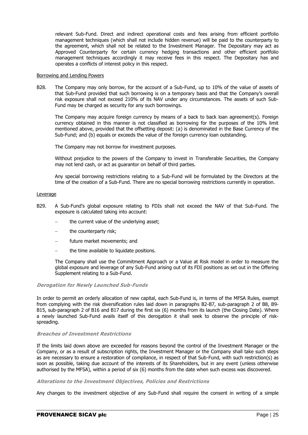relevant Sub-Fund. Direct and indirect operational costs and fees arising from efficient portfolio management techniques (which shall not include hidden revenue) will be paid to the counterparty to the agreement, which shall not be related to the Investment Manager. The Depositary may act as Approved Counterparty for certain currency hedging transactions and other efficient portfolio management techniques accordingly it may receive fees in this respect. The Depositary has and operates a conflicts of interest policy in this respect.

#### Borrowing and Lending Powers

B28. The Company may only borrow, for the account of a Sub-Fund, up to 10% of the value of assets of that Sub-Fund provided that such borrowing is on a temporary basis and that the Company's overall risk exposure shall not exceed 210% of its NAV under any circumstances. The assets of such Sub-Fund may be charged as security for any such borrowings.

The Company may acquire foreign currency by means of a back to back loan agreement(s). Foreign currency obtained in this manner is not classified as borrowing for the purposes of the 10% limit mentioned above, provided that the offsetting deposit: (a) is denominated in the Base Currency of the Sub-Fund; and (b) equals or exceeds the value of the foreign currency loan outstanding.

The Company may not borrow for investment purposes.

Without prejudice to the powers of the Company to invest in Transferable Securities, the Company may not lend cash, or act as guarantor on behalf of third parties.

Any special borrowing restrictions relating to a Sub-Fund will be formulated by the Directors at the time of the creation of a Sub-Fund. There are no special borrowing restrictions currently in operation.

#### Leverage

- B29. A Sub-Fund's global exposure relating to FDIs shall not exceed the NAV of that Sub-Fund. The exposure is calculated taking into account:
	- the current value of the underlying asset;
	- the counterparty risk;
	- future market movements; and
	- the time available to liquidate positions.

The Company shall use the Commitment Approach or a Value at Risk model in order to measure the global exposure and leverage of any Sub-Fund arising out of its FDI positions as set out in the Offering Supplement relating to a Sub-Fund.

#### **Derogation for Newly Launched Sub-Funds**

In order to permit an orderly allocation of new capital, each Sub-Fund is, in terms of the MFSA Rules, exempt from complying with the risk diversification rules laid down in paragraphs B2-B7, sub-paragraph 2 of B8, B9- B15, sub-paragraph 2 of B16 and B17 during the first six (6) months from its launch (the Closing Date). Where a newly launched Sub-Fund avails itself of this derogation it shall seek to observe the principle of riskspreading.

#### **Breaches of Investment Restrictions**

If the limits laid down above are exceeded for reasons beyond the control of the Investment Manager or the Company, or as a result of subscription rights, the Investment Manager or the Company shall take such steps as are necessary to ensure a restoration of compliance, in respect of that Sub-Fund, with such restriction(s) as soon as possible, taking due account of the interests of its Shareholders, but in any event (unless otherwise authorised by the MFSA), within a period of six (6) months from the date when such excess was discovered.

#### **Alterations to the Investment Objectives, Policies and Restrictions**

Any changes to the investment objective of any Sub-Fund shall require the consent in writing of a simple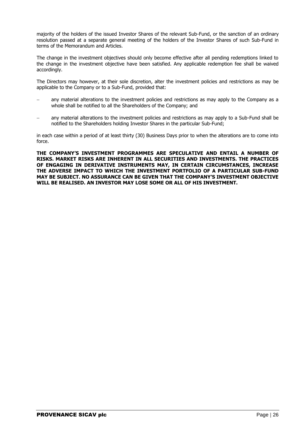majority of the holders of the issued Investor Shares of the relevant Sub-Fund, or the sanction of an ordinary resolution passed at a separate general meeting of the holders of the Investor Shares of such Sub-Fund in terms of the Memorandum and Articles.

The change in the investment objectives should only become effective after all pending redemptions linked to the change in the investment objective have been satisfied. Any applicable redemption fee shall be waived accordingly.

The Directors may however, at their sole discretion, alter the investment policies and restrictions as may be applicable to the Company or to a Sub-Fund, provided that:

- any material alterations to the investment policies and restrictions as may apply to the Company as a whole shall be notified to all the Shareholders of the Company; and
- any material alterations to the investment policies and restrictions as may apply to a Sub-Fund shall be notified to the Shareholders holding Investor Shares in the particular Sub-Fund;

in each case within a period of at least thirty (30) Business Days prior to when the alterations are to come into force.

**THE COMPANY'S INVESTMENT PROGRAMMES ARE SPECULATIVE AND ENTAIL A NUMBER OF RISKS. MARKET RISKS ARE INHERENT IN ALL SECURITIES AND INVESTMENTS. THE PRACTICES OF ENGAGING IN DERIVATIVE INSTRUMENTS MAY, IN CERTAIN CIRCUMSTANCES, INCREASE THE ADVERSE IMPACT TO WHICH THE INVESTMENT PORTFOLIO OF A PARTICULAR SUB-FUND MAY BE SUBJECT. NO ASSURANCE CAN BE GIVEN THAT THE COMPANY'S INVESTMENT OBJECTIVE WILL BE REALISED. AN INVESTOR MAY LOSE SOME OR ALL OF HIS INVESTMENT.**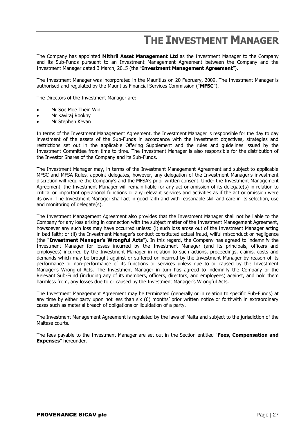## **THE INVESTMENT MANAGER**

<span id="page-26-0"></span>The Company has appointed **Mithril Asset Management Ltd** as the Investment Manager to the Company and its Sub-Funds pursuant to an Investment Management Agreement between the Company and the Investment Manager dated 3 March, 2015 (the "**Investment Management Agreement**").

The Investment Manager was incorporated in the Mauritius on 20 February, 2009. The Investment Manager is authorised and regulated by the Mauritius Financial Services Commission ("**MFSC**").

The Directors of the Investment Manager are:

- Mr Soe Moe Thein Win
- Mr Kaviraj Rookny
- Mr Stephen Kevan

In terms of the Investment Management Agreement, the Investment Manager is responsible for the day to day investment of the assets of the Sub-Funds in accordance with the investment objectives, strategies and restrictions set out in the applicable Offering Supplement and the rules and guidelines issued by the Investment Committee from time to time. The Investment Manager is also responsible for the distribution of the Investor Shares of the Company and its Sub-Funds.

The Investment Manager may, in terms of the Investment Management Agreement and subject to applicable MFSC and MFSA Rules, appoint delegates, however, any delegation of the Investment Manager's investment discretion will require the Company's and the MFSA's prior written consent. Under the Investment Management Agreement, the Investment Manager will remain liable for any act or omission of its delegate(s) in relation to critical or important operational functions or any relevant services and activities as if the act or omission were its own. The Investment Manager shall act in good faith and with reasonable skill and care in its selection, use and monitoring of delegate(s).

The Investment Management Agreement also provides that the Investment Manager shall not be liable to the Company for any loss arising in connection with the subject matter of the Investment Management Agreement, howsoever any such loss may have occurred unless: (i) such loss arose out of the Investment Manager acting in bad faith; or (ii) the Investment Manager's conduct constituted actual fraud, wilful misconduct or negligence (the "**Investment Manager's Wrongful Acts**"). In this regard, the Company has agreed to indemnify the Investment Manager for losses incurred by the Investment Manager (and its principals, officers and employees) incurred by the Investment Manager in relation to such actions, proceedings, claims, costs and demands which may be brought against or suffered or incurred by the Investment Manager by reason of its performance or non-performance of its functions or services unless due to or caused by the Investment Manager's Wrongful Acts. The Investment Manager in turn has agreed to indemnify the Company or the Relevant Sub-Fund (including any of its members, officers, directors, and employees) against, and hold them harmless from, any losses due to or caused by the Investment Manager's Wrongful Acts.

The Investment Management Agreement may be terminated (generally or in relation to specific Sub-Funds) at any time by either party upon not less than six (6) months' prior written notice or forthwith in extraordinary cases such as material breach of obligations or liquidation of a party.

The Investment Management Agreement is regulated by the laws of Malta and subject to the jurisdiction of the Maltese courts.

The fees payable to the Investment Manager are set out in the Section entitled "**Fees, Compensation and Expenses**" hereunder.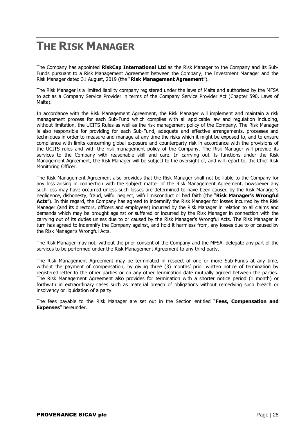## **THE RISK MANAGER**

The Company has appointed **RiskCap International Ltd** as the Risk Manager to the Company and its Sub-Funds pursuant to a Risk Management Agreement between the Company, the Investment Manager and the Risk Manager dated 31 August, 2019 (the "**Risk Management Agreement**").

The Risk Manager is a limited liability company registered under the laws of Malta and authorised by the MFSA to act as a Company Service Provider in terms of the Company Service Provider Act (Chapter 590, Laws of Malta).

In accordance with the Risk Management Agreement, the Risk Manager will implement and maintain a risk management process for each Sub-Fund which complies with all applicable law and regulation including, without limitation, the UCITS Rules as well as the risk management policy of the Company. The Risk Manager is also responsible for providing for each Sub-Fund, adequate and effective arrangements, processes and techniques in order to measure and manage at any time the risks which it might be exposed to, and to ensure compliance with limits concerning global exposure and counterparty risk in accordance with the provisions of the UCITS rules and with the risk management policy of the Company. The Risk Manager will provide its services to the Company with reasonable skill and care. In carrying out its functions under the Risk Management Agreement, the Risk Manager will be subject to the oversight of, and will report to, the Chief Risk Monitoring Officer.

The Risk Management Agreement also provides that the Risk Manager shall not be liable to the Company for any loss arising in connection with the subject matter of the Risk Management Agreement, howsoever any such loss may have occurred unless such losses are determined to have been caused by the Risk Manager's negligence, dishonesty, fraud, wilful neglect, wilful misconduct or bad faith (the "**Risk Manager's Wrongful**  Acts<sup>"</sup>). In this regard, the Company has agreed to indemnify the Risk Manager for losses incurred by the Risk Manager (and its directors, officers and employees) incurred by the Risk Manager in relation to all claims and demands which may be brought against or suffered or incurred by the Risk Manager in connection with the carrying out of its duties unless due to or caused by the Risk Manager's Wrongful Acts. The Risk Manager in turn has agreed to indemnify the Company against, and hold it harmless from, any losses due to or caused by the Risk Manager's Wrongful Acts.

The Risk Manager may not, without the prior consent of the Company and the MFSA, delegate any part of the services to be performed under the Risk Management Agreement to any third party.

The Risk Management Agreement may be terminated in respect of one or more Sub-Funds at any time, without the payment of compensation, by giving three (3) months' prior written notice of termination by registered letter to the other parties or on any other termination date mutually agreed between the parties. The Risk Management Agreement also provides for termination with a shorter notice period (1 month) or forthwith in extraordinary cases such as material breach of obligations without remedying such breach or insolvency or liquidation of a party.

The fees payable to the Risk Manager are set out in the Section entitled "**Fees, Compensation and Expenses**" hereunder.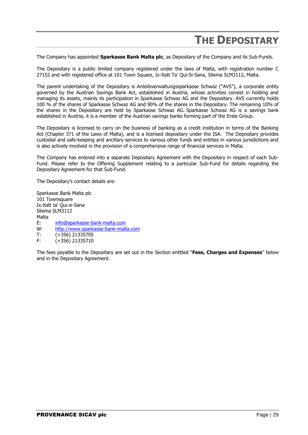## **THE DEPOSITARY**

<span id="page-28-0"></span>The Company has appointed **Sparkasse Bank Malta plc**, as Depositary of the Company and its Sub-Funds.

The Depositary is a public limited company registered under the laws of Malta, with registration number C 27152 and with registered office at 101 Town Square, Ix-Xatt Ta' Qui-Si-Sana, Sliema SLM3112, Malta.

The parent undertaking of the Depositary is Anteilsverwaltungssparkasse Schwaz ("AVS"), a corporate entity governed by the Austrian Savings Bank Act, established in Austria, whose activities consist in holding and managing its assets, mainly its participation in Sparkasse Schwaz AG and the Depositary. AVS currently holds 100 % of the shares of Sparkasse Schwaz AG and 90% of the shares in the Depositary. The remaining 10% of the shares in the Depositary are held by Sparkasse Schwaz AG. Sparkasse Schwaz AG is a savings bank established in Austria; it is a member of the Austrian savings banks forming part of the Erste Group.

The Depositary is licensed to carry on the business of banking as a credit institution in terms of the Banking Act (Chapter 371 of the Laws of Malta), and is a licensed depositary under the ISA. The Depositary provides custodial and safe-keeping and ancillary services to various other funds and entities in various jurisdictions and is also actively involved in the provision of a comprehensive range of financial services in Malta.

The Company has entered into a separate Depositary Agreement with the Depositary in respect of each Sub-Fund. Please refer to the Offering Supplement relating to a particular Sub-Fund for details regarding the Depositary Agreement for that Sub-Fund.

The Depositary's contact details are:

Sparkasse Bank Malta plc 101 Townsquare Ix-Xatt ta' Qui-si-Sana Sliema SLM3112 Malta E: [info@sparkasse-bank-malta.com](mailto:info@sparkasse-bank-malta.com)<br>W: http://www.sparkasse-bank-malt [http://www.sparkasse-bank-malta.com](http://www.sparkasse-bank-malta.com/) T: (+356) 21335705 F: (+356) 21335710

The fees payable to the Depositary are set out in the Section entitled "**Fees, Charges and Expenses**" below and in the Depositary Agreement.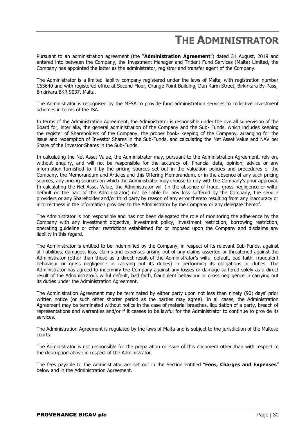## <span id="page-29-0"></span>**THE ADMINISTRATOR**

Pursuant to an administration agreement (the "**Administration Agreement**") dated 31 August, 2019 and entered into between the Company, the Investment Manager and Trident Fund Services (Malta) Limited, the Company has appointed the latter as the administrator, registrar and transfer agent of the Company.

The Administrator is a limited liability company registered under the laws of Malta, with registration number C53640 and with registered office at Second Floor, Orange Point Building, Dun Karm Street, Birkirkara By-Pass, Birkirkara BKR 9037, Malta.

The Administrator is recognised by the MFSA to provide fund administration services to collective investment schemes in terms of the ISA.

In terms of the Administration Agreement, the Administrator is responsible under the overall supervision of the Board for, inter alia, the general administration of the Company and the Sub- Funds, which includes keeping the register of Shareholders of the Company, the proper book- keeping of the Company, arranging for the issue and redemption of Investor Shares in the Sub-Funds, and calculating the Net Asset Value and NAV per Share of the Investor Shares in the Sub-Funds.

In calculating the Net Asset Value, the Administrator may, pursuant to the Administration Agreement, rely on, without enquiry, and will not be responsible for the accuracy of, financial data, opinion, advice or any information furnished to it by the pricing sources set out in the valuation policies and procedures of the Company, the Memorandum and Articles and this Offering Memorandum, or in the absence of any such pricing sources, any pricing sources on which the Administrator may choose to rely with the Company's prior approval. In calculating the Net Asset Value, the Administrator will (in the absence of fraud, gross negligence or wilful default on the part of the Administrator) not be liable for any loss suffered by the Company, the service providers or any Shareholder and/or third party by reason of any error thereto resulting from any inaccuracy or incorrectness in the information provided to the Administrator by the Company or any delegate thereof.

The Administrator is not responsible and has not been delegated the role of monitoring the adherence by the Company with any investment objective, investment policy, investment restriction, borrowing restriction, operating guideline or other restrictions established for or imposed upon the Company and disclaims any liability in this regard.

The Administrator is entitled to be indemnified by the Company, in respect of its relevant Sub-Funds, against all liabilities, damages, loss, claims and expenses arising out of any claims asserted or threatened against the Administrator (other than those as a direct result of the Administrator's wilful default, bad faith, fraudulent behaviour or gross negligence in carrying out its duties) in performing its obligations or duties. The Administrator has agreed to indemnify the Company against any losses or damage suffered solely as a direct result of the Administrator's wilful default, bad faith, fraudulent behaviour or gross negligence in carrying out its duties under the Administration Agreement.

The Administration Agreement may be terminated by either party upon not less than ninety (90) days' prior written notice (or such other shorter period as the parties may agree). In all cases, the Administration Agreement may be terminated without notice in the case of material breaches, liquidation of a party, breach of representations and warranties and/or if it ceases to be lawful for the Administrator to continue to provide its services.

The Administration Agreement is regulated by the laws of Malta and is subject to the jurisdiction of the Maltese courts.

The Administrator is not responsible for the preparation or issue of this document other than with respect to the description above in respect of the Administrator.

The fees payable to the Administrator are set out in the Section entitled "**Fees, Charges and Expenses**" below and in the Administration Agreement.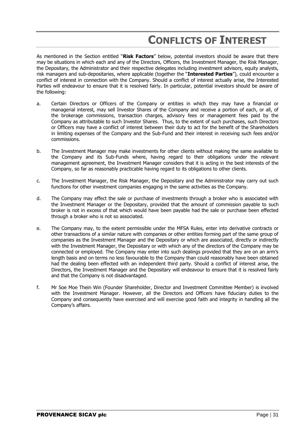## **CONFLICTS OF INTEREST**

<span id="page-30-0"></span>As mentioned in the Section entitled "**Risk Factors**" below, potential investors should be aware that there may be situations in which each and any of the Directors, Officers, the Investment Manager, the Risk Manager, the Depositary, the Administrator and their respective delegates including investment advisors, equity analysts, risk managers and sub-depositaries, where applicable (together the "**Interested Parties**"), could encounter a conflict of interest in connection with the Company. Should a conflict of interest actually arise, the Interested Parties will endeavour to ensure that it is resolved fairly. In particular, potential investors should be aware of the following:

- a. Certain Directors or Officers of the Company or entities in which they may have a financial or managerial interest, may sell Investor Shares of the Company and receive a portion of each, or all, of the brokerage commissions, transaction charges, advisory fees or management fees paid by the Company as attributable to such Investor Shares. Thus, to the extent of such purchases, such Directors or Officers may have a conflict of interest between their duty to act for the benefit of the Shareholders in limiting expenses of the Company and the Sub-Fund and their interest in receiving such fees and/or commissions.
- b. The Investment Manager may make investments for other clients without making the same available to the Company and its Sub-Funds where, having regard to their obligations under the relevant management agreement, the Investment Manager considers that it is acting in the best interests of the Company, so far as reasonably practicable having regard to its obligations to other clients.
- c. The Investment Manager, the Risk Manager, the Depositary and the Administrator may carry out such functions for other investment companies engaging in the same activities as the Company.
- d. The Company may effect the sale or purchase of investments through a broker who is associated with the Investment Manager or the Depositary, provided that the amount of commission payable to such broker is not in excess of that which would have been payable had the sale or purchase been effected through a broker who is not so associated.
- e. The Company may, to the extent permissible under the MFSA Rules, enter into derivative contracts or other transactions of a similar nature with companies or other entities forming part of the same group of companies as the Investment Manager and the Depositary or which are associated, directly or indirectly with the Investment Manager, the Depositary or with which any of the directors of the Company may be connected or employed. The Company may enter into such dealings provided that they are on an arm's length basis and on terms no less favourable to the Company than could reasonably have been obtained had the dealing been effected with an independent third party. Should a conflict of interest arise, the Directors, the Investment Manager and the Depositary will endeavour to ensure that it is resolved fairly and that the Company is not disadvantaged.
- f. Mr Soe Moe Thein Win (Founder Shareholder, Director and Investment Committee Member) is involved with the Investment Manager. However, all the Directors and Officers have fiduciary duties to the Company and consequently have exercised and will exercise good faith and integrity in handling all the Company's affairs.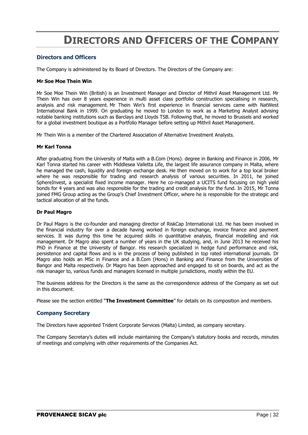## **DIRECTORS AND OFFICERS OF THE COMPANY**

## <span id="page-31-0"></span>**Directors and Officers**

The Company is administered by its Board of Directors. The Directors of the Company are:

#### **Mr Soe Moe Thein Win**

Mr Soe Moe Thein Win (British) is an Investment Manager and Director of Mithril Asset Management Ltd. Mr Thein Win has over 8 years experience in multi asset class portfolio construction specialising in research, analysis and risk management. Mr Thein Win's first experience in financial services came with NatWest International Bank in 1999. On graduating he moved to London to work as a Marketing Analyst advising notable banking institutions such as Barclays and Lloyds TSB. Following that, he moved to Brussels and worked for a global investment boutique as a Portfolio Manager before setting up Mithril Asset Management.

Mr Thein Win is a member of the Chartered Association of Alternative Investment Analysts.

#### **Mr Karl Tonna**

After graduating from the University of Malta with a [B.Com](http://scanmail.trustwave.com/?c=4015&d=w6yE2XYT1Vi-O6CkgdGKUFU4eT5Vg5pCNx0LQWm76Q&u=http%3a%2f%2fB%2eCom) (Hons). degree in Banking and Finance in 2006, Mr Karl Tonna started his career with Middlesea Valletta Life, the largest life assurance company in Malta, where he managed the cash, liquidity and foreign exchange desk. He then moved on to work for a top local broker where he was responsible for trading and research analysis of various securities. In 2011, he joined SphereInvest, a specialist fixed income manager. Here he co-managed a UCITS fund focusing on high yield bonds for 4 years and was also responsible for the trading and credit analysis for the fund. In 2015, Mr Tonna joined FMG Group acting as the Group's Chief Investment Officer, where he is responsible for the strategic and tactical allocation of all the funds.

#### **Dr Paul Magro**

Dr Paul Magro is the co-founder and managing director of RiskCap International Ltd. He has been involved in the financial industry for over a decade having worked in foreign exchange, invoice finance and payment services. It was during this time he acquired skills in quantitative analysis, financial modelling and risk management. Dr Magro also spent a number of years in the UK studying, and, in June 2013 he received his PhD in Finance at the University of Bangor. His research specialized in hedge fund performance and risk, persistence and capital flows and is in the process of being published in top rated international journals. Dr Magro also holds an MSc in Finance and a B.Com (Hons) in Banking and Finance from the Universities of Bangor and Malta respectively. Dr Magro has been approached and engaged to sit on boards, and act as the risk manager to, various funds and managers licensed in multiple jurisdictions, mostly within the EU.

The business address for the Directors is the same as the correspondence address of the Company as set out in this document.

Please see the section entitled "**The Investment Committee**" for details on its composition and members.

## **Company Secretary**

The Directors have appointed Trident Corporate Services (Malta) Limited, as company secretary.

The Company Secretary's duties will include maintaining the Company's statutory books and records, minutes of meetings and complying with other requirements of the Companies Act.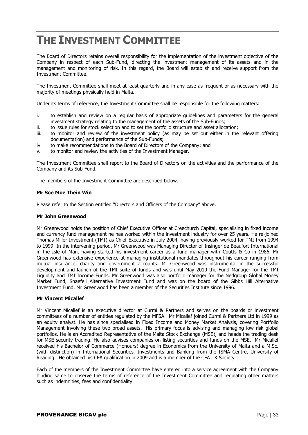## <span id="page-32-0"></span>**THE INVESTMENT COMMITTEE**

The Board of Directors retains overall responsibility for the implementation of the investment objective of the Company in respect of each Sub-Fund, directing the investment management of its assets and in the management and monitoring of risk. In this regard, the Board will establish and receive support from the Investment Committee.

The Investment Committee shall meet at least quarterly and in any case as frequent or as necessary with the majority of meetings physically held in Malta.

Under its terms of reference, the Investment Committee shall be responsible for the following matters:

- i. to establish and review on a regular basis of appropriate guidelines and parameters for the general investment strategy relating to the management of the assets of the Sub-Funds;
- ii. to issue rules for stock selection and to set the portfolio structure and asset allocation;
- iii. to monitor and review of the investment policy (as may be set out either in the relevant offering documentation) and performance of the Sub-Funds;
- iv. to make recommendations to the Board of Directors of the Company; and
- v. to monitor and review the activities of the Investment Manager.

The Investment Committee shall report to the Board of Directors on the activities and the performance of the Company and its Sub-Fund.

The members of the Investment Committee are described below.

#### **Mr Soe Moe Thein Win**

Please refer to the Section entitled "Directors and Officers of the Company" above.

#### **Mr John Greenwood**

Mr Greenwood holds the position of Chief Executive Officer at Creechurch Capital, specialising in fixed income and currency fund management he has worked within the investment industry for over 25 years. He re-joined Thomas Miller Investment (TMI) as Chief Executive in July 2004, having previously worked for TMI from 1994 to 1999. In the intervening period, Mr Greenwood was Managing Director of Insinger de Beaufort International in the Isle of Man, having started his investment career as a fund manager with Coutts & Co in 1986. Mr Greenwood has extensive experience at managing institutional mandates throughout his career ranging from mutual insurance, charity and government accounts. Mr Greenwood was instrumental in the successful development and launch of the TMI suite of funds and was until May 2010 the Fund Manager for the TMI Liquidity and TMI Income Funds. Mr Greenwood was also portfolio manager for the Nedgroup Global Money Market Fund, Snaefell Alternative Investment Fund and was on the board of the Gibbs Hill Alternative Investment Fund. Mr Greenwood has been a member of the Securities Institute since 1996.

## **Mr Vincent Micallef**

Mr Vincent Micallef is an executive director at Curmi & Partners and serves on the boards or investment committees of a number of entities regulated by the MFSA. Mr Micallef joined Curmi & Partners Ltd in 1999 as an equity analyst. He has since specialised in Fixed Income and Money Market Analysis, covering Portfolio Management involving these two broad assets. His primary focus is advising and managing low risk global portfolios. He is an Accredited Representative of the Malta Stock Exchange (MSE), and heads the trading desk for MSE security trading. He also advises companies on listing securities and funds on the MSE. Mr Micallef received his Bachelor of Commerce (Honours) degree in Economics from the University of Malta and a M.Sc. (with distinction) in International Securities, Investments and Banking from the ISMA Centre, University of Reading. He obtained his CFA qualification in 2009 and is a member of the CFA UK Society.

Each of the members of the Investment Committee have entered into a service agreement with the Company binding same to observe the terms of reference of the Investment Committee and regulating other matters such as indemnities, fees and confidentiality.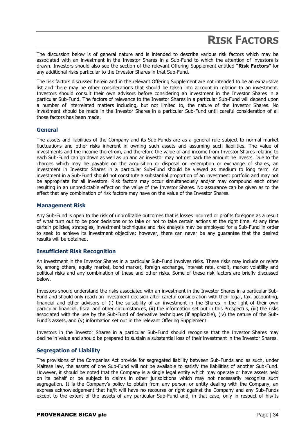## **RISK FACTORS**

<span id="page-33-0"></span>The discussion below is of general nature and is intended to describe various risk factors which may be associated with an investment in the Investor Shares in a Sub-Fund to which the attention of investors is drawn. Investors should also see the section of the relevant Offering Supplement entitled "**Risk Factors**" for any additional risks particular to the Investor Shares in that Sub-Fund.

The risk factors discussed herein and in the relevant Offering Supplement are not intended to be an exhaustive list and there may be other considerations that should be taken into account in relation to an investment. Investors should consult their own advisors before considering an investment in the Investor Shares in a particular Sub-Fund. The factors of relevance to the Investor Shares in a particular Sub-Fund will depend upon a number of interrelated matters including, but not limited to, the nature of the Investor Shares. No investment should be made in the Investor Shares in a particular Sub-Fund until careful consideration of all those factors has been made.

## **General**

The assets and liabilities of the Company and its Sub-Funds are as a general rule subject to normal market fluctuations and other risks inherent in owning such assets and assuming such liabilities. The value of investments and the income therefrom, and therefore the value of and income from Investor Shares relating to each Sub-Fund can go down as well as up and an investor may not get back the amount he invests. Due to the charges which may be payable on the acquisition or disposal or redemption or exchange of shares, an investment in Investor Shares in a particular Sub-Fund should be viewed as medium to long term. An investment in a Sub-Fund should not constitute a substantial proportion of an investment portfolio and may not be appropriate for all investors. Risk factors may occur simultaneously and/or may compound each other resulting in an unpredictable effect on the value of the Investor Shares. No assurance can be given as to the effect that any combination of risk factors may have on the value of the Investor Shares.

## **Management Risk**

Any Sub-Fund is open to the risk of unprofitable outcomes that is losses incurred or profits foregone as a result of what turn out to be poor decisions or to take or not to take certain actions at the right time. At any time certain policies, strategies, investment techniques and risk analysis may be employed for a Sub-Fund in order to seek to achieve its investment objective; however, there can never be any guarantee that the desired results will be obtained.

## **Insufficient Risk Recognition**

An investment in the Investor Shares in a particular Sub-Fund involves risks. These risks may include or relate to, among others, equity market, bond market, foreign exchange, interest rate, credit, market volatility and political risks and any combination of these and other risks. Some of these risk factors are briefly discussed below.

Investors should understand the risks associated with an investment in the Investor Shares in a particular Sub-Fund and should only reach an investment decision after careful consideration with their legal, tax, accounting, financial and other advisors of (i) the suitability of an investment in the Shares in the light of their own particular financial, fiscal and other circumstances, (ii) the information set out in this Prospectus, (iii) the risks associated with the use by the Sub-Fund of derivative techniques (if applicable), (iv) the nature of the Sub-Fund's assets, and (v) information set out in the relevant Offering Supplement.

Investors in the Investor Shares in a particular Sub-Fund should recognise that the Investor Shares may decline in value and should be prepared to sustain a substantial loss of their investment in the Investor Shares.

## **Segregation of Liability**

The provisions of the Companies Act provide for segregated liability between Sub-Funds and as such, under Maltese law, the assets of one Sub-Fund will not be available to satisfy the liabilities of another Sub-Fund. However, it should be noted that the Company is a single legal entity which may operate or have assets held on its behalf or be subject to claims in other jurisdictions which may not necessarily recognise such segregation. It is the Company's policy to obtain from any person or entity dealing with the Company, an express acknowledgement that he/it will have no recourse or right against the Company and any Sub-Funds except to the extent of the assets of any particular Sub-Fund and, in that case, only in respect of his/its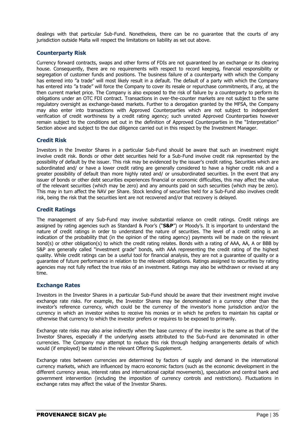dealings with that particular Sub-Fund. Nonetheless, there can be no guarantee that the courts of any jurisdiction outside Malta will respect the limitations on liability as set out above.

## **Counterparty Risk**

Currency forward contracts, swaps and other forms of FDIs are not guaranteed by an exchange or its clearing house. Consequently, there are no requirements with respect to record keeping, financial responsibility or segregation of customer funds and positions. The business failure of a counterparty with which the Company has entered into "a trade" will most likely result in a default. The default of a party with which the Company has entered into "a trade" will force the Company to cover its resale or repurchase commitments, if any, at the then current market price. The Company is also exposed to the risk of failure by a counterparty to perform its obligations under an OTC FDI contract. Transactions in over-the-counter markets are not subject to the same regulatory oversight as exchange-based markets. Further to a derogation granted by the MFSA, the Company may also enter into transactions with Approved Counterparties which are not subject to independent verification of credit worthiness by a credit rating agency; such unrated Approved Counterparties however remain subject to the conditions set out in the definition of Approved Counterparties in the "Interpretation" Section above and subject to the due diligence carried out in this respect by the Investment Manager.

## **Credit Risk**

Investors in the Investor Shares in a particular Sub-Fund should be aware that such an investment might involve credit risk. Bonds or other debt securities held for a Sub-Fund involve credit risk represented by the possibility of default by the issuer. This risk may be evidenced by the issuer's credit rating. Securities which are subordinated and/ or have a lower credit rating are generally considered to have a higher credit risk and a greater possibility of default than more highly rated and/ or unsubordinated securities. In the event that any issuer of bonds or other debt securities experiences financial or economic difficulties, this may affect the value of the relevant securities (which may be zero) and any amounts paid on such securities (which may be zero). This may in turn affect the NAV per Share. Stock lending of securities held for a Sub-Fund also involves credit risk, being the risk that the securities lent are not recovered and/or that recovery is delayed.

## **Credit Ratings**

The management of any Sub-Fund may involve substantial reliance on credit ratings. Credit ratings are assigned by rating agencies such as Standard & Poor's ("**S&P**") or Moody's. It is important to understand the nature of credit ratings in order to understand the nature of securities. The level of a credit rating is an indication of the probability that (in the opinion of the rating agency) payments will be made on the relevant bond(s) or other obligation(s) to which the credit rating relates. Bonds with a rating of AAA, AA, A or BBB by S&P are generally called "investment grade" bonds, with AAA representing the credit rating of the highest quality. While credit ratings can be a useful tool for financial analysis, they are not a guarantee of quality or a guarantee of future performance in relation to the relevant obligations. Ratings assigned to securities by rating agencies may not fully reflect the true risks of an investment. Ratings may also be withdrawn or revised at any time.

## **Exchange Rates**

Investors in the Investor Shares in a particular Sub-Fund should be aware that their investment might involve exchange rate risks. For example, the Investor Shares may be denominated in a currency other than the investor's reference currency, which could be the currency of the investor's home jurisdiction and/or the currency in which an investor wishes to receive his monies or in which he prefers to maintain his capital or otherwise that currency to which the investor prefers or requires to be exposed to primarily.

Exchange rate risks may also arise indirectly when the base currency of the investor is the same as that of the Investor Shares, especially if the underlying assets attributed to the Sub-Fund are denominated in other currencies. The Company may attempt to reduce this risk through hedging arrangements details of which would (if employed) be stated in the relevant Offering Supplement.

Exchange rates between currencies are determined by factors of supply and demand in the international currency markets, which are influenced by macro economic factors (such as the economic development in the different currency areas, interest rates and international capital movements), speculation and central bank and government intervention (including the imposition of currency controls and restrictions). Fluctuations in exchange rates may affect the value of the Investor Shares.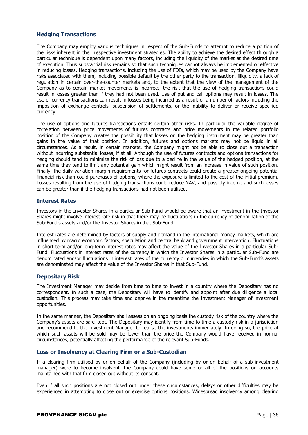## **Hedging Transactions**

The Company may employ various techniques in respect of the Sub-Funds to attempt to reduce a portion of the risks inherent in their respective investment strategies. The ability to achieve the desired effect through a particular technique is dependent upon many factors, including the liquidity of the market at the desired time of execution. Thus substantial risk remains so that such techniques cannot always be implemented or effective in reducing losses. Hedging transactions, including the use of FDIs, which may be used by the Company have risks associated with them, including possible default by the other party to the transaction, illiquidity, a lack of regulation in certain over-the-counter markets and, to the extent that the view of the management of the Company as to certain market movements is incorrect, the risk that the use of hedging transactions could result in losses greater than if they had not been used. Use of put and call options may result in losses. The use of currency transactions can result in losses being incurred as a result of a number of factors including the imposition of exchange controls, suspension of settlements, or the inability to deliver or receive specified currency.

The use of options and futures transactions entails certain other risks. In particular the variable degree of correlation between price movements of futures contracts and price movements in the related portfolio position of the Company creates the possibility that losses on the hedging instrument may be greater than gains in the value of that position. In addition, futures and options markets may not be liquid in all circumstances. As a result, in certain markets, the Company might not be able to close out a transaction without incurring substantial losses, if at all. Although the use of futures contracts and options transactions for hedging should tend to minimise the risk of loss due to a decline in the value of the hedged position, at the same time they tend to limit any potential gain which might result from an increase in value of such position. Finally, the daily variation margin requirements for futures contracts could create a greater ongoing potential financial risk than could purchases of options, where the exposure is limited to the cost of the initial premium. Losses resulting from the use of hedging transactions could reduce NAV, and possibly income and such losses can be greater than if the hedging transactions had not been utilised.

## **Interest Rates**

Investors in the Investor Shares in a particular Sub-Fund should be aware that an investment in the Investor Shares might involve interest rate risk in that there may be fluctuations in the currency of denomination of the Sub-Fund's assets and/or the Investor Shares in that Sub-Fund.

Interest rates are determined by factors of supply and demand in the international money markets, which are influenced by macro economic factors, speculation and central bank and government intervention. Fluctuations in short term and/or long-term interest rates may affect the value of the Investor Shares in a particular Sub-Fund. Fluctuations in interest rates of the currency in which the Investor Shares in a particular Sub-Fund are denominated and/or fluctuations in interest rates of the currency or currencies in which the Sub-Fund's assets are denominated may affect the value of the Investor Shares in that Sub-Fund.

## **Depositary Risk**

The Investment Manager may decide from time to time to invest in a country where the Depositary has no correspondent. In such a case, the Depositary will have to identify and appoint after due diligence a local custodian. This process may take time and deprive in the meantime the Investment Manager of investment opportunities.

In the same manner, the Depositary shall assess on an ongoing basis the custody risk of the country where the Company's assets are safe-kept. The Depositary may identify from time to time a custody risk in a jurisdiction and recommend to the Investment Manager to realise the investments immediately. In doing so, the price at which such assets will be sold may be lower than the price the Company would have received in normal circumstances, potentially affecting the performance of the relevant Sub-Funds.

## **Loss or Insolvency at Clearing Firm or a Sub-Custodian**

If a clearing firm utilised by or on behalf of the Company (including by or on behalf of a sub-investment manager) were to become insolvent, the Company could have some or all of the positions on accounts maintained with that firm closed out without its consent.

Even if all such positions are not closed out under these circumstances, delays or other difficulties may be experienced in attempting to close out or exercise options positions. Widespread insolvency among clearing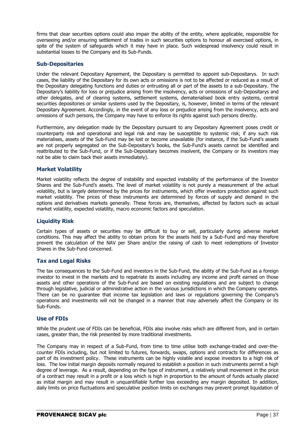firms that clear securities options could also impair the ability of the entity, where applicable, responsible for overseeing and/or ensuring settlement of trades in such securities options to honour all exercised options, in spite of the system of safeguards which it may have in place. Such widespread insolvency could result in substantial losses to the Company and its Sub-Funds.

## **Sub-Depositaries**

Under the relevant Depositary Agreement, the Depositary is permitted to appoint sub-Depositarys. In such cases, the liability of the Depositary for its own acts or omissions is not to be affected or reduced as a result of the Depositary delegating functions and duties or entrusting all or part of the assets to a sub-Depositary. The Depositary's liability for loss or prejudice arising from the insolvency, acts or omissions of sub-Depositarys and other delegates, and of clearing systems, settlement systems, dematerialised book entry systems, central securities depositories or similar systems used by the Depositary, is, however, limited in terms of the relevant Depositary Agreement. Accordingly, in the event of any loss or prejudice arising from the insolvency, acts and omissions of such persons, the Company may have to enforce its rights against such persons directly.

Furthermore, any delegation made by the Depositary pursuant to any Depositary Agreement poses credit or counterparty risk and operational and legal risk and may be susceptible to systemic risk; if any such risk materialises, assets of the Sub-Fund may be lost or become unavailable (for instance, if the Sub-Fund's assets are not properly segregated on the Sub-Depositary's books, the Sub-Fund's assets cannot be identified and reattributed to the Sub-Fund, or if the Sub-Depositary becomes insolvent, the Company or its investors may not be able to claim back their assets immediately).

## **Market Volatility**

Market volatility reflects the degree of instability and expected instability of the performance of the Investor Shares and the Sub-Fund's assets. The level of market volatility is not purely a measurement of the actual volatility, but is largely determined by the prices for instruments, which offer investors protection against such market volatility. The prices of these instruments are determined by forces of supply and demand in the options and derivatives markets generally. These forces are, themselves, affected by factors such as actual market volatility, expected volatility, macro economic factors and speculation.

## **Liquidity Risk**

Certain types of assets or securities may be difficult to buy or sell, particularly during adverse market conditions. This may affect the ability to obtain prices for the assets held by a Sub-Fund and may therefore prevent the calculation of the NAV per Share and/or the raising of cash to meet redemptions of Investor Shares in the Sub-Fund concerned.

## **Tax and Legal Risks**

The tax consequences to the Sub-Fund and investors in the Sub-Fund, the ability of the Sub-Fund as a foreign investor to invest in the markets and to repatriate its assets including any income and profit earned on those assets and other operations of the Sub-Fund are based on existing regulations and are subject to change through legislative, judicial or administrative action in the various jurisdictions in which the Company operates. There can be no guarantee that income tax legislation and laws or regulations governing the Company's operations and investments will not be changed in a manner that may adversely affect the Company or its Sub-Funds.

## **Use of FDIs**

While the prudent use of FDIs can be beneficial, FDIs also involve risks which are different from, and in certain cases, greater than, the risk presented by more traditional investments.

The Company may in respect of a Sub-Fund, from time to time utilise both exchange-traded and over-thecounter FDIs including, but not limited to futures, forwards, swaps, options and contracts for differences as part of its investment policy. These instruments can be highly volatile and expose investors to a high risk of loss. The low initial margin deposits normally required to establish a position in such instruments permit a high degree of leverage. As a result, depending on the type of instrument, a relatively small movement in the price of a contract may result in a profit or a loss which is high in proportion to the amount of funds actually placed as initial margin and may result in unquantifiable further loss exceeding any margin deposited. In addition, daily limits on price fluctuations and speculative position limits on exchanges may prevent prompt liquidation of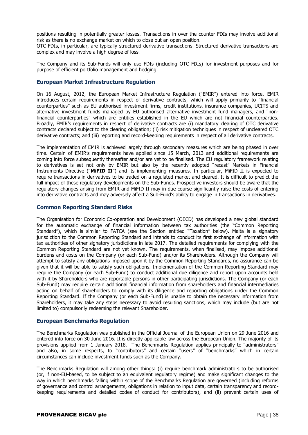positions resulting in potentially greater losses. Transactions in over the counter FDIs may involve additional risk as there is no exchange market on which to close out an open position.

OTC FDIs, in particular, are typically structured derivative transactions. Structured derivative transactions are complex and may involve a high degree of loss.

The Company and its Sub-Funds will only use FDIs (including OTC FDIs) for investment purposes and for purpose of efficient portfolio management and hedging.

## **European Market Infrastructure Regulation**

On 16 August, 2012, the European Market Infrastructure Regulation ("EMIR") entered into force. EMIR introduces certain requirements in respect of derivative contracts, which will apply primarily to "financial counterparties" such as EU authorised investment firms, credit institutions, insurance companies, UCITS and alternative investment funds managed by EU authorised alternative investment fund managers, and "nonfinancial counterparties" which are entities established in the EU which are not financial counterparties. Broadly, EMIR's requirements in respect of derivative contracts are (i) mandatory clearing of OTC derivative contracts declared subject to the clearing obligation; (ii) risk mitigation techniques in respect of uncleared OTC derivative contracts; and (iii) reporting and record-keeping requirements in respect of all derivative contracts.

The implementation of EMIR is achieved largely through secondary measures which are being phased in over time. Certain of EMIR's requirements have applied since 15 March, 2013 and additional requirements are coming into force subsequently thereafter and/or are yet to be finalised. The EU regulatory framework relating to derivatives is set not only by EMIR but also by the recently adopted "recast" Markets in Financial Instruments Directive ("**MiFID II**") and its implementing measures. In particular, MiFID II is expected to require transactions in derivatives to be traded on a regulated market and cleared. It is difficult to predict the full impact of these regulatory developments on the Sub-Funds. Prospective investors should be aware that the regulatory changes arising from EMIR and MiFID II may in due course significantly raise the costs of entering into derivative contracts and may adversely affect a Sub-Fund's ability to engage in transactions in derivatives.

## **Common Reporting Standard Risks**

The Organisation for Economic Co-operation and Development (OECD) has developed a new global standard for the automatic exchange of financial information between tax authorities (the "Common Reporting Standard"), which is similar to FATCA (see the Section entitled "Taxation" below). Malta is a signatory jurisdiction to the Common Reporting Standard and intends to conduct its first exchange of information with tax authorities of other signatory jurisdictions in late 2017. The detailed requirements for complying with the Common Reporting Standard are not yet known. The requirements, when finalised, may impose additional burdens and costs on the Company (or each Sub-Fund) and/or its Shareholders. Although the Company will attempt to satisfy any obligations imposed upon it by the Common Reporting Standards, no assurance can be given that it will be able to satisfy such obligations. Implementation of the Common Reporting Standard may require the Company (or each Sub-Fund) to conduct additional due diligence and report upon accounts held with it by Shareholders who are reportable persons in other participating jurisdictions. The Company (or each Sub-Fund) may require certain additional financial information from shareholders and financial intermediaries acting on behalf of shareholders to comply with its diligence and reporting obligations under the Common Reporting Standard. If the Company (or each Sub-Fund) is unable to obtain the necessary information from Shareholders, it may take any steps necessary to avoid resulting sanctions, which may include (but are not limited to) compulsorily redeeming the relevant Shareholder.

## **European Benchmarks Regulation**

The Benchmarks Regulation was published in the Official Journal of the European Union on 29 June 2016 and entered into force on 30 June 2016. It is directly applicable law across the European Union. The majority of its provisions applied from 1 January 2018. The Benchmarks Regulation applies principally to "administrators" and also, in some respects, to "contributors" and certain "users" of "benchmarks" which in certain circumstances can include investment funds such as the Company.

The Benchmarks Regulation will among other things: (i) require benchmark administrators to be authorised (or, if non-EU-based, to be subject to an equivalent regulatory regime) and make significant changes to the way in which benchmarks falling within scope of the Benchmarks Regulation are governed (including reforms of governance and control arrangements, obligations in relation to input data, certain transparency and recordkeeping requirements and detailed codes of conduct for contributors); and (ii) prevent certain uses of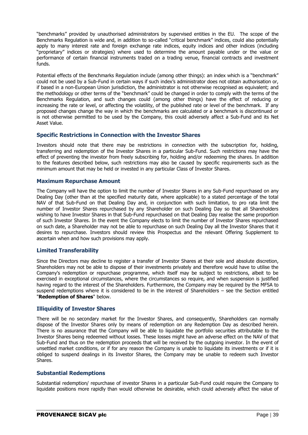"benchmarks" provided by unauthorised administrators by supervised entities in the EU. The scope of the Benchmarks Regulation is wide and, in addition to so-called "critical benchmark" indices, could also potentially apply to many interest rate and foreign exchange rate indices, equity indices and other indices (including "proprietary" indices or strategies) where used to determine the amount payable under or the value or performance of certain financial instruments traded on a trading venue, financial contracts and investment funds.

Potential effects of the Benchmarks Regulation include (among other things): an index which is a "benchmark" could not be used by a Sub-Fund in certain ways if such index's administrator does not obtain authorisation or, if based in a non-European Union jurisdiction, the administrator is not otherwise recognised as equivalent; and the methodology or other terms of the "benchmark" could be changed in order to comply with the terms of the Benchmarks Regulation, and such changes could (among other things) have the effect of reducing or increasing the rate or level, or affecting the volatility, of the published rate or level of the benchmark. If any proposed changes change the way in which the benchmarks are calculated or a benchmark is discontinued or is not otherwise permitted to be used by the Company, this could adversely affect a Sub-Fund and its Net Asset Value.

## **Specific Restrictions in Connection with the Investor Shares**

Investors should note that there may be restrictions in connection with the subscription for, holding, transferring and redemption of the Investor Shares in a particular Sub-Fund. Such restrictions may have the effect of preventing the investor from freely subscribing for, holding and/or redeeming the shares. In addition to the features described below, such restrictions may also be caused by specific requirements such as the minimum amount that may be held or invested in any particular Class of Investor Shares.

## **Maximum Repurchase Amount**

The Company will have the option to limit the number of Investor Shares in any Sub-Fund repurchased on any Dealing Day (other than at the specified maturity date, where applicable) to a stated percentage of the total NAV of that Sub-Fund on that Dealing Day and, in conjunction with such limitation, to pro rata limit the number of Investor Shares repurchased by any Shareholder on such Dealing Day so that all Shareholders wishing to have Investor Shares in that Sub-Fund repurchased on that Dealing Day realise the same proportion of such Investor Shares. In the event the Company elects to limit the number of Investor Shares repurchased on such date, a Shareholder may not be able to repurchase on such Dealing Day all the Investor Shares that it desires to repurchase. Investors should review this Prospectus and the relevant Offering Supplement to ascertain when and how such provisions may apply.

## **Limited Transferability**

Since the Directors may decline to register a transfer of Investor Shares at their sole and absolute discretion, Shareholders may not be able to dispose of their investments privately and therefore would have to utilise the Company's redemption or repurchase programme, which itself may be subject to restrictions, albeit to be exercised in exceptional circumstances, where the circumstances so require, and when suspension is justified having regard to the interest of the Shareholders. Furthermore, the Company may be required by the MFSA to suspend redemptions where it is considered to be in the interest of Shareholders – see the Section entitled "**Redemption of Shares**" below.

## **Illiquidity of Investor Shares**

There will be no secondary market for the Investor Shares, and consequently, Shareholders can normally dispose of the Investor Shares only by means of redemption on any Redemption Day as described herein. There is no assurance that the Company will be able to liquidate the portfolio securities attributable to the Investor Shares being redeemed without losses. These losses might have an adverse effect on the NAV of that Sub-Fund and thus on the redemption proceeds that will be received by the outgoing investor. In the event of unsettled market conditions, or if for any reason the Company is unable to liquidate its investments or if it is obliged to suspend dealings in its Investor Shares, the Company may be unable to redeem such Investor Shares.

## **Substantial Redemptions**

Substantial redemption/ repurchase of investor Shares in a particular Sub-Fund could require the Company to liquidate positions more rapidly than would otherwise be desirable, which could adversely affect the value of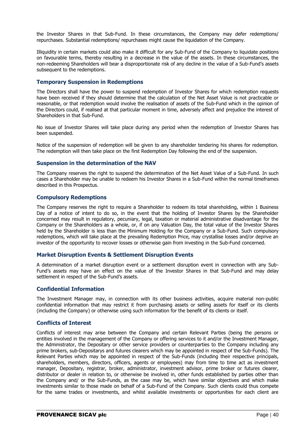the Investor Shares in that Sub-Fund. In these circumstances, the Company may defer redemptions/ repurchases. Substantial redemptions/ repurchases might cause the liquidation of the Company.

Illiquidity in certain markets could also make it difficult for any Sub-Fund of the Company to liquidate positions on favourable terms, thereby resulting in a decrease in the value of the assets. In these circumstances, the non-redeeming Shareholders will bear a disproportionate risk of any decline in the value of a Sub-Fund's assets subsequent to the redemptions.

## **Temporary Suspension in Redemptions**

The Directors shall have the power to suspend redemption of Investor Shares for which redemption requests have been received if they should determine that the calculation of the Net Asset Value is not practicable or reasonable, or that redemption would involve the realisation of assets of the Sub-Fund which in the opinion of the Directors could, if realised at that particular moment in time, adversely affect and prejudice the interest of Shareholders in that Sub-Fund.

No issue of Investor Shares will take place during any period when the redemption of Investor Shares has been suspended.

Notice of the suspension of redemption will be given to any shareholder tendering his shares for redemption. The redemption will then take place on the first Redemption Day following the end of the suspension.

## **Suspension in the determination of the NAV**

The Company reserves the right to suspend the determination of the Net Asset Value of a Sub-Fund. In such cases a Shareholder may be unable to redeem his Investor Shares in a Sub-Fund within the normal timeframes described in this Prospectus.

#### **Compulsory Redemptions**

The Company reserves the right to require a Shareholder to redeem its total shareholding, within 1 Business Day of a notice of intent to do so, in the event that the holding of Investor Shares by the Shareholder concerned may result in regulatory, pecuniary, legal, taxation or material administrative disadvantage for the Company or the Shareholders as a whole, or, if on any Valuation Day, the total value of the Investor Shares held by the Shareholder is less than the Minimum Holding for the Company or a Sub-Fund. Such compulsory redemptions, which will take place at the prevailing Redemption Price, may crystallise losses and/or deprive an investor of the opportunity to recover losses or otherwise gain from investing in the Sub-Fund concerned.

#### **Market Disruption Events & Settlement Disruption Events**

A determination of a market disruption event or a settlement disruption event in connection with any Sub-Fund's assets may have an effect on the value of the Investor Shares in that Sub-Fund and may delay settlement in respect of the Sub-Fund's assets.

## **Confidential Information**

The Investment Manager may, in connection with its other business activities, acquire material non-public confidential information that may restrict it from purchasing assets or selling assets for itself or its clients (including the Company) or otherwise using such information for the benefit of its clients or itself.

## **Conflicts of Interest**

Conflicts of interest may arise between the Company and certain Relevant Parties (being the persons or entities involved in the management of the Company or offering services to it and/or the Investment Manager, the Administrator, the Depositary or other service providers or counterparties to the Company including any prime brokers, sub-Depositarys and futures clearers which may be appointed in respect of the Sub-Funds). The Relevant Parties which may be appointed in respect of the Sub-Funds (including their respective principals, shareholders, members, directors, officers, agents or employees) may from time to time act as investment manager, Depositary, registrar, broker, administrator, investment advisor, prime broker or futures clearer, distributor or dealer in relation to, or otherwise be involved in, other funds established by parties other than the Company and/ or the Sub-Funds, as the case may be, which have similar objectives and which make investments similar to those made on behalf of a Sub-Fund of the Company. Such clients could thus compete for the same trades or investments, and whilst available investments or opportunities for each client are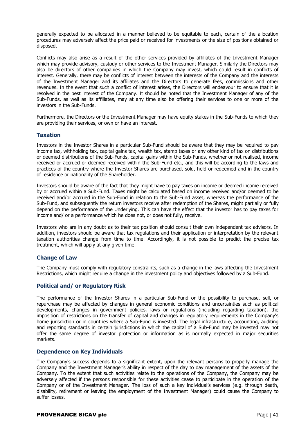generally expected to be allocated in a manner believed to be equitable to each, certain of the allocation procedures may adversely affect the price paid or received for investments or the size of positions obtained or disposed.

Conflicts may also arise as a result of the other services provided by affiliates of the Investment Manager which may provide advisory, custody or other services to the Investment Manager. Similarly the Directors may also be directors of other companies in which the Company may invest, which could result in conflicts of interest. Generally, there may be conflicts of interest between the interests of the Company and the interests of the Investment Manager and its affiliates and the Directors to generate fees, commissions and other revenues. In the event that such a conflict of interest arises, the Directors will endeavour to ensure that it is resolved in the best interest of the Company. It should be noted that the Investment Manager of any of the Sub-Funds, as well as its affiliates, may at any time also be offering their services to one or more of the investors in the Sub-Funds.

Furthermore, the Directors or the Investment Manager may have equity stakes in the Sub-Funds to which they are providing their services, or own or have an interest.

## **Taxation**

Investors in the Investor Shares in a particular Sub-Fund should be aware that they may be required to pay income tax, withholding tax, capital gains tax, wealth tax, stamp taxes or any other kind of tax on distributions or deemed distributions of the Sub-Funds, capital gains within the Sub-Funds, whether or not realised, income received or accrued or deemed received within the Sub-Fund etc., and this will be according to the laws and practices of the country where the Investor Shares are purchased, sold, held or redeemed and in the country of residence or nationality of the Shareholder.

Investors should be aware of the fact that they might have to pay taxes on income or deemed income received by or accrued within a Sub-Fund. Taxes might be calculated based on income received and/or deemed to be received and/or accrued in the Sub-Fund in relation to the Sub-Fund asset, whereas the performance of the Sub-Fund, and subsequently the return investors receive after redemption of the Shares, might partially or fully depend on the performance of the Underlying. This can have the effect that the investor has to pay taxes for income and/ or a performance which he does not, or does not fully, receive.

Investors who are in any doubt as to their tax position should consult their own independent tax advisors. In addition, investors should be aware that tax regulations and their application or interpretation by the relevant taxation authorities change from time to time. Accordingly, it is not possible to predict the precise tax treatment, which will apply at any given time.

## **Change of Law**

The Company must comply with regulatory constraints, such as a change in the laws affecting the Investment Restrictions, which might require a change in the investment policy and objectives followed by a Sub-Fund.

## **Political and/ or Regulatory Risk**

The performance of the Investor Shares in a particular Sub-Fund or the possibility to purchase, sell, or repurchase may be affected by changes in general economic conditions and uncertainties such as political developments, changes in government policies, laws or regulations (including regarding taxation), the imposition of restrictions on the transfer of capital and changes in regulatory requirements in the Company's home jurisdiction or in countries where a Sub-Fund is invested. The legal infrastructure, accounting, auditing and reporting standards in certain jurisdictions in which the capital of a Sub-Fund may be invested may not offer the same degree of investor protection or information as is normally expected in major securities markets.

## **Dependence on Key Individuals**

The Company's success depends to a significant extent, upon the relevant persons to properly manage the Company and the Investment Manager's ability in respect of the day to day management of the assets of the Company. To the extent that such activities relate to the operations of the Company, the Company may be adversely affected if the persons responsible for these activities cease to participate in the operation of the Company or of the Investment Manager. The loss of such a key individual's services (e.g. through death, disability, retirement or leaving the employment of the Investment Manager) could cause the Company to suffer losses.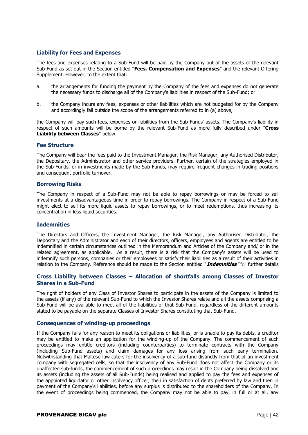## **Liability for Fees and Expenses**

The fees and expenses relating to a Sub-Fund will be paid by the Company out of the assets of the relevant Sub-Fund as set out in the Section entitled "**Fees, Compensation and Expenses**" and the relevant Offering Supplement. However, to the extent that:

- a. the arrangements for funding the payment by the Company of the fees and expenses do not generate the necessary funds to discharge all of the Company's liabilities in respect of the Sub-Fund; or
- b. the Company incurs any fees, expenses or other liabilities which are not budgeted for by the Company and accordingly fall outside the scope of the arrangements referred to in (a) above,

the Company will pay such fees, expenses or liabilities from the Sub-Funds' assets. The Company's liability in respect of such amounts will be borne by the relevant Sub-Fund as more fully described under "**Cross Liability between Classes**" below.

#### **Fee Structure**

The Company will bear the fees paid to the Investment Manager, the Risk Manager, any Authorised Distributor, the Depositary, the Administrator and other service providers. Further, certain of the strategies employed in the Sub-Funds, or in investments made by the Sub-Funds, may require frequent changes in trading positions and consequent portfolio turnover.

#### **Borrowing Risks**

The Company in respect of a Sub-Fund may not be able to repay borrowings or may be forced to sell investments at a disadvantageous time in order to repay borrowings. The Company in respect of a Sub-Fund might elect to sell its more liquid assets to repay borrowings, or to meet redemptions, thus increasing its concentration in less liquid securities.

#### **Indemnities**

The Directors and Officers, the Investment Manager, the Risk Manager, any Authorised Distributor, the Depositary and the Administrator and each of their directors, officers, employees and agents are entitled to be indemnified in certain circumstances outlined in the Memorandum and Articles of the Company and/ or in the related agreement, as applicable. As a result, there is a risk that the Company's assets will be used to indemnify such persons, companies or their employees or satisfy their liabilities as a result of their activities in relation to the Company. Reference should be made to the Section entitled "**Indemnities**" for further details

## **Cross Liability between Classes – Allocation of shortfalls among Classes of Investor Shares in a Sub-Fund**

The right of holders of any Class of Investor Shares to participate in the assets of the Company is limited to the assets (if any) of the relevant Sub-Fund to which the Investor Shares relate and all the assets comprising a Sub-Fund will be available to meet all of the liabilities of that Sub-Fund, regardless of the different amounts stated to be payable on the separate Classes of Investor Shares constituting that Sub-Fund.

## **Consequences of winding-up proceedings**

If the Company fails for any reason to meet its obligations or liabilities, or is unable to pay its debts, a creditor may be entitled to make an application for the winding-up of the Company. The commencement of such proceedings may entitle creditors (including counterparties) to terminate contracts with the Company (including Sub-Fund assets) and claim damages for any loss arising from such early termination. Notwithstanding that Maltese law caters for the insolvency of a sub-fund distinctly from that of an investment company with segregated cells, so that the insolvency of any Sub-Fund does not affect the Company or its unaffected sub-funds, the commencement of such proceedings may result in the Company being dissolved and its assets (including the assets of all Sub-Funds) being realised and applied to pay the fees and expenses of the appointed liquidator or other insolvency officer, then in satisfaction of debts preferred by law and then in payment of the Company's liabilities, before any surplus is distributed to the shareholders of the Company. In the event of proceedings being commenced, the Company may not be able to pay, in full or at all, any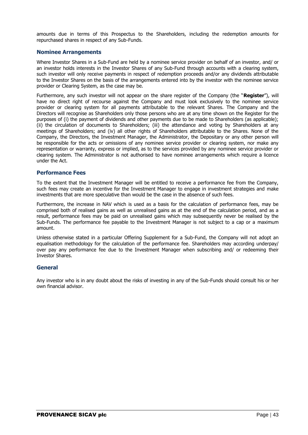amounts due in terms of this Prospectus to the Shareholders, including the redemption amounts for repurchased shares in respect of any Sub-Funds.

#### **Nominee Arrangements**

Where Investor Shares in a Sub-Fund are held by a nominee service provider on behalf of an investor, and/ or an investor holds interests in the Investor Shares of any Sub-Fund through accounts with a clearing system, such investor will only receive payments in respect of redemption proceeds and/or any dividends attributable to the Investor Shares on the basis of the arrangements entered into by the investor with the nominee service provider or Clearing System, as the case may be.

Furthermore, any such investor will not appear on the share register of the Company (the "**Register**"), will have no direct right of recourse against the Company and must look exclusively to the nominee service provider or clearing system for all payments attributable to the relevant Shares. The Company and the Directors will recognise as Shareholders only those persons who are at any time shown on the Register for the purposes of (i) the payment of dividends and other payments due to be made to Shareholders (as applicable); (ii) the circulation of documents to Shareholders; (iii) the attendance and voting by Shareholders at any meetings of Shareholders; and (iv) all other rights of Shareholders attributable to the Shares. None of the Company, the Directors, the Investment Manager, the Administrator, the Depositary or any other person will be responsible for the acts or omissions of any nominee service provider or clearing system, nor make any representation or warranty, express or implied, as to the services provided by any nominee service provider or clearing system. The Administrator is not authorised to have nominee arrangements which require a licence under the Act.

#### **Performance Fees**

To the extent that the Investment Manager will be entitled to receive a performance fee from the Company, such fees may create an incentive for the Investment Manager to engage in investment strategies and make investments that are more speculative than would be the case in the absence of such fees.

Furthermore, the increase in NAV which is used as a basis for the calculation of performance fees, may be comprised both of realised gains as well as unrealised gains as at the end of the calculation period, and as a result, performance fees may be paid on unrealised gains which may subsequently never be realised by the Sub-Funds. The performance fee payable to the Investment Manager is not subject to a cap or a maximum amount.

Unless otherwise stated in a particular Offering Supplement for a Sub-Fund, the Company will not adopt an equalisation methodology for the calculation of the performance fee. Shareholders may according underpay/ over pay any performance fee due to the Investment Manager when subscribing and/ or redeeming their Investor Shares.

## **General**

Any investor who is in any doubt about the risks of investing in any of the Sub-Funds should consult his or her own financial advisor.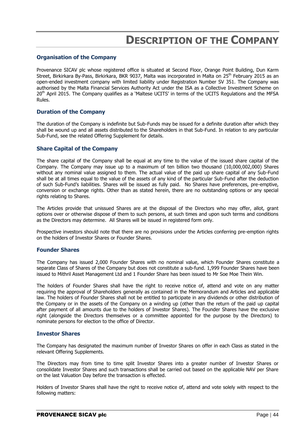# **DESCRIPTION OF THE COMPANY**

## **Organisation of the Company**

Provenance SICAV plc whose registered office is situated at Second Floor, Orange Point Building, Dun Karm Street, Birkirkara By-Pass, Birkirkara, BKR 9037, Malta was incorporated in Malta on 25<sup>th</sup> February 2015 as an open-ended investment company with limited liability under Registration Number SV 351. The Company was authorised by the Malta Financial Services Authority Act under the ISA as a Collective Investment Scheme on 20<sup>th</sup> April 2015. The Company qualifies as a 'Maltese UCITS' in terms of the UCITS Regulations and the MFSA Rules.

#### **Duration of the Company**

The duration of the Company is indefinite but Sub-Funds may be issued for a definite duration after which they shall be wound up and all assets distributed to the Shareholders in that Sub-Fund. In relation to any particular Sub-Fund, see the related Offering Supplement for details.

#### **Share Capital of the Company**

The share capital of the Company shall be equal at any time to the value of the issued share capital of the Company. The Company may issue up to a maximum of ten billion two thousand (10,000,002,000) Shares without any nominal value assigned to them. The actual value of the paid up share capital of any Sub-Fund shall be at all times equal to the value of the assets of any kind of the particular Sub-Fund after the deduction of such Sub-Fund's liabilities. Shares will be issued as fully paid. No Shares have preferences, pre-emptive, conversion or exchange rights. Other than as stated herein, there are no outstanding options or any special rights relating to Shares.

The Articles provide that unissued Shares are at the disposal of the Directors who may offer, allot, grant options over or otherwise dispose of them to such persons, at such times and upon such terms and conditions as the Directors may determine. All Shares will be issued in registered form only.

Prospective investors should note that there are no provisions under the Articles conferring pre-emption rights on the holders of Investor Shares or Founder Shares.

#### **Founder Shares**

The Company has issued 2,000 Founder Shares with no nominal value, which Founder Shares constitute a separate Class of Shares of the Company but does not constitute a sub-fund. 1,999 Founder Shares have been issued to Mithril Asset Management Ltd and 1 Founder Share has been issued to Mr Soe Moe Thein Win.

The holders of Founder Shares shall have the right to receive notice of, attend and vote on any matter requiring the approval of Shareholders generally as contained in the Memorandum and Articles and applicable law. The holders of Founder Shares shall not be entitled to participate in any dividends or other distribution of the Company or in the assets of the Company on a winding up (other than the return of the paid up capital after payment of all amounts due to the holders of Investor Shares). The Founder Shares have the exclusive right (alongside the Directors themselves or a committee appointed for the purpose by the Directors) to nominate persons for election to the office of Director.

#### **Investor Shares**

The Company has designated the maximum number of Investor Shares on offer in each Class as stated in the relevant Offering Supplements.

The Directors may from time to time split Investor Shares into a greater number of Investor Shares or consolidate Investor Shares and such transactions shall be carried out based on the applicable NAV per Share on the last Valuation Day before the transaction is effected.

Holders of Investor Shares shall have the right to receive notice of, attend and vote solely with respect to the following matters: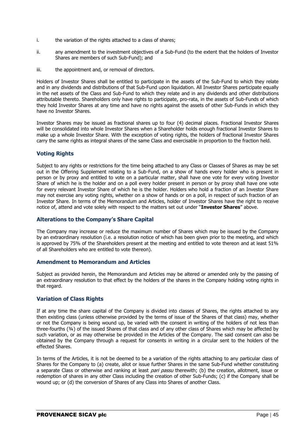- i. the variation of the rights attached to a class of shares;
- ii. any amendment to the investment objectives of a Sub-Fund (to the extent that the holders of Investor Shares are members of such Sub-Fund); and
- iii. the appointment and, or removal of directors.

Holders of Investor Shares shall be entitled to participate in the assets of the Sub-Fund to which they relate and in any dividends and distributions of that Sub-Fund upon liquidation. All Investor Shares participate equally in the net assets of the Class and Sub-Fund to which they relate and in any dividends and other distributions attributable thereto. Shareholders only have rights to participate, pro-rata, in the assets of Sub-Funds of which they hold Investor Shares at any time and have no rights against the assets of other Sub-Funds in which they have no Investor Shares.

Investor Shares may be issued as fractional shares up to four (4) decimal places. Fractional Investor Shares will be consolidated into whole Investor Shares when a Shareholder holds enough fractional Investor Shares to make up a whole Investor Share. With the exception of voting rights, the holders of fractional Investor Shares carry the same rights as integral shares of the same Class and exercisable in proportion to the fraction held.

## **Voting Rights**

Subject to any rights or restrictions for the time being attached to any Class or Classes of Shares as may be set out in the Offering Supplement relating to a Sub-Fund, on a show of hands every holder who is present in person or by proxy and entitled to vote on a particular matter, shall have one vote for every voting Investor Share of which he is the holder and on a poll every holder present in person or by proxy shall have one vote for every relevant Investor Share of which he is the holder. Holders who hold a fraction of an Investor Share may not exercise any voting rights, whether on a show of hands or on a poll, in respect of such fraction of an Investor Share. In terms of the Memorandum and Articles, holder of Investor Shares have the right to receive notice of, attend and vote solely with respect to the matters set out under "**Investor Shares**" above.

## **Alterations to the Company's Share Capital**

The Company may increase or reduce the maximum number of Shares which may be issued by the Company by an extraordinary resolution (i.e. a resolution notice of which has been given prior to the meeting, and which is approved by 75% of the Shareholders present at the meeting and entitled to vote thereon and at least 51% of all Shareholders who are entitled to vote thereon).

## **Amendment to Memorandum and Articles**

Subject as provided herein, the Memorandum and Articles may be altered or amended only by the passing of an extraordinary resolution to that effect by the holders of the shares in the Company holding voting rights in that regard.

## **Variation of Class Rights**

If at any time the share capital of the Company is divided into classes of Shares, the rights attached to any then existing class (unless otherwise provided by the terms of issue of the Shares of that class) may, whether or not the Company is being wound up, be varied with the consent in writing of the holders of not less than three-fourths (¾) of the issued Shares of that class and of any other class of Shares which may be affected by such variation, or as may otherwise be provided in the Articles of the Company. The said consent can also be obtained by the Company through a request for consents in writing in a circular sent to the holders of the effected Shares.

In terms of the Articles, it is not be deemed to be a variation of the rights attaching to any particular class of Shares for the Company to (a) create, allot or issue further Shares in the same Sub-Fund whether constituting a separate Class or otherwise and ranking at least *pari passu* therewith; (b) the creation, allotment, issue or redemption of shares in any other Class including the creation of other Sub-Funds; (c) if the Company shall be wound up; or (d) the conversion of Shares of any Class into Shares of another Class.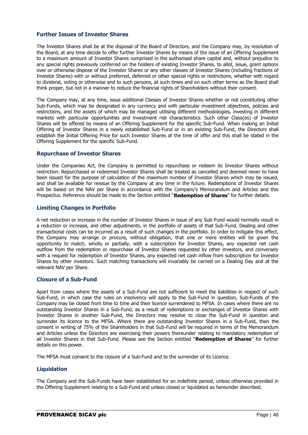## **Further Issues of Investor Shares**

The Investor Shares shall be at the disposal of the Board of Directors, and the Company may, by resolution of the Board, at any time decide to offer further Investor Shares by means of the issue of an Offering Supplement to a maximum amount of Investor Shares comprised in the authorised share capital and, without prejudice to any special rights previously conferred on the holders of existing Investor Shares, to allot, issue, grant options over or otherwise dispose of the Investor Shares or any other classes of Investor Shares (including fractions of Investor Shares) with or without preferred, deferred or other special rights or restrictions, whether with regard to dividend, voting or otherwise and to such persons, at such times and on such other terms as the Board shall think proper, but not in a manner to reduce the financial rights of Shareholders without their consent.

The Company may, at any time, issue additional Classes of Investor Shares whether or not constituting other Sub-Funds, which may be designated in any currency and with particular investment objectives, policies and restrictions, and the assets of which may be managed utilising different methodologies, investing in different markets with particular opportunities and investment risk characteristics. Such other Class(es) of Investor Shares will be offered by means of an Offering Supplement for the specific Sub-Fund. When making an Initial Offering of Investor Shares in a newly established Sub-Fund or in an existing Sub-Fund, the Directors shall establish the Initial Offering Price for such Investor Shares at the time of offer and this shall be stated in the Offering Supplement for the specific Sub-Fund.

## **Repurchase of Investor Shares**

Under the Companies Act, the Company is permitted to repurchase or redeem its Investor Shares without restriction. Repurchased or redeemed Investor Shares shall be treated as cancelled and deemed never to have been issued for the purpose of calculation of the maximum number of Investor Shares which may be issued, and shall be available for reissue by the Company at any time in the future. Redemptions of Investor Shares will be based on the NAV per Share in accordance with the Company's Memorandum and Articles and this Prospectus. Reference should be made to the Section entitled "**Redemption of Shares**" for further details.

## **Limiting Changes in Portfolio**

A net reduction or increase in the number of Investor Shares in issue of any Sub-Fund would normally result in a reduction or increase, and other adjustments, in the portfolio of assets of that Sub-Fund. Dealing and other transactional costs can be incurred as a result of such changes in the portfolio. In order to mitigate this effect, the Company may arrange or procure, without obligation, that one or more entities will be given the opportunity to match, wholly or partially, with a subscription for Investor Shares, any expected net cash outflow from the redemption or repurchase of Investor Shares requested by other investors, and conversely with a request for redemption of Investor Shares, any expected net cash inflow from subscription for Investor Shares by other investors. Such matching transactions will invariably be carried on a Dealing Day and at the relevant NAV per Share.

## **Closure of a Sub-Fund**

Apart from cases where the assets of a Sub-Fund are not sufficient to meet the liabilities in respect of such Sub-Fund, in which case the rules on insolvency will apply to the Sub-Fund in question, Sub-Funds of the Company may be closed from time to time and their licence surrendered to MFSA. In cases where there are no outstanding Investor Shares in a Sub-Fund, as a result of redemptions or exchanges of Investor Shares with Investor Shares in another Sub-Fund, the Directors may resolve to close the Sub-Fund in question and surrender its licence to the MFSA. Where there are outstanding Investor Shares in a Sub-Fund, then the consent in writing of 75% of the Shareholders in that Sub-Fund will be required in terms of the Memorandum and Articles unless the Directors are exercising their powers thereunder relating to mandatory redemption of all Investor Shares in that Sub-Fund. Please see the Section entitled "**Redemption of Shares**" for further details on this power.

The MFSA must consent to the closure of a Sub-Fund and to the surrender of its Licence.

## **Liquidation**

The Company and the Sub-Funds have been established for an indefinite period, unless otherwise provided in the Offering Supplement relating to a Sub-Fund and unless closed or liquidated as hereunder described.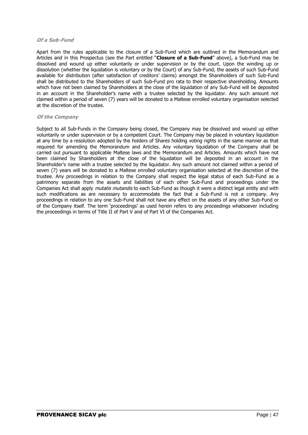#### **Of a Sub-Fund**

Apart from the rules applicable to the closure of a Sub-Fund which are outlined in the Memorandum and Articles and in this Prospectus (see the Part entitled "**Closure of a Sub-Fund**" above), a Sub-Fund may be dissolved and wound up either voluntarily or under supervision or by the court. Upon the winding up or dissolution (whether the liquidation is voluntary or by the Court) of any Sub-Fund, the assets of such Sub-Fund available for distribution (after satisfaction of creditors' claims) amongst the Shareholders of such Sub-Fund shall be distributed to the Shareholders of such Sub-Fund pro rata to their respective shareholding. Amounts which have not been claimed by Shareholders at the close of the liquidation of any Sub-Fund will be deposited in an account in the Shareholder's name with a trustee selected by the liquidator. Any such amount not claimed within a period of seven (7) years will be donated to a Maltese enrolled voluntary organisation selected at the discretion of the trustee.

#### **Of the Company**

Subject to all Sub-Funds in the Company being closed, the Company may be dissolved and wound up either voluntarily or under supervision or by a competent Court. The Company may be placed in voluntary liquidation at any time by a resolution adopted by the holders of Shares holding voting rights in the same manner as that required for amending the Memorandum and Articles. Any voluntary liquidation of the Company shall be carried out pursuant to applicable Maltese laws and the Memorandum and Articles. Amounts which have not been claimed by Shareholders at the close of the liquidation will be deposited in an account in the Shareholder's name with a trustee selected by the liquidator. Any such amount not claimed within a period of seven (7) years will be donated to a Maltese enrolled voluntary organisation selected at the discretion of the trustee. Any proceedings in relation to the Company shall respect the legal status of each Sub-Fund as a patrimony separate from the assets and liabilities of each other Sub-Fund and proceedings under the Companies Act shall apply *mutatis mutandis* to each Sub-Fund as though it were a distinct legal entity and with such modifications as are necessary to accommodate the fact that a Sub-Fund is not a company. Any proceedings in relation to any one Sub-Fund shall not have any effect on the assets of any other Sub-Fund or of the Company itself. The term 'proceedings' as used herein refers to any proceedings whatsoever including the proceedings in terms of Title II of Part V and of Part VI of the Companies Act.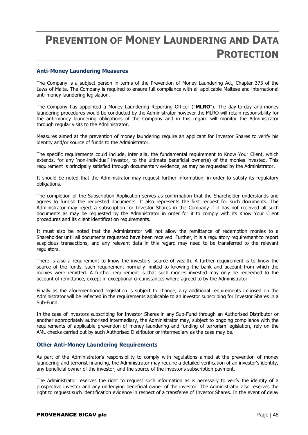# **PREVENTION OF MONEY LAUNDERING AND DATA PROTECTION**

## **Anti-Money Laundering Measures**

The Company is a subject person in terms of the Prevention of Money Laundering Act, Chapter 373 of the Laws of Malta. The Company is required to ensure full compliance with all applicable Maltese and international anti-money laundering legislation.

The Company has appointed a Money Laundering Reporting Officer ("**MLRO**"). The day-to-day anti-money laundering procedures would be conducted by the Administrator however the MLRO will retain responsibility for the anti-money laundering obligations of the Company and in this regard will monitor the Administrator through regular visits to the Administrator.

Measures aimed at the prevention of money laundering require an applicant for Investor Shares to verify his identity and/or source of funds to the Administrator.

The specific requirements could include, inter alia, the fundamental requirement to Know Your Client, which extends, for any 'non-individual' investor, to the ultimate beneficial owner(s) of the monies invested. This requirement is principally satisfied through documentary evidence, as may be requested by the Administrator.

It should be noted that the Administrator may request further information, in order to satisfy its regulatory obligations.

The completion of the Subscription Application serves as confirmation that the Shareholder understands and agrees to furnish the requested documents. It also represents the first request for such documents. The Administrator may reject a subscription for Investor Shares in the Company if it has not received all such documents as may be requested by the Administrator in order for it to comply with its Know Your Client procedures and its client identification requirements.

It must also be noted that the Administrator will not allow the remittance of redemption monies to a Shareholder until all documents requested have been received. Further, it is a regulatory requirement to report suspicious transactions, and any relevant data in this regard may need to be transferred to the relevant regulators.

There is also a requirement to know the investors' source of wealth. A further requirement is to know the source of the funds, such requirement normally limited to knowing the bank and account from which the monies were remitted. A further requirement is that such monies invested may only be redeemed to the account of remittance, except in exceptional circumstances where agreed to by the Administrator.

Finally as the aforementioned legislation is subject to change, any additional requirements imposed on the Administrator will be reflected in the requirements applicable to an investor subscribing for Investor Shares in a Sub-Fund.

In the case of investors subscribing for Investor Shares in any Sub-Fund through an Authorised Distributor or another appropriately authorised intermediary, the Administrator may, subject to ongoing compliance with the requirements of applicable prevention of money laundering and funding of terrorism legislation, rely on the AML checks carried out by such Authorised Distributor or intermediary as the case may be.

## **Other Anti-Money Laundering Requirements**

As part of the Administrator's responsibility to comply with regulations aimed at the prevention of money laundering and terrorist financing, the Administrator may require a detailed verification of an investor's identity, any beneficial owner of the investor, and the source of the investor's subscription payment.

The Administrator reserves the right to request such information as is necessary to verify the identity of a prospective investor and any underlying beneficial owner of the investor. The Administrator also reserves the right to request such identification evidence in respect of a transferee of Investor Shares. In the event of delay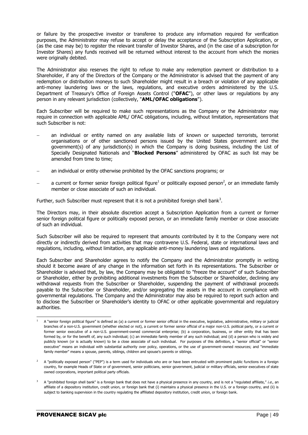or failure by the prospective investor or transferee to produce any information required for verification purposes, the Administrator may refuse to accept or delay the acceptance of the Subscription Application, or (as the case may be) to register the relevant transfer of Investor Shares, and (in the case of a subscription for Investor Shares) any funds received will be returned without interest to the account from which the monies were originally debited.

The Administrator also reserves the right to refuse to make any redemption payment or distribution to a Shareholder, if any of the Directors of the Company or the Administrator is advised that the payment of any redemption or distribution moneys to such Shareholder might result in a breach or violation of any applicable anti-money laundering laws or the laws, regulations, and executive orders administered by the U.S. Department of Treasury's Office of Foreign Assets Control ("**OFAC**"), or other laws or regulations by any person in any relevant jurisdiction (collectively, "**AML/OFAC obligations**").

Each Subscriber will be required to make such representations as the Company or the Administrator may require in connection with applicable AML/ OFAC obligations, including, without limitation, representations that such Subscriber is not:

- an individual or entity named on any available lists of known or suspected terrorists, terrorist organisations or of other sanctioned persons issued by the United States government and the government(s) of any jurisdiction(s) in which the Company is doing business, including the List of Specially Designated Nationals and "**Blocked Persons**" administered by OFAC as such list may be amended from time to time;
- an individual or entity otherwise prohibited by the OFAC sanctions programs; or
- $-$  a current or former senior foreign political figure<sup>1</sup> or politically exposed person<sup>2</sup>, or an immediate family member or close associate of such an individual.

Further, such Subscriber must represent that it is not a prohibited foreign shell bank<sup>3</sup>.

The Directors may, in their absolute discretion accept a Subscription Application from a current or former senior foreign political figure or politically exposed person, or an immediate family member or close associate of such an individual.

Such Subscriber will also be required to represent that amounts contributed by it to the Company were not directly or indirectly derived from activities that may contravene U.S. Federal, state or international laws and regulations, including, without limitation, any applicable anti-money laundering laws and regulations.

Each Subscriber and Shareholder agrees to notify the Company and the Administrator promptly in writing should it become aware of any change in the information set forth in its representations. The Subscriber or Shareholder is advised that, by law, the Company may be obligated to "freeze the account" of such Subscriber or Shareholder, either by prohibiting additional investments from the Subscriber or Shareholder, declining any withdrawal requests from the Subscriber or Shareholder, suspending the payment of withdrawal proceeds payable to the Subscriber or Shareholder, and/or segregating the assets in the account in compliance with governmental regulations. The Company and the Administrator may also be required to report such action and to disclose the Subscriber or Shareholder's identity to OFAC or other applicable governmental and regulatory authorities.

 $\overline{a}$ <sup>1</sup> A "senior foreign political figure" is defined as (a) a current or former senior official in the executive, legislative, administrative, military or judicial branches of a non-U.S. government (whether elected or not), a current or former senior official of a major non-U.S. political party, or a current or former senior executive of a non-U.S. government-owned commercial enterprise; (b) a corporation, business, or other entity that has been formed by, or for the benefit of, any such individual; (c) an immediate family member of any such individual; and (d) a person who is widely and publicly known (or is actually known) to be a close associate of such individual. For purposes of this definition, a "senior official" or "senior executive" means an individual with substantial authority over policy, operations, or the use of government-owned resources; and "immediate family member" means a spouse, parents, siblings, children and spouse's parents or siblings.

<sup>&</sup>lt;sup>2</sup> A "politically exposed person" ("PEP") is a term used for individuals who are or have been entrusted with prominent public functions in a foreign country, for example Heads of State or of government, senior politicians, senior government, judicial or military officials, senior executives of state owned corporations, important political party officials.

A "prohibited foreign shell bank" is a foreign bank that does not have a physical presence in any country, and is not a "regulated affiliate," i.e., an affiliate of a depository institution, credit union, or foreign bank that (i) maintains a physical presence in the U.S. or a foreign country, and (ii) is subject to banking supervision in the country regulating the affiliated depository institution, credit union, or foreign bank.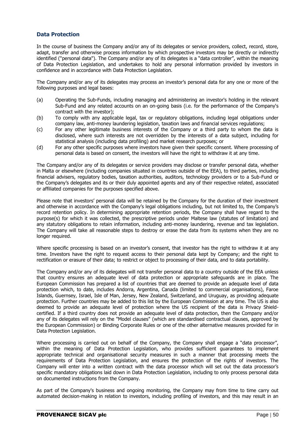## **Data Protection**

In the course of business the Company and/or any of its delegates or service providers, collect, record, store, adapt, transfer and otherwise process information by which prospective investors may be directly or indirectly identified ("personal data"). The Company and/or any of its delegates is a "data controller", within the meaning of Data Protection Legislation, and undertakes to hold any personal information provided by investors in confidence and in accordance with Data Protection Legislation.

The Company and/or any of its delegates may process an investor's personal data for any one or more of the following purposes and legal bases:

- (a) Operating the Sub-Funds, including managing and administering an investor's holding in the relevant Sub-Fund and any related accounts on an on-going basis (i.e. for the performance of the Company's contract with the investor);
- (b) To comply with any applicable legal, tax or regulatory obligations, including legal obligations under company law, anti-money laundering legislation, taxation laws and financial services regulations;
- (c) For any other legitimate business interests of the Company or a third party to whom the data is disclosed, where such interests are not overridden by the interests of a data subject, including for statistical analysis (including data profiling) and market research purposes; or
- (d) For any other specific purposes where investors have given their specific consent. Where processing of personal data is based on consent, the investors will have the right to withdraw it at any time.

The Company and/or any of its delegates or service providers may disclose or transfer personal data, whether in Malta or elsewhere (including companies situated in countries outside of the EEA), to third parties, including financial advisers, regulatory bodies, taxation authorities, auditors, technology providers or to a Sub-Fund or the Company's delegates and its or their duly appointed agents and any of their respective related, associated or affiliated companies for the purposes specified above.

Please note that investors' personal data will be retained by the Company for the duration of their investment and otherwise in accordance with the Company's legal obligations including, but not limited to, the Company's record retention policy. In determining appropriate retention periods, the Company shall have regard to the purpose(s) for which it was collected, the prescriptive periods under Maltese law (statutes of limitation) and any statutory obligations to retain information, including anti-money laundering, revenue and tax legislation. The Company will take all reasonable steps to destroy or erase the data from its systems when they are no longer required.

Where specific processing is based on an investor's consent, that investor has the right to withdraw it at any time. Investors have the right to request access to their personal data kept by Company; and the right to rectification or erasure of their data; to restrict or object to processing of their data, and to data portability.

The Company and/or any of its delegates will not transfer personal data to a country outside of the EEA unless that country ensures an adequate level of data protection or appropriate safeguards are in place. The European Commission has prepared a list of countries that are deemed to provide an adequate level of data protection which, to date, includes Andorra, Argentina, Canada (limited to commercial organisations), Faroe Islands, Guernsey, Israel, Isle of Man, Jersey, New Zealand, Switzerland, and Uruguay, as providing adequate protection. Further countries may be added to this list by the European Commission at any time. The US is also deemed to provide an adequate level of protection where the US recipient of the data is Privacy Shieldcertified. If a third country does not provide an adequate level of data protection, then the Company and/or any of its delegates will rely on the "Model clauses" (which are standardised contractual clauses, approved by the European Commission) or Binding Corporate Rules or one of the other alternative measures provided for in Data Protection Legislation.

Where processing is carried out on behalf of the Company, the Company shall engage a "data processor", within the meaning of Data Protection Legislation, who provides sufficient guarantees to implement appropriate technical and organisational security measures in such a manner that processing meets the requirements of Data Protection Legislation, and ensures the protection of the rights of investors. The Company will enter into a written contract with the data processor which will set out the data processor's specific mandatory obligations laid down in Data Protection Legislation, including to only process personal data on documented instructions from the Company.

As part of the Company's business and ongoing monitoring, the Company may from time to time carry out automated decision-making in relation to investors, including profiling of investors, and this may result in an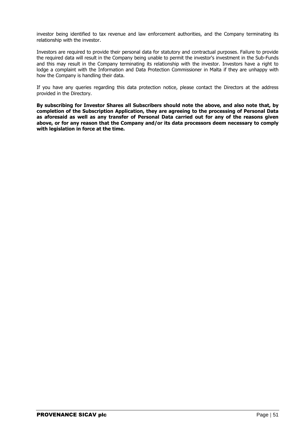investor being identified to tax revenue and law enforcement authorities, and the Company terminating its relationship with the investor.

Investors are required to provide their personal data for statutory and contractual purposes. Failure to provide the required data will result in the Company being unable to permit the investor's investment in the Sub-Funds and this may result in the Company terminating its relationship with the investor. Investors have a right to lodge a complaint with the Information and Data Protection Commissioner in Malta if they are unhappy with how the Company is handling their data.

If you have any queries regarding this data protection notice, please contact the Directors at the address provided in the Directory.

**By subscribing for Investor Shares all Subscribers should note the above, and also note that, by completion of the Subscription Application, they are agreeing to the processing of Personal Data as aforesaid as well as any transfer of Personal Data carried out for any of the reasons given above, or for any reason that the Company and/or its data processors deem necessary to comply with legislation in force at the time.**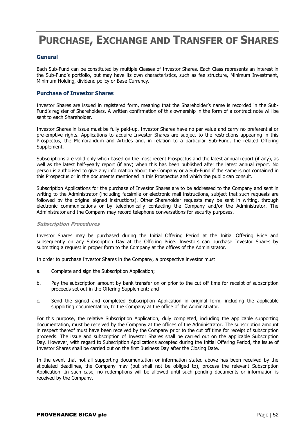# **PURCHASE, EXCHANGE AND TRANSFER OF SHARES**

## **General**

Each Sub-Fund can be constituted by multiple Classes of Investor Shares. Each Class represents an interest in the Sub-Fund's portfolio, but may have its own characteristics, such as fee structure, Minimum Investment, Minimum Holding, dividend policy or Base Currency.

## **Purchase of Investor Shares**

Investor Shares are issued in registered form, meaning that the Shareholder's name is recorded in the Sub-Fund's register of Shareholders. A written confirmation of this ownership in the form of a contract note will be sent to each Shareholder.

Investor Shares in issue must be fully paid-up. Investor Shares have no par value and carry no preferential or pre-emptive rights. Applications to acquire Investor Shares are subject to the restrictions appearing in this Prospectus, the Memorandum and Articles and, in relation to a particular Sub-Fund, the related Offering Supplement.

Subscriptions are valid only when based on the most recent Prospectus and the latest annual report (if any), as well as the latest half-yearly report (if any) when this has been published after the latest annual report. No person is authorised to give any information about the Company or a Sub-Fund if the same is not contained in this Prospectus or in the documents mentioned in this Prospectus and which the public can consult.

Subscription Applications for the purchase of Investor Shares are to be addressed to the Company and sent in writing to the Administrator (including facsimile or electronic mail instructions, subject that such requests are followed by the original signed instructions). Other Shareholder requests may be sent in writing, through electronic communications or by telephonically contacting the Company and/or the Administrator. The Administrator and the Company may record telephone conversations for security purposes.

#### **Subscription Procedures**

Investor Shares may be purchased during the Initial Offering Period at the Initial Offering Price and subsequently on any Subscription Day at the Offering Price. Investors can purchase Investor Shares by submitting a request in proper form to the Company at the offices of the Administrator.

In order to purchase Investor Shares in the Company, a prospective investor must:

- a. Complete and sign the Subscription Application;
- b. Pay the subscription amount by bank transfer on or prior to the cut off time for receipt of subscription proceeds set out in the Offering Supplement; and
- c. Send the signed and completed Subscription Application in original form, including the applicable supporting documentation, to the Company at the office of the Administrator.

For this purpose, the relative Subscription Application, duly completed, including the applicable supporting documentation, must be received by the Company at the offices of the Administrator. The subscription amount in respect thereof must have been received by the Company prior to the cut off time for receipt of subscription proceeds. The issue and subscription of Investor Shares shall be carried out on the applicable Subscription Day. However, with regard to Subscription Applications accepted during the Initial Offering Period, the issue of Investor Shares shall be carried out on the first Business Day after the Closing Date.

In the event that not all supporting documentation or information stated above has been received by the stipulated deadlines, the Company may (but shall not be obliged to), process the relevant Subscription Application. In such case, no redemptions will be allowed until such pending documents or information is received by the Company.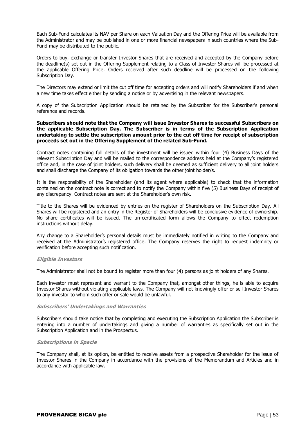Each Sub-Fund calculates its NAV per Share on each Valuation Day and the Offering Price will be available from the Administrator and may be published in one or more financial newspapers in such countries where the Sub-Fund may be distributed to the public.

Orders to buy, exchange or transfer Investor Shares that are received and accepted by the Company before the deadline(s) set out in the Offering Supplement relating to a Class of Investor Shares will be processed at the applicable Offering Price. Orders received after such deadline will be processed on the following Subscription Day.

The Directors may extend or limit the cut off time for accepting orders and will notify Shareholders if and when a new time takes effect either by sending a notice or by advertising in the relevant newspapers.

A copy of the Subscription Application should be retained by the Subscriber for the Subscriber's personal reference and records.

#### **Subscribers should note that the Company will issue Investor Shares to successful Subscribers on the applicable Subscription Day. The Subscriber is in terms of the Subscription Application undertaking to settle the subscription amount prior to the cut off time for receipt of subscription proceeds set out in the Offering Supplement of the related Sub-Fund.**

Contract notes containing full details of the investment will be issued within four (4) Business Days of the relevant Subscription Day and will be mailed to the correspondence address held at the Company's registered office and, in the case of joint holders, such delivery shall be deemed as sufficient delivery to all joint holders and shall discharge the Company of its obligation towards the other joint holder/s.

It is the responsibility of the Shareholder (and its agent where applicable) to check that the information contained on the contract note is correct and to notify the Company within five (5) Business Days of receipt of any discrepancy. Contract notes are sent at the Shareholder's own risk.

Title to the Shares will be evidenced by entries on the register of Shareholders on the Subscription Day. All Shares will be registered and an entry in the Register of Shareholders will be conclusive evidence of ownership. No share certificates will be issued. The un-certificated form allows the Company to effect redemption instructions without delay.

Any change to a Shareholder's personal details must be immediately notified in writing to the Company and received at the Administrator's registered office. The Company reserves the right to request indemnity or verification before accepting such notification.

#### **Eligible Investors**

The Administrator shall not be bound to register more than four (4) persons as joint holders of any Shares.

Each investor must represent and warrant to the Company that, amongst other things, he is able to acquire Investor Shares without violating applicable laws. The Company will not knowingly offer or sell Investor Shares to any investor to whom such offer or sale would be unlawful.

#### **Subscribers' Undertakings and Warranties**

Subscribers should take notice that by completing and executing the Subscription Application the Subscriber is entering into a number of undertakings and giving a number of warranties as specifically set out in the Subscription Application and in the Prospectus.

#### **Subscriptions in Specie**

The Company shall, at its option, be entitled to receive assets from a prospective Shareholder for the issue of Investor Shares in the Company in accordance with the provisions of the Memorandum and Articles and in accordance with applicable law.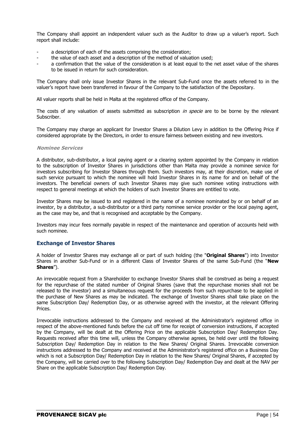The Company shall appoint an independent valuer such as the Auditor to draw up a valuer's report. Such report shall include:

- a description of each of the assets comprising the consideration;
- the value of each asset and a description of the method of valuation used;
- a confirmation that the value of the consideration is at least equal to the net asset value of the shares to be issued in return for such consideration.

The Company shall only issue Investor Shares in the relevant Sub-Fund once the assets referred to in the valuer's report have been transferred in favour of the Company to the satisfaction of the Depositary.

All valuer reports shall be held in Malta at the registered office of the Company.

The costs of any valuation of assets submitted as subscription in specie are to be borne by the relevant Subscriber.

The Company may charge an applicant for Investor Shares a Dilution Levy in addition to the Offering Price if considered appropriate by the Directors, in order to ensure fairness between existing and new investors.

#### **Nominee Services**

A distributor, sub-distributor, a local paying agent or a clearing system appointed by the Company in relation to the subscription of Investor Shares in jurisdictions other than Malta may provide a nominee service for investors subscribing for Investor Shares through them. Such investors may, at their discretion, make use of such service pursuant to which the nominee will hold Investor Shares in its name for and on behalf of the investors. The beneficial owners of such Investor Shares may give such nominee voting instructions with respect to general meetings at which the holders of such Investor Shares are entitled to vote.

Investor Shares may be issued to and registered in the name of a nominee nominated by or on behalf of an investor, by a distributor, a sub-distributor or a third party nominee service provider or the local paying agent, as the case may be, and that is recognised and acceptable by the Company.

Investors may incur fees normally payable in respect of the maintenance and operation of accounts held with such nominee.

## **Exchange of Investor Shares**

A holder of Investor Shares may exchange all or part of such holding (the "**Original Shares**") into Investor Shares in another Sub-Fund or in a different Class of Investor Shares of the same Sub-Fund (the "**New Shares**").

An irrevocable request from a Shareholder to exchange Investor Shares shall be construed as being a request for the repurchase of the stated number of Original Shares (save that the repurchase monies shall not be released to the investor) and a simultaneous request for the proceeds from such repurchase to be applied in the purchase of New Shares as may be indicated. The exchange of Investor Shares shall take place on the same Subscription Day/ Redemption Day, or as otherwise agreed with the investor, at the relevant Offering Prices.

Irrevocable instructions addressed to the Company and received at the Administrator's registered office in respect of the above-mentioned funds before the cut off time for receipt of conversion instructions, if accepted by the Company, will be dealt at the Offering Price on the applicable Subscription Day/ Redemption Day. Requests received after this time will, unless the Company otherwise agrees, be held over until the following Subscription Day/ Redemption Day in relation to the New Shares/ Original Shares. Irrevocable conversion instructions addressed to the Company and received at the Administrator's registered office on a Business Day which is not a Subscription Day/ Redemption Day in relation to the New Shares/ Original Shares, if accepted by the Company, will be carried over to the following Subscription Day/ Redemption Day and dealt at the NAV per Share on the applicable Subscription Day/ Redemption Day.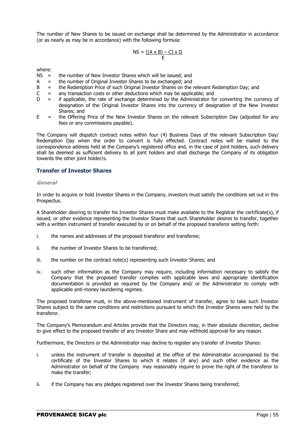The number of New Shares to be issued on exchange shall be determined by the Administrator in accordance (or as nearly as may be in accordance) with the following formula:

$$
NS = \frac{[(A \times B) - C] \times D}{E}
$$

where:

- NS = the number of New Investor Shares which will be issued; and
- A = the number of Original Investor Shares to be exchanged; and
- $B =$  the Redemption Price of such Original Investor Shares on the relevant Redemption Day; and
- $C =$  any transaction costs or other deductions which may be applicable; and
- $D =$  if applicable, the rate of exchange determined by the Administrator for converting the currency of designation of the Original Investor Shares into the currency of designation of the New Investor Shares; and
- $E =$  the Offering Price of the New Investor Shares on the relevant Subscription Day (adjusted for any fees or any commissions payable).

The Company will dispatch contract notes within four (4) Business Days of the relevant Subscription Day/ Redemption Day when the order to convert is fully effected. Contract notes will be mailed to the correspondence address held at the Company's registered office and, in the case of joint holders, such delivery shall be deemed as sufficient delivery to all joint holders and shall discharge the Company of its obligation towards the other joint holder/s.

## **Transfer of Investor Shares**

#### **General**

In order to acquire or hold Investor Shares in the Company, investors must satisfy the conditions set out in this Prospectus.

A Shareholder desiring to transfer his Investor Shares must make available to the Registrar the certificate(s), if issued, or other evidence representing the Investor Shares that such Shareholder desires to transfer, together with a written instrument of transfer executed by or on behalf of the proposed transferor setting forth:

- i. the names and addresses of the proposed transferor and transferee;
- ii. the number of Investor Shares to be transferred;
- iii. the number on the contract note(s) representing such Investor Shares; and
- iv. such other information as the Company may require, including information necessary to satisfy the Company that the proposed transfer complies with applicable laws and appropriate identification documentation is provided as required by the Company and/ or the Administrator to comply with applicable anti-money laundering regimes.

The proposed transferee must, in the above-mentioned instrument of transfer, agree to take such Investor Shares subject to the same conditions and restrictions pursuant to which the Investor Shares were held by the transferor.

The Company's Memorandum and Articles provide that the Directors may, in their absolute discretion, decline to give effect to the proposed transfer of any Investor Share and may withhold approval for any reason.

Furthermore, the Directors or the Administrator may decline to register any transfer of Investor Shares:

- i. unless the instrument of transfer is deposited at the office of the Administrator accompanied by the certificate of the Investor Shares to which it relates (if any) and such other evidence as the Administrator on behalf of the Company may reasonably require to prove the right of the transferor to make the transfer;
- ii. if the Company has any pledges registered over the Investor Shares being transferred;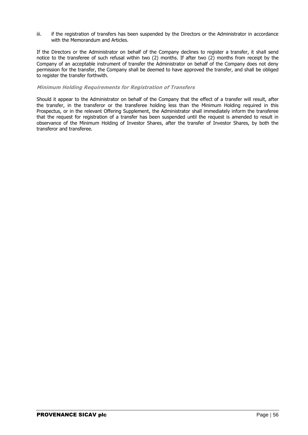iii. if the registration of transfers has been suspended by the Directors or the Administrator in accordance with the Memorandum and Articles.

If the Directors or the Administrator on behalf of the Company declines to register a transfer, it shall send notice to the transferee of such refusal within two (2) months. If after two (2) months from receipt by the Company of an acceptable instrument of transfer the Administrator on behalf of the Company does not deny permission for the transfer, the Company shall be deemed to have approved the transfer, and shall be obliged to register the transfer forthwith.

#### **Minimum Holding Requirements for Registration of Transfers**

Should it appear to the Administrator on behalf of the Company that the effect of a transfer will result, after the transfer, in the transferor or the transferee holding less than the Minimum Holding required in this Prospectus, or in the relevant Offering Supplement, the Administrator shall immediately inform the transferee that the request for registration of a transfer has been suspended until the request is amended to result in observance of the Minimum Holding of Investor Shares, after the transfer of Investor Shares, by both the transferor and transferee.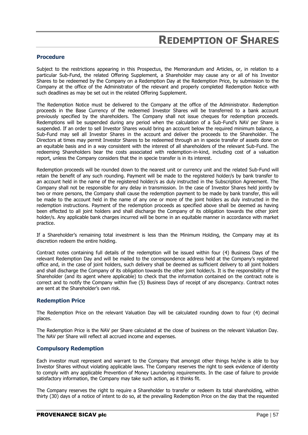## **REDEMPTION OF SHARES**

#### **Procedure**

Subject to the restrictions appearing in this Prospectus, the Memorandum and Articles, or, in relation to a particular Sub-Fund, the related Offering Supplement, a Shareholder may cause any or all of his Investor Shares to be redeemed by the Company on a Redemption Day at the Redemption Price, by submission to the Company at the office of the Administrator of the relevant and properly completed Redemption Notice with such deadlines as may be set out in the related Offering Supplement.

The Redemption Notice must be delivered to the Company at the office of the Administrator. Redemption proceeds in the Base Currency of the redeemed Investor Shares will be transferred to a bank account previously specified by the shareholders. The Company shall not issue cheques for redemption proceeds. Redemptions will be suspended during any period when the calculation of a Sub-Fund's NAV per Share is suspended. If an order to sell Investor Shares would bring an account below the required minimum balance, a Sub-Fund may sell all Investor Shares in the account and deliver the proceeds to the Shareholder. The Directors at times may permit Investor Shares to be redeemed through an in specie transfer of assets done on an equitable basis and in a way consistent with the interest of all shareholders of the relevant Sub-Fund. The redeeming Shareholders bear the costs associated with redemption-in-kind, including cost of a valuation report, unless the Company considers that the in specie transfer is in its interest.

Redemption proceeds will be rounded down to the nearest unit or currency unit and the related Sub-Fund will retain the benefit of any such rounding. Payment will be made to the registered holder/s by bank transfer to an account held in the name of the registered holder/s as duly instructed in the Subscription Agreement. The Company shall not be responsible for any delay in transmission. In the case of Investor Shares held jointly by two or more persons, the Company shall cause the redemption payment to be made by bank transfer, this will be made to the account held in the name of any one or more of the joint holders as duly instructed in the redemption instructions. Payment of the redemption proceeds as specified above shall be deemed as having been effected to all joint holders and shall discharge the Company of its obligation towards the other joint holder/s. Any applicable bank charges incurred will be borne in an equitable manner in accordance with market practice.

If a Shareholder's remaining total investment is less than the Minimum Holding, the Company may at its discretion redeem the entire holding.

Contract notes containing full details of the redemption will be issued within four (4) Business Days of the relevant Redemption Day and will be mailed to the correspondence address held at the Company's registered office and, in the case of joint holders, such delivery shall be deemed as sufficient delivery to all joint holders and shall discharge the Company of its obligation towards the other joint holder/s. It is the responsibility of the Shareholder (and its agent where applicable) to check that the information contained on the contract note is correct and to notify the Company within five (5) Business Days of receipt of any discrepancy. Contract notes are sent at the Shareholder's own risk.

## **Redemption Price**

The Redemption Price on the relevant Valuation Day will be calculated rounding down to four (4) decimal places.

The Redemption Price is the NAV per Share calculated at the close of business on the relevant Valuation Day. The NAV per Share will reflect all accrued income and expenses.

#### **Compulsory Redemption**

Each investor must represent and warrant to the Company that amongst other things he/she is able to buy Investor Shares without violating applicable laws. The Company reserves the right to seek evidence of identity to comply with any applicable Prevention of Money Laundering requirements. In the case of failure to provide satisfactory information, the Company may take such action, as it thinks fit.

The Company reserves the right to require a Shareholder to transfer or redeem its total shareholding, within thirty (30) days of a notice of intent to do so, at the prevailing Redemption Price on the day that the requested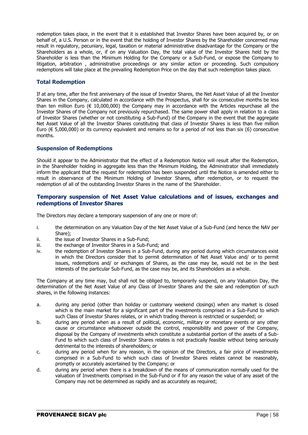redemption takes place, in the event that it is established that Investor Shares have been acquired by, or on behalf of, a U.S. Person or in the event that the holding of Investor Shares by the Shareholder concerned may result in regulatory, pecuniary, legal, taxation or material administrative disadvantage for the Company or the Shareholders as a whole, or, if on any Valuation Day, the total value of the Investor Shares held by the Shareholder is less than the Minimum Holding for the Company or a Sub-Fund, or expose the Company to litigation, arbitration , administrative proceedings or any similar action or proceeding. Such compulsory redemptions will take place at the prevailing Redemption Price on the day that such redemption takes place.

## **Total Redemption**

If at any time, after the first anniversary of the issue of Investor Shares, the Net Asset Value of all the Investor Shares in the Company, calculated in accordance with the Prospectus, shall for six consecutive months be less than ten million Euro ( $\in$  10,000,000) the Company may in accordance with the Articles repurchase all the Investor Shares of the Company not previously repurchased. The same power shall apply in relation to a class of Investor Shares (whether or not constituting a Sub-Fund) of the Company in the event that the aggregate Net Asset Value of all the Investor Shares constituting that class of Investor Shares is less than five million Euro ( $\epsilon$  5,000,000) or its currency equivalent and remains so for a period of not less than six (6) consecutive months.

## **Suspension of Redemptions**

Should it appear to the Administrator that the effect of a Redemption Notice will result after the Redemption, in the Shareholder holding in aggregate less than the Minimum Holding, the Administrator shall immediately inform the applicant that the request for redemption has been suspended until the Notice is amended either to result in observance of the Minimum Holding of Investor Shares, after redemption, or to request the redemption of all of the outstanding Investor Shares in the name of the Shareholder.

## **Temporary suspension of Net Asset Value calculations and of issues, exchanges and redemptions of Investor Shares**

The Directors may declare a temporary suspension of any one or more of:

- i. the determination on any Valuation Day of the Net Asset Value of a Sub-Fund (and hence the NAV per Share);
- ii. the issue of Investor Shares in a Sub-Fund;
- iii. the exchange of Investor Shares in a Sub-Fund; and
- iv. the redemption of Investor Shares in a Sub-Fund, during any period during which circumstances exist in which the Directors consider that to permit determination of Net Asset Value and/ or to permit issues, redemptions and/ or exchanges of Shares, as the case may be, would not be in the best interests of the particular Sub-Fund, as the case may be, and its Shareholders as a whole.

The Company at any time may, but shall not be obliged to, temporarily suspend, on any Valuation Day, the determination of the Net Asset Value of any Class of Investor Shares and the sale and redemption of such shares, in the following instances:

- a. during any period (other than holiday or customary weekend closings) when any market is closed which is the main market for a significant part of the investments comprised in a Sub-Fund to which such Class of Investor Shares relates, or in which trading thereon is restricted or suspended; or
- b. during any period when as a result of political, economic, military or monetary events or any other cause or circumstance whatsoever outside the control, responsibility and power of the Company, disposal by the Company of investments which constitute a substantial portion of the assets of a Sub-Fund to which such class of Investor Shares relates is not practically feasible without being seriously detrimental to the interests of shareholders; or
- c. during any period when for any reason, in the opinion of the Directors, a fair price of investments comprised in a Sub-Fund to which such class of Investor Shares relates cannot be reasonably, promptly or accurately ascertained by the Company; or
- d. during any period when there is a breakdown of the means of communication normally used for the valuation of Investments comprised in the Sub-Fund or if for any reason the value of any asset of the Company may not be determined as rapidly and as accurately as required;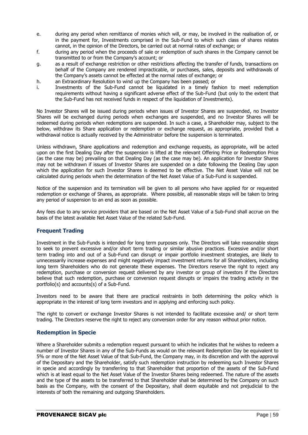- e. during any period when remittance of monies which will, or may, be involved in the realisation of, or in the payment for, Investments comprised in the Sub-Fund to which such class of shares relates cannot, in the opinion of the Directors, be carried out at normal rates of exchange; or
- f. during any period when the proceeds of sale or redemption of such shares in the Company cannot be transmitted to or from the Company's account; or
- g. as a result of exchange restriction or other restrictions affecting the transfer of funds, transactions on behalf of the Company are rendered impracticable, or purchases, sales, deposits and withdrawals of the Company's assets cannot be effected at the normal rates of exchange; or
- h. an Extraordinary Resolution to wind up the Company has been passed; or
- i. Investments of the Sub-Fund cannot be liquidated in a timely fashion to meet redemption requirements without having a significant adverse effect of the Sub-Fund (but only to the extent that the Sub-Fund has not received funds in respect of the liquidation of Investments).

No Investor Shares will be issued during periods when issues of Investor Shares are suspended, no Investor Shares will be exchanged during periods when exchanges are suspended, and no Investor Shares will be redeemed during periods when redemptions are suspended. In such a case, a Shareholder may, subject to the below, withdraw its Share application or redemption or exchange request, as appropriate, provided that a withdrawal notice is actually received by the Administrator before the suspension is terminated.

Unless withdrawn, Share applications and redemption and exchange requests, as appropriate, will be acted upon on the first Dealing Day after the suspension is lifted at the relevant Offering Price or Redemption Price (as the case may be) prevailing on that Dealing Day (as the case may be). An application for Investor Shares may not be withdrawn if issues of Investor Shares are suspended on a date following the Dealing Day upon which the application for such Investor Shares is deemed to be effective. The Net Asset Value will not be calculated during periods when the determination of the Net Asset Value of a Sub-Fund is suspended.

Notice of the suspension and its termination will be given to all persons who have applied for or requested redemption or exchange of Shares, as appropriate. Where possible, all reasonable steps will be taken to bring any period of suspension to an end as soon as possible.

Any fees due to any service providers that are based on the Net Asset Value of a Sub-Fund shall accrue on the basis of the latest available Net Asset Value of the related Sub-Fund.

## **Frequent Trading**

Investment in the Sub-Funds is intended for long term purposes only. The Directors will take reasonable steps to seek to prevent excessive and/or short term trading or similar abusive practices. Excessive and/or short term trading into and out of a Sub-Fund can disrupt or impair portfolio investment strategies, are likely to unnecessarily increase expenses and might negatively impact investment returns for all Shareholders, including long term Shareholders who do not generate these expenses. The Directors reserve the right to reject any redemption, purchase or conversion request delivered by any investor or group of investors if the Directors believe that such redemption, purchase or conversion request disrupts or impairs the trading activity in the portfolio(s) and accounts(s) of a Sub-Fund.

Investors need to be aware that there are practical restraints in both determining the policy which is appropriate in the interest of long term investors and in applying and enforcing such policy.

The right to convert or exchange Investor Shares is not intended to facilitate excessive and/ or short term trading. The Directors reserve the right to reject any conversion order for any reason without prior notice.

## **Redemption in Specie**

Where a Shareholder submits a redemption request pursuant to which he indicates that he wishes to redeem a number of Investor Shares in any of the Sub-Funds as would on the relevant Redemption Day be equivalent to 5% or more of the Net Asset Value of that Sub-Fund, the Company may, in its discretion and with the approval of the Depositary and the Shareholder, satisfy such redemption instruction by redeeming such Investor Shares in specie and accordingly by transferring to that Shareholder that proportion of the assets of the Sub-Fund which is at least equal to the Net Asset Value of the Investor Shares being redeemed. The nature of the assets and the type of the assets to be transferred to that Shareholder shall be determined by the Company on such basis as the Company, with the consent of the Depositary, shall deem equitable and not prejudicial to the interests of both the remaining and outgoing Shareholders.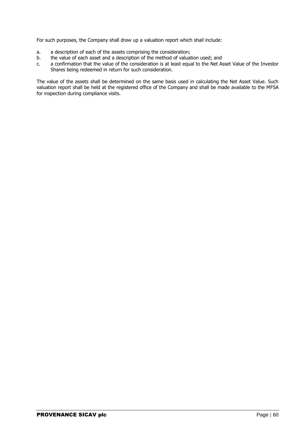For such purposes, the Company shall draw up a valuation report which shall include:

- a. a description of each of the assets comprising the consideration;
- b. the value of each asset and a description of the method of valuation used; and
- c. a confirmation that the value of the consideration is at least equal to the Net Asset Value of the Investor Shares being redeemed in return for such consideration.

The value of the assets shall be determined on the same basis used in calculating the Net Asset Value. Such valuation report shall be held at the registered office of the Company and shall be made available to the MFSA for inspection during compliance visits.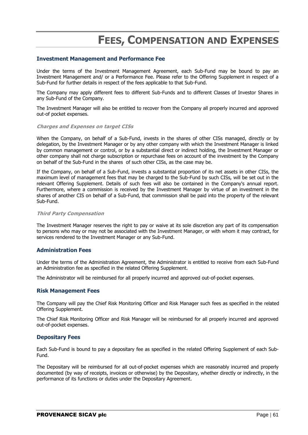# **FEES, COMPENSATION AND EXPENSES**

#### **Investment Management and Performance Fee**

Under the terms of the Investment Management Agreement, each Sub-Fund may be bound to pay an Investment Management and/ or a Performance Fee. Please refer to the Offering Supplement in respect of a Sub-Fund for further details in respect of the fees applicable to that Sub-Fund.

The Company may apply different fees to different Sub-Funds and to different Classes of Investor Shares in any Sub-Fund of the Company.

The Investment Manager will also be entitled to recover from the Company all properly incurred and approved out-of pocket expenses.

#### **Charges and Expenses on target CISs**

When the Company, on behalf of a Sub-Fund, invests in the shares of other CISs managed, directly or by delegation, by the Investment Manager or by any other company with which the Investment Manager is linked by common management or control, or by a substantial direct or indirect holding, the Investment Manager or other company shall not charge subscription or repurchase fees on account of the investment by the Company on behalf of the Sub-Fund in the shares of such other CISs, as the case may be.

If the Company, on behalf of a Sub-Fund, invests a substantial proportion of its net assets in other CISs, the maximum level of management fees that may be charged to the Sub-Fund by such CISs, will be set out in the relevant Offering Supplement. Details of such fees will also be contained in the Company's annual report. Furthermore, where a commission is received by the Investment Manager by virtue of an investment in the shares of another CIS on behalf of a Sub-Fund, that commission shall be paid into the property of the relevant Sub-Fund.

#### **Third Party Compensation**

The Investment Manager reserves the right to pay or waive at its sole discretion any part of its compensation to persons who may or may not be associated with the Investment Manager, or with whom it may contract, for services rendered to the Investment Manager or any Sub-Fund.

## **Administration Fees**

Under the terms of the Administration Agreement, the Administrator is entitled to receive from each Sub-Fund an Administration fee as specified in the related Offering Supplement.

The Administrator will be reimbursed for all properly incurred and approved out-of-pocket expenses.

#### **Risk Management Fees**

The Company will pay the Chief Risk Monitoring Officer and Risk Manager such fees as specified in the related Offering Supplement.

The Chief Risk Monitoring Officer and Risk Manager will be reimbursed for all properly incurred and approved out-of-pocket expenses.

#### **Depositary Fees**

Each Sub-Fund is bound to pay a depositary fee as specified in the related Offering Supplement of each Sub-Fund.

The Depositary will be reimbursed for all out-of-pocket expenses which are reasonably incurred and properly documented (by way of receipts, invoices or otherwise) by the Depositary, whether directly or indirectly, in the performance of its functions or duties under the Depositary Agreement.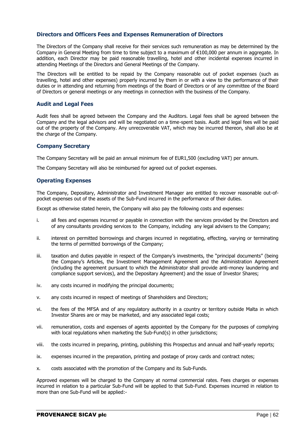#### **Directors and Officers Fees and Expenses Remuneration of Directors**

The Directors of the Company shall receive for their services such remuneration as may be determined by the Company in General Meeting from time to time subject to a maximum of €100,000 per annum in aggregate. In addition, each Director may be paid reasonable travelling, hotel and other incidental expenses incurred in attending Meetings of the Directors and General Meetings of the Company.

The Directors will be entitled to be repaid by the Company reasonable out of pocket expenses (such as travelling, hotel and other expenses) properly incurred by them in or with a view to the performance of their duties or in attending and returning from meetings of the Board of Directors or of any committee of the Board of Directors or general meetings or any meetings in connection with the business of the Company.

## **Audit and Legal Fees**

Audit fees shall be agreed between the Company and the Auditors. Legal fees shall be agreed between the Company and the legal advisors and will be negotiated on a time-spent basis. Audit and legal fees will be paid out of the property of the Company. Any unrecoverable VAT, which may be incurred thereon, shall also be at the charge of the Company.

#### **Company Secretary**

The Company Secretary will be paid an annual minimum fee of EUR1,500 (excluding VAT) per annum.

The Company Secretary will also be reimbursed for agreed out of pocket expenses.

## **Operating Expenses**

The Company, Depositary, Administrator and Investment Manager are entitled to recover reasonable out-ofpocket expenses out of the assets of the Sub-Fund incurred in the performance of their duties.

Except as otherwise stated herein, the Company will also pay the following costs and expenses:

- i. all fees and expenses incurred or payable in connection with the services provided by the Directors and of any consultants providing services to the Company, including any legal advisers to the Company;
- ii. interest on permitted borrowings and charges incurred in negotiating, effecting, varying or terminating the terms of permitted borrowings of the Company;
- iii. taxation and duties payable in respect of the Company's investments, the "principal documents" (being the Company's Articles, the Investment Management Agreement and the Administration Agreement (including the agreement pursuant to which the Administrator shall provide anti-money laundering and compliance support services), and the Depositary Agreement) and the issue of Investor Shares;
- iv. any costs incurred in modifying the principal documents;
- v. any costs incurred in respect of meetings of Shareholders and Directors;
- vi. the fees of the MFSA and of any regulatory authority in a country or territory outside Malta in which Investor Shares are or may be marketed, and any associated legal costs;
- vii. remuneration, costs and expenses of agents appointed by the Company for the purposes of complying with local regulations when marketing the Sub-Fund(s) in other jurisdictions;
- viii. the costs incurred in preparing, printing, publishing this Prospectus and annual and half-yearly reports;
- ix. expenses incurred in the preparation, printing and postage of proxy cards and contract notes;
- x. costs associated with the promotion of the Company and its Sub-Funds.

Approved expenses will be charged to the Company at normal commercial rates. Fees charges or expenses incurred in relation to a particular Sub-Fund will be applied to that Sub-Fund. Expenses incurred in relation to more than one Sub-Fund will be applied:-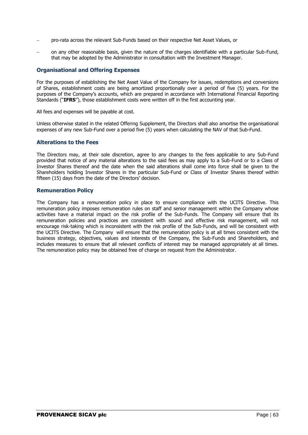- pro-rata across the relevant Sub-Funds based on their respective Net Asset Values, or
- on any other reasonable basis, given the nature of the charges identifiable with a particular Sub-Fund, that may be adopted by the Administrator in consultation with the Investment Manager.

## **Organisational and Offering Expenses**

For the purposes of establishing the Net Asset Value of the Company for issues, redemptions and conversions of Shares, establishment costs are being amortized proportionally over a period of five (5) years. For the purposes of the Company's accounts, which are prepared in accordance with International Financial Reporting Standards ("**IFRS**"), those establishment costs were written off in the first accounting year.

All fees and expenses will be payable at cost.

Unless otherwise stated in the related Offering Supplement, the Directors shall also amortise the organisational expenses of any new Sub-Fund over a period five (5) years when calculating the NAV of that Sub-Fund.

## **Alterations to the Fees**

The Directors may, at their sole discretion, agree to any changes to the fees applicable to any Sub-Fund provided that notice of any material alterations to the said fees as may apply to a Sub-Fund or to a Class of Investor Shares thereof and the date when the said alterations shall come into force shall be given to the Shareholders holding Investor Shares in the particular Sub-Fund or Class of Investor Shares thereof within fifteen (15) days from the date of the Directors' decision.

## **Remuneration Policy**

The Company has a remuneration policy in place to ensure compliance with the UCITS Directive. This remuneration policy imposes remuneration rules on staff and senior management within the Company whose activities have a material impact on the risk profile of the Sub-Funds. The Company will ensure that its remuneration policies and practices are consistent with sound and effective risk management, will not encourage risk-taking which is inconsistent with the risk profile of the Sub-Funds, and will be consistent with the UCITS Directive. The Company will ensure that the remuneration policy is at all times consistent with the business strategy, objectives, values and interests of the Company, the Sub-Funds and Shareholders, and includes measures to ensure that all relevant conflicts of interest may be managed appropriately at all times. The remuneration policy may be obtained free of charge on request from the Administrator.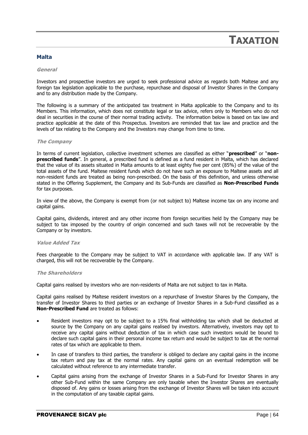## **TAXATION**

## **Malta**

#### **General**

Investors and prospective investors are urged to seek professional advice as regards both Maltese and any foreign tax legislation applicable to the purchase, repurchase and disposal of Investor Shares in the Company and to any distribution made by the Company.

The following is a summary of the anticipated tax treatment in Malta applicable to the Company and to its Members. This information, which does not constitute legal or tax advice, refers only to Members who do not deal in securities in the course of their normal trading activity. The information below is based on tax law and practice applicable at the date of this Prospectus. Investors are reminded that tax law and practice and the levels of tax relating to the Company and the Investors may change from time to time.

#### **The Company**

In terms of current legislation, collective investment schemes are classified as either "**prescribed**" or "**nonprescribed funds**". In general, a prescribed fund is defined as a fund resident in Malta, which has declared that the value of its assets situated in Malta amounts to at least eighty five per cent (85%) of the value of the total assets of the fund. Maltese resident funds which do not have such an exposure to Maltese assets and all non-resident funds are treated as being non-prescribed. On the basis of this definition, and unless otherwise stated in the Offering Supplement, the Company and its Sub-Funds are classified as **Non-Prescribed Funds** for tax purposes.

In view of the above, the Company is exempt from (or not subject to) Maltese income tax on any income and capital gains.

Capital gains, dividends, interest and any other income from foreign securities held by the Company may be subject to tax imposed by the country of origin concerned and such taxes will not be recoverable by the Company or by investors.

#### **Value Added Tax**

Fees chargeable to the Company may be subject to VAT in accordance with applicable law. If any VAT is charged, this will not be recoverable by the Company.

#### **The Shareholders**

Capital gains realised by investors who are non-residents of Malta are not subject to tax in Malta.

Capital gains realised by Maltese resident investors on a repurchase of Investor Shares by the Company, the transfer of Investor Shares to third parties or an exchange of Investor Shares in a Sub-Fund classified as a **Non-Prescribed Fund** are treated as follows:

- Resident investors may opt to be subject to a 15% final withholding tax which shall be deducted at source by the Company on any capital gains realised by investors. Alternatively, investors may opt to receive any capital gains without deduction of tax in which case such investors would be bound to declare such capital gains in their personal income tax return and would be subject to tax at the normal rates of tax which are applicable to them.
- In case of transfers to third parties, the transferor is obliged to declare any capital gains in the income tax return and pay tax at the normal rates. Any capital gains on an eventual redemption will be calculated without reference to any intermediate transfer.
- Capital gains arising from the exchange of Investor Shares in a Sub-Fund for Investor Shares in any other Sub-Fund within the same Company are only taxable when the Investor Shares are eventually disposed of. Any gains or losses arising from the exchange of Investor Shares will be taken into account in the computation of any taxable capital gains.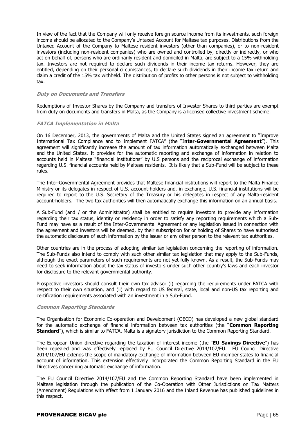In view of the fact that the Company will only receive foreign source income from its investments, such foreign income should be allocated to the Company's Untaxed Account for Maltese tax purposes. Distributions from the Untaxed Account of the Company to Maltese resident investors (other than companies), or to non-resident investors (including non-resident companies) who are owned and controlled by, directly or indirectly, or who act on behalf of, persons who are ordinarily resident and domiciled in Malta, are subject to a 15% withholding tax. Investors are not required to declare such dividends in their income tax returns. However, they are entitled, depending on their personal circumstances, to declare such dividends in their income tax return and claim a credit of the 15% tax withheld. The distribution of profits to other persons is not subject to withholding tax.

#### **Duty on Documents and Transfers**

Redemptions of Investor Shares by the Company and transfers of Investor Shares to third parties are exempt from duty on documents and transfers in Malta, as the Company is a licensed collective investment scheme.

#### **FATCA Implementation in Malta**

On 16 December, 2013, the governments of Malta and the United States signed an agreement to "Improve International Tax Compliance and to Implement FATCA" (the "I**nter-Governmental Agreement**"). This agreement will significantly increase the amount of tax information automatically exchanged between Malta and the United States. It provides for the automatic reporting and exchange of information in relation to accounts held in Maltese "financial institutions" by U.S persons and the reciprocal exchange of information regarding U.S. financial accounts held by Maltese residents. It is likely that a Sub-Fund will be subject to these rules.

The Inter-Governmental Agreement provides that Maltese financial institutions will report to the Malta Finance Ministry or its delegates in respect of U.S. account-holders and, in exchange, U.S. financial institutions will be required to report to the U.S. Secretary of the Treasury or his delegates in respect of any Malta-resident account-holders. The two tax authorities will then automatically exchange this information on an annual basis.

A Sub-Fund (and / or the Administrator) shall be entitled to require investors to provide any information regarding their tax status, identity or residency in order to satisfy any reporting requirements which a Sub-Fund may have as a result of the Inter-Governmental Agreement or any legislation issued in connection with the agreement and investors will be deemed, by their subscription for or holding of Shares to have authorised the automatic disclosure of such information by the issuer or any other person to the relevant tax authorities.

Other countries are in the process of adopting similar tax legislation concerning the reporting of information. The Sub-Funds also intend to comply with such other similar tax legislation that may apply to the Sub-Funds, although the exact parameters of such requirements are not yet fully known. As a result, the Sub-Funds may need to seek information about the tax status of investors under such other country's laws and each investor for disclosure to the relevant governmental authority.

Prospective investors should consult their own tax advisor (i) regarding the requirements under FATCA with respect to their own situation, and (ii) with regard to US federal, state, local and non-US tax reporting and certification requirements associated with an investment in a Sub-Fund.

#### **Common Reporting Standards**

The Organisation for Economic Co-operation and Development (OECD) has developed a new global standard for the automatic exchange of financial information between tax authorities (the "**Common Reporting Standard**"), which is similar to FATCA. Malta is a signatory jurisdiction to the Common Reporting Standard.

The European Union directive regarding the taxation of interest income (the "**EU Savings Directive**") has been repealed and was effectively replaced by EU Council Directive 2014/107/EU. EU Council Directive 2014/107/EU extends the scope of mandatory exchange of information between EU member states to financial account of information. This extension effectively incorporated the Common Reporting Standard in the EU Directives concerning automatic exchange of information.

The EU Council Directive 2014/107/EU and the Common Reporting Standard have been implemented in Maltese legislation through the publication of the Co-Operation with Other Jurisdictions on Tax Matters (Amendment) Regulations with effect from 1 January 2016 and the Inland Revenue has published guidelines in this respect.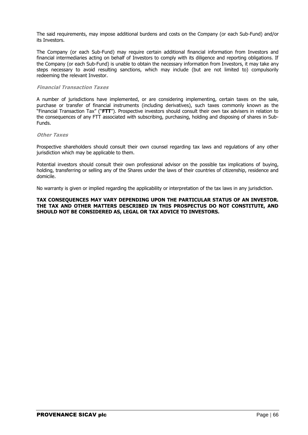The said requirements, may impose additional burdens and costs on the Company (or each Sub-Fund) and/or its Investors.

The Company (or each Sub-Fund) may require certain additional financial information from Investors and financial intermediaries acting on behalf of Investors to comply with its diligence and reporting obligations. If the Company (or each Sub-Fund) is unable to obtain the necessary information from Investors, it may take any steps necessary to avoid resulting sanctions, which may include (but are not limited to) compulsorily redeeming the relevant Investor.

#### **Financial Transaction Taxes**

A number of jurisdictions have implemented, or are considering implementing, certain taxes on the sale, purchase or transfer of financial instruments (including derivatives), such taxes commonly known as the "Financial Transaction Tax" ("**FTT**"). Prospective investors should consult their own tax advisers in relation to the consequences of any FTT associated with subscribing, purchasing, holding and disposing of shares in Sub-Funds.

#### **Other Taxes**

Prospective shareholders should consult their own counsel regarding tax laws and regulations of any other jurisdiction which may be applicable to them.

Potential investors should consult their own professional advisor on the possible tax implications of buying, holding, transferring or selling any of the Shares under the laws of their countries of citizenship, residence and domicile.

No warranty is given or implied regarding the applicability or interpretation of the tax laws in any jurisdiction.

#### **TAX CONSEQUENCES MAY VARY DEPENDING UPON THE PARTICULAR STATUS OF AN INVESTOR. THE TAX AND OTHER MATTERS DESCRIBED IN THIS PROSPECTUS DO NOT CONSTITUTE, AND SHOULD NOT BE CONSIDERED AS, LEGAL OR TAX ADVICE TO INVESTORS.**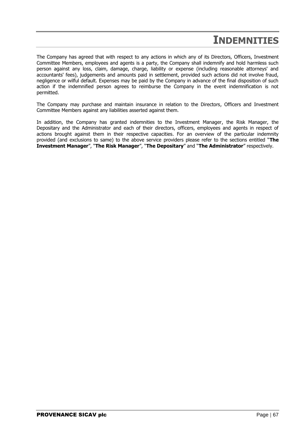## **INDEMNITIES**

The Company has agreed that with respect to any actions in which any of its Directors, Officers, Investment Committee Members, employees and agents is a party, the Company shall indemnify and hold harmless such person against any loss, claim, damage, charge, liability or expense (including reasonable attorneys' and accountants' fees), judgements and amounts paid in settlement, provided such actions did not involve fraud, negligence or wilful default. Expenses may be paid by the Company in advance of the final disposition of such action if the indemnified person agrees to reimburse the Company in the event indemnification is not permitted.

The Company may purchase and maintain insurance in relation to the Directors, Officers and Investment Committee Members against any liabilities asserted against them.

In addition, the Company has granted indemnities to the Investment Manager, the Risk Manager, the Depositary and the Administrator and each of their directors, officers, employees and agents in respect of actions brought against them in their respective capacities. For an overview of the particular indemnity provided (and exclusions to same) to the above service providers please refer to the sections entitled "**The Investment Manager**", "**The Risk Manager**", "**The Depositary**" and "**The Administrator**" respectively.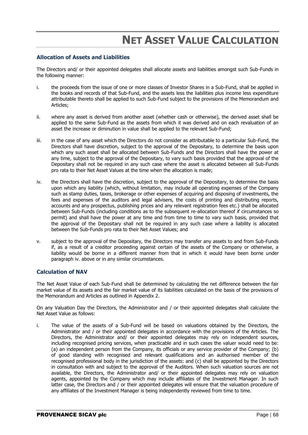# **NET ASSET VALUE CALCULATION**

## **Allocation of Assets and Liabilities**

The Directors and/ or their appointed delegates shall allocate assets and liabilities amongst such Sub-Funds in the following manner:

- i. the proceeds from the issue of one or more classes of Investor Shares in a Sub-Fund, shall be applied in the books and records of that Sub-Fund, and the assets less the liabilities plus income less expenditure attributable thereto shall be applied to such Sub-Fund subject to the provisions of the Memorandum and Articles;
- ii. where any asset is derived from another asset (whether cash or otherwise), the derived asset shall be applied to the same Sub-Fund as the assets from which it was derived and on each revaluation of an asset the increase or diminution in value shall be applied to the relevant Sub-Fund;
- iii. in the case of any asset which the Directors do not consider as attributable to a particular Sub-Fund, the Directors shall have discretion, subject to the approval of the Depositary, to determine the basis upon which any such asset shall be allocated between Sub-Funds and the Directors shall have the power at any time, subject to the approval of the Depositary, to vary such basis provided that the approval of the Depositary shall not be required in any such case where the asset is allocated between all Sub-Funds pro rata to their Net Asset Values at the time when the allocation is made;
- iv. the Directors shall have the discretion, subject to the approval of the Depositary, to determine the basis upon which any liability (which, without limitation, may include all operating expenses of the Company such as stamp duties, taxes, brokerage or other expenses of acquiring and disposing of investments, the fees and expenses of the auditors and legal advisers, the costs of printing and distributing reports, accounts and any prospectus, publishing prices and any relevant registration fees etc.) shall be allocated between Sub-Funds (including conditions as to the subsequent re-allocation thereof if circumstances so permit) and shall have the power at any time and from time to time to vary such basis, provided that the approval of the Depositary shall not be required in any such case where a liability is allocated between the Sub-Funds pro rata to their Net Asset Values; and
- v. subject to the approval of the Depositary, the Directors may transfer any assets to and from Sub-Funds if, as a result of a creditor proceeding against certain of the assets of the Company or otherwise, a liability would be borne in a different manner from that in which it would have been borne under paragraph iv. above or in any similar circumstances.

## **Calculation of NAV**

The Net Asset Value of each Sub-Fund shall be determined by calculating the net difference between the fair market value of its assets and the fair market value of its liabilities calculated on the basis of the provisions of the Memorandum and Articles as outlined in Appendix 2.

On any Valuation Day the Directors, the Administrator and / or their appointed delegates shall calculate the Net Asset Value as follows:

i. The value of the assets of a Sub-Fund will be based on valuations obtained by the Directors, the Administrator and / or their appointed delegates in accordance with the provisions of the Articles. The Directors, the Administrator and/ or their appointed delegates may rely on independent sources, including recognised pricing services, when practicable and in such cases the valuer would need to be: (a) an independent person from the Company, its officials or any service provider of the Company; (b) of good standing with recognised and relevant qualifications and an authorised member of the recognised professional body in the jurisdiction of the assets: and (c) shall be appointed by the Directors in consultation with and subject to the approval of the Auditors. When such valuation sources are not available, the Directors, the Administrator and/ or their appointed delegates may rely on valuation agents, appointed by the Company which may include affiliates of the Investment Manager. In such latter case, the Directors and / or their appointed delegates will ensure that the valuation procedure of any affiliates of the Investment Manager is being independently reviewed from time to time.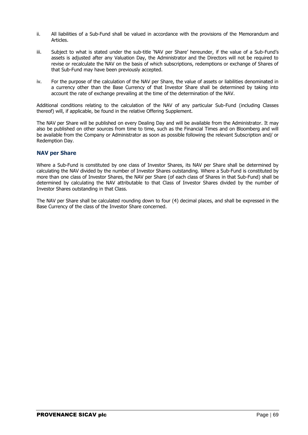- ii. All liabilities of a Sub-Fund shall be valued in accordance with the provisions of the Memorandum and Articles.
- iii. Subject to what is stated under the sub-title 'NAV per Share' hereunder, if the value of a Sub-Fund's assets is adjusted after any Valuation Day, the Administrator and the Directors will not be required to revise or recalculate the NAV on the basis of which subscriptions, redemptions or exchange of Shares of that Sub-Fund may have been previously accepted.
- iv. For the purpose of the calculation of the NAV per Share, the value of assets or liabilities denominated in a currency other than the Base Currency of that Investor Share shall be determined by taking into account the rate of exchange prevailing at the time of the determination of the NAV.

Additional conditions relating to the calculation of the NAV of any particular Sub-Fund (including Classes thereof) will, if applicable, be found in the relative Offering Supplement.

The NAV per Share will be published on every Dealing Day and will be available from the Administrator. It may also be published on other sources from time to time, such as the Financial Times and on Bloomberg and will be available from the Company or Administrator as soon as possible following the relevant Subscription and/ or Redemption Day.

## **NAV per Share**

Where a Sub-Fund is constituted by one class of Investor Shares, its NAV per Share shall be determined by calculating the NAV divided by the number of Investor Shares outstanding. Where a Sub-Fund is constituted by more than one class of Investor Shares, the NAV per Share (of each class of Shares in that Sub-Fund) shall be determined by calculating the NAV attributable to that Class of Investor Shares divided by the number of Investor Shares outstanding in that Class.

The NAV per Share shall be calculated rounding down to four (4) decimal places, and shall be expressed in the Base Currency of the class of the Investor Share concerned.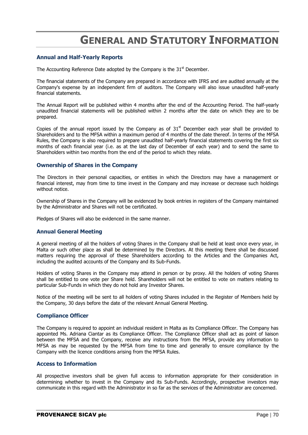# **GENERAL AND STATUTORY INFORMATION**

#### **Annual and Half-Yearly Reports**

The Accounting Reference Date adopted by the Company is the  $31<sup>st</sup>$  December.

The financial statements of the Company are prepared in accordance with IFRS and are audited annually at the Company's expense by an independent firm of auditors. The Company will also issue unaudited half-yearly financial statements.

The Annual Report will be published within 4 months after the end of the Accounting Period. The half-yearly unaudited financial statements will be published within 2 months after the date on which they are to be prepared.

Copies of the annual report issued by the Company as of  $31<sup>st</sup>$  December each year shall be provided to Shareholders and to the MFSA within a maximum period of 4 months of the date thereof. In terms of the MFSA Rules, the Company is also required to prepare unaudited half-yearly financial statements covering the first six months of each financial year (i.e. as at the last day of December of each year) and to send the same to Shareholders within two months from the end of the period to which they relate.

#### **Ownership of Shares in the Company**

The Directors in their personal capacities, or entities in which the Directors may have a management or financial interest, may from time to time invest in the Company and may increase or decrease such holdings without notice.

Ownership of Shares in the Company will be evidenced by book entries in registers of the Company maintained by the Administrator and Shares will not be certificated.

Pledges of Shares will also be evidenced in the same manner.

## **Annual General Meeting**

A general meeting of all the holders of voting Shares in the Company shall be held at least once every year, in Malta or such other place as shall be determined by the Directors. At this meeting there shall be discussed matters requiring the approval of these Shareholders according to the Articles and the Companies Act, including the audited accounts of the Company and its Sub-Funds.

Holders of voting Shares in the Company may attend in person or by proxy. All the holders of voting Shares shall be entitled to one vote per Share held. Shareholders will not be entitled to vote on matters relating to particular Sub-Funds in which they do not hold any Investor Shares.

Notice of the meeting will be sent to all holders of voting Shares included in the Register of Members held by the Company, 30 days before the date of the relevant Annual General Meeting.

#### **Compliance Officer**

The Company is required to appoint an individual resident in Malta as its Compliance Officer. The Company has appointed Ms. Adriana Ciantar as its Compliance Officer. The Compliance Officer shall act as point of liaison between the MFSA and the Company, receive any instructions from the MFSA, provide any information to MFSA as may be requested by the MFSA from time to time and generally to ensure compliance by the Company with the licence conditions arising from the MFSA Rules.

#### **Access to Information**

All prospective investors shall be given full access to information appropriate for their consideration in determining whether to invest in the Company and its Sub-Funds. Accordingly, prospective investors may communicate in this regard with the Administrator in so far as the services of the Administrator are concerned.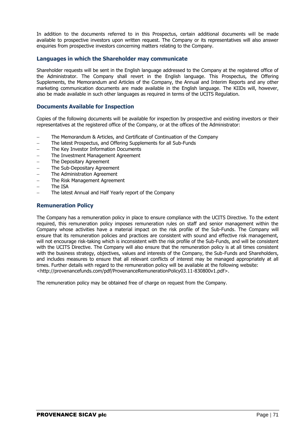In addition to the documents referred to in this Prospectus, certain additional documents will be made available to prospective investors upon written request. The Company or its representatives will also answer enquiries from prospective investors concerning matters relating to the Company.

## **Languages in which the Shareholder may communicate**

Shareholder requests will be sent in the English language addressed to the Company at the registered office of the Administrator. The Company shall revert in the English language. This Prospectus, the Offering Supplements, the Memorandum and Articles of the Company, the Annual and Interim Reports and any other marketing communication documents are made available in the English language. The KIIDs will, however, also be made available in such other languages as required in terms of the UCITS Regulation.

## **Documents Available for Inspection**

Copies of the following documents will be available for inspection by prospective and existing investors or their representatives at the registered office of the Company, or at the offices of the Administrator:

- The Memorandum & Articles, and Certificate of Continuation of the Company
- The latest Prospectus, and Offering Supplements for all Sub-Funds
- The Key Investor Information Documents
- The Investment Management Agreement
- The Depositary Agreement
- The Sub-Depositary Agreement
- The Administration Agreement
- The Risk Management Agreement
- The ISA
- The latest Annual and Half Yearly report of the Company

## **Remuneration Policy**

The Company has a remuneration policy in place to ensure compliance with the UCITS Directive. To the extent required, this remuneration policy imposes remuneration rules on staff and senior management within the Company whose activities have a material impact on the risk profile of the Sub-Funds. The Company will ensure that its remuneration policies and practices are consistent with sound and effective risk management, will not encourage risk-taking which is inconsistent with the risk profile of the Sub-Funds, and will be consistent with the UCITS Directive. The Company will also ensure that the remuneration policy is at all times consistent with the business strategy, objectives, values and interests of the Company, the Sub-Funds and Shareholders, and includes measures to ensure that all relevant conflicts of interest may be managed appropriately at all times. Further details with regard to the remuneration policy will be available at the following website: [<http://provenancefunds.com/pdf/ProvenanceRemunerationPolicy03.11-830800v1.pdf>](http://scanmail.trustwave.com/?c=4015&d=n5iG2_itkGu1R0GQcI-golYuKqV8JyOnzODi3HCZCA&u=http%3a%2f%2fprovenancefunds%2ecom%2fpdf%2fProvenanceRemunerationPolicy03%2e11-830800v1%2epdf).

The remuneration policy may be obtained free of charge on request from the Company.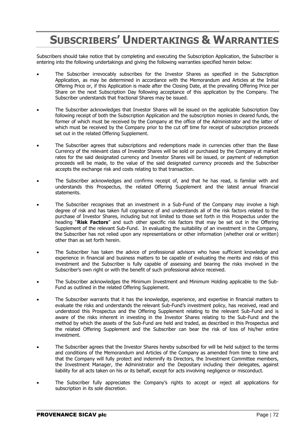# **SUBSCRIBERS' UNDERTAKINGS & WARRANTIES**

Subscribers should take notice that by completing and executing the Subscription Application, the Subscriber is entering into the following undertakings and giving the following warranties specified herein below:

- The Subscriber irrevocably subscribes for the Investor Shares as specified in the Subscription Application, as may be determined in accordance with the Memorandum and Articles at the Initial Offering Price or, if this Application is made after the Closing Date, at the prevailing Offering Price per Share on the next Subscription Day following acceptance of this application by the Company. The Subscriber understands that fractional Shares may be issued.
- The Subscriber acknowledges that Investor Shares will be issued on the applicable Subscription Day following receipt of both the Subscription Application and the subscription monies in cleared funds, the former of which must be received by the Company at the office of the Administrator and the latter of which must be received by the Company prior to the cut off time for receipt of subscription proceeds set out in the related Offering Supplement.
- The Subscriber agrees that subscriptions and redemptions made in currencies other than the Base Currency of the relevant class of Investor Shares will be sold or purchased by the Company at market rates for the said designated currency and Investor Shares will be issued, or payment of redemption proceeds will be made, to the value of the said designated currency proceeds and the Subscriber accepts the exchange risk and costs relating to that transaction.
- The Subscriber acknowledges and confirms receipt of, and that he has read, is familiar with and understands this Prospectus, the related Offering Supplement and the latest annual financial statements.
- The Subscriber recognises that an investment in a Sub-Fund of the Company may involve a high degree of risk and has taken full cognisance of and understands all of the risk factors related to the purchase of Investor Shares, including but not limited to those set forth in this Prospectus under the heading "**Risk Factors**" and such other specific risk factors that may be set out in the Offering Supplement of the relevant Sub-Fund. In evaluating the suitability of an investment in the Company, the Subscriber has not relied upon any representations or other information (whether oral or written) other than as set forth herein.
- The Subscriber has taken the advice of professional advisors who have sufficient knowledge and experience in financial and business matters to be capable of evaluating the merits and risks of this investment and the Subscriber is fully capable of assessing and bearing the risks involved in the Subscriber's own right or with the benefit of such professional advice received.
- The Subscriber acknowledges the Minimum Investment and Minimum Holding applicable to the Sub-Fund as outlined in the related Offering Supplement.
- The Subscriber warrants that it has the knowledge, experience, and expertise in financial matters to evaluate the risks and understands the relevant Sub-Fund's investment policy, has received, read and understood this Prospectus and the Offering Supplement relating to the relevant Sub-Fund and is aware of the risks inherent in investing in the Investor Shares relating to the Sub-Fund and the method by which the assets of the Sub-Fund are held and traded, as described in this Prospectus and the related Offering Supplement and the Subscriber can bear the risk of loss of his/her entire investment.
- The Subscriber agrees that the Investor Shares hereby subscribed for will be held subject to the terms and conditions of the Memorandum and Articles of the Company as amended from time to time and that the Company will fully protect and indemnify its Directors, the Investment Committee members, the Investment Manager, the Administrator and the Depositary including their delegates, against liability for all acts taken on his or its behalf, except for acts involving negligence or misconduct.
- The Subscriber fully appreciates the Company's rights to accept or reject all applications for subscription in its sole discretion.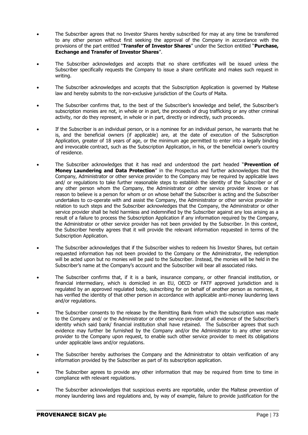- The Subscriber agrees that no Investor Shares hereby subscribed for may at any time be transferred to any other person without first seeking the approval of the Company in accordance with the provisions of the part entitled "**Transfer of Investor Shares**" under the Section entitled "**Purchase, Exchange and Transfer of Investor Shares**".
- The Subscriber acknowledges and accepts that no share certificates will be issued unless the Subscriber specifically requests the Company to issue a share certificate and makes such request in writing.
- The Subscriber acknowledges and accepts that the Subscription Application is governed by Maltese law and hereby submits to the non-exclusive jurisdiction of the Courts of Malta.
- The Subscriber confirms that, to the best of the Subscriber's knowledge and belief, the Subscriber's subscription monies are not, in whole or in part, the proceeds of drug trafficking or any other criminal activity, nor do they represent, in whole or in part, directly or indirectly, such proceeds.
- If the Subscriber is an individual person, or is a nominee for an individual person, he warrants that he is, and the beneficial owners (if applicable) are, at the date of execution of the Subscription Application, greater of 18 years of age, or the minimum age permitted to enter into a legally binding and irrevocable contract, such as the Subscription Application, in his, or the beneficial owner's country of residence.
- The Subscriber acknowledges that it has read and understood the part headed "**Prevention of Money Laundering and Data Protection**" in the Prospectus and further acknowledges that the Company, Administrator or other service provider to the Company may be required by applicable laws and/ or regulations to take further reasonable steps to establish the identity of the Subscriber or of any other person whom the Company, the Administrator or other service provider knows or has reason to believe is a person for whom or on whose behalf the Subscriber is acting and the Subscriber undertakes to co-operate with and assist the Company, the Administrator or other service provider in relation to such steps and the Subscriber acknowledges that the Company, the Administrator or other service provider shall be held harmless and indemnified by the Subscriber against any loss arising as a result of a failure to process the Subscription Application if any information required by the Company, the Administrator or other service provider has not been provided by the Subscriber. In this context, the Subscriber hereby agrees that it will provide the relevant information requested in terms of the Subscription Application.
- The Subscriber acknowledges that if the Subscriber wishes to redeem his Investor Shares, but certain requested information has not been provided to the Company or the Administrator, the redemption will be acted upon but no monies will be paid to the Subscriber. Instead, the monies will be held in the Subscriber's name at the Company's account and the Subscriber will bear all associated risks.
- The Subscriber confirms that, if it is a bank, insurance company, or other financial institution, or financial intermediary, which is domiciled in an EU, OECD or FATF approved jurisdiction and is regulated by an approved regulated body, subscribing for on behalf of another person as nominee, it has verified the identity of that other person in accordance with applicable anti-money laundering laws and/or regulations.
- The Subscriber consents to the release by the Remitting Bank from which the subscription was made to the Company and/ or the Administrator or other service provider of all evidence of the Subscriber's identity which said bank/ financial institution shall have retained. The Subscriber agrees that such evidence may further be furnished by the Company and/or the Administrator to any other service provider to the Company upon request, to enable such other service provider to meet its obligations under applicable laws and/or regulations.
- The Subscriber hereby authorises the Company and the Administrator to obtain verification of any information provided by the Subscriber as part of its subscription application.
- The Subscriber agrees to provide any other information that may be required from time to time in compliance with relevant regulations.
- The Subscriber acknowledges that suspicious events are reportable, under the Maltese prevention of money laundering laws and regulations and, by way of example, failure to provide justification for the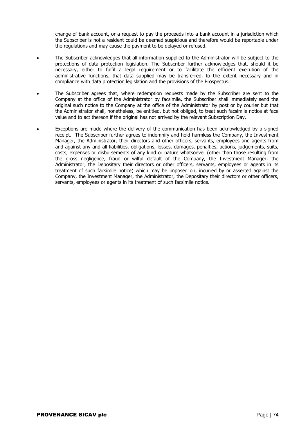change of bank account, or a request to pay the proceeds into a bank account in a jurisdiction which the Subscriber is not a resident could be deemed suspicious and therefore would be reportable under the regulations and may cause the payment to be delayed or refused.

- The Subscriber acknowledges that all information supplied to the Administrator will be subject to the protections of data protection legislation. The Subscriber further acknowledges that, should it be necessary, either to fulfil a legal requirement or to facilitate the efficient execution of the administrative functions, that data supplied may be transferred, to the extent necessary and in compliance with data protection legislation and the provisions of the Prospectus.
- The Subscriber agrees that, where redemption requests made by the Subscriber are sent to the Company at the office of the Administrator by facsimile, the Subscriber shall immediately send the original such notice to the Company at the office of the Administrator by post or by courier but that the Administrator shall, nonetheless, be entitled, but not obliged, to treat such facsimile notice at face value and to act thereon if the original has not arrived by the relevant Subscription Day.
- Exceptions are made where the delivery of the communication has been acknowledged by a signed receipt. The Subscriber further agrees to indemnify and hold harmless the Company, the Investment Manager, the Administrator, their directors and other officers, servants, employees and agents from and against any and all liabilities, obligations, losses, damages, penalties, actions, judgements, suits, costs, expenses or disbursements of any kind or nature whatsoever (other than those resulting from the gross negligence, fraud or wilful default of the Company, the Investment Manager, the Administrator, the Depositary their directors or other officers, servants, employees or agents in its treatment of such facsimile notice) which may be imposed on, incurred by or asserted against the Company, the Investment Manager, the Administrator, the Depositary their directors or other officers, servants, employees or agents in its treatment of such facsimile notice.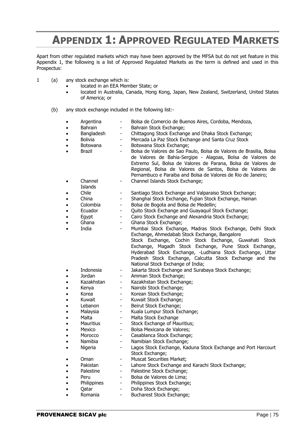## **APPENDIX 1: APPROVED REGULATED MARKETS**

Apart from other regulated markets which may have been approved by the MFSA but do not yet feature in this Appendix 1, the following is a list of Approved Regulated Markets as the term is defined and used in this Prospectus:

- 1 (a) any stock exchange which is:
	- located in an EEA Member State; or
	- located in Australia, Canada, Hong Kong, Japan, New Zealand, Switzerland, United States of America; or
	- (b) any stock exchange included in the following list:-
		- Argentina Bolsa de Comercio de Buenos Aires, Cordoba, Mendoza,
		- Bahrain Bahrain Stock Exchange;
		- Bangladesh Chittagong Stock Exchange and Dhaka Stock Exchange:
			- Bolivia  **Mercada La Paz Stock Exchange and Santa Cruz Stock**
		- Botswana Botswana Stock Exchange;
		- Brazil <sup>-</sup> Bolsa de Valores de Sao Paulo, Bolsa de Valores de Brasilia, Bolsa de Valores de Bahia-Sergipe - Alagoas, Bolsa de Valores de Extremo Sul, Bolsa de Valores de Parana, Bolsa de Valores de Regional, Bolsa de Valores de Santos, Bolsa de Valores de Pernambuco e Paraiba and Bolsa de Valores de Rio de Janeiro;
			- Channel - Channel Islands Stock Exchange;
		- Islands Chile - Santiago Stock Exchange and Valparaiso Stock Exchange;
			- China Shanghai Stock Exchange, Fujian Stock Exchange, Hainan
			- Colombia Bolsa de Bogota and Bolsa de Medellin;
			- Ecuador Quito Stock Exchange and Guayaquil Stock Exchange;
			- Egypt Cairo Stock Exchange and Alexandria Stock Exchange;
			- Ghana Ghana Stock Exchange;
			- India Mumbai Stock Exchange, Madras Stock Exchange, Delhi Stock Exchange, Ahmedabab Stock Exchange, Bangalore Stock Exchange, Cochin Stock Exchange, Guwahati Stock Exchange, Magadh Stock Exchange, Pune Stock Exchange, Hyderabad Stock Exchange, -Ludhiana Stock Exchange, Uttar Pradesh Stock Exchange, Calcutta Stock Exchange and the National Stock Exchange of India; Indonesia - Jakarta Stock Exchange and Surabaya Stock Exchange;
				- Jordan Amman Stock Exchange;
					-
				- Kazakhstan Kazakhstan Stock Exchange;
		- Kenya Nairobi Stock Exchange;
		- Korea Korean Stock Exchange;
		- Kuwait Kuwait Stock Exchange:
		- Lebanon Beirut Stock Exchange;
		- Malaysia Kuala Lumpur Stock Exchange;
		- Malta Malta Stock Exchange
		- Mauritius **-** Stock Exchange of Mauritius;
		- Mexico Bolsa Mexicana de Valores;
		- Morocco Casablanca Stock Exchange;
		- Namibia Namibian Stock Exchange;
		- Nigeria  **Lagos Stock Exchange, Kaduna Stock Exchange and Port Harcourt**
		-
		- Oman Muscat Securities Market;
		- Pakistan Lahore Stock Exchange and Karachi Stock Exchange:
		- Palestine Palestine Stock Exchange:
		- Peru Bolsa de Valores de Lima:
			- Philippines Philippines Stock Exchange:
				- Oatar Doha Stock Exchange:
			- - Romania Bucharest Stock Exchange;

Stock Exchange;

**PROVENANCE SICAV plc Page 175**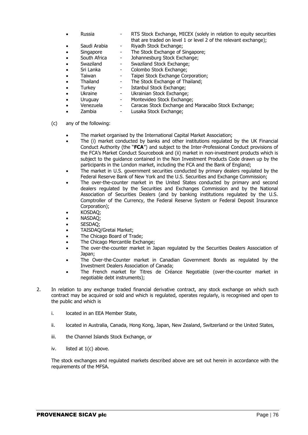- Russia  **RTS Stock Exchange, MICEX (solely in relation to equity securities** that are traded on level 1 or level 2 of the relevant exchange);
	- Saudi Arabia Riyadh Stock Exchange;
		- Singapore The Stock Exchange of Singapore;
		- South Africa Johannesburg Stock Exchange;
	- Swaziland Swaziland Stock Exchange:
- Sri Lanka Colombo Stock Exchange;
- Taiwan Taipei Stock Exchange Corporation;
- 
- 
- Thailand The Stock Exchange of Thailand;<br>
Turkev Istanbul Stock Exchange; Turkey - Istanbul Stock Exchange;<br>Ukraine - Ukrainian Stock Exchange - Ukrainian Stock Exchange;
- - Uruguay Montevideo Stock Exchange;
- Venezuela Caracas Stock Exchange and Maracaibo Stock Exchange;
	- Zambia  $-$  Lusaka Stock Exchange;
- 
- (c) any of the following:
	- The market organised by the International Capital Market Association;
	- The (i) market conducted by banks and other institutions regulated by the UK Financial Conduct Authority (the "**FCA**") and subject to the Inter-Professional Conduct provisions of the FCA's Market Conduct Sourcebook and (ii) market in non-investment products which is subject to the guidance contained in the Non Investment Products Code drawn up by the participants in the London market, including the FCA and the Bank of England;
	- The market in U.S. government securities conducted by primary dealers regulated by the Federal Reserve Bank of New York and the U.S. Securities and Exchange Commission;
	- The over-the-counter market in the United States conducted by primary and second dealers regulated by the Securities and Exchanges Commission and by the National Association of Securities Dealers (and by banking institutions regulated by the U.S. Comptroller of the Currency, the Federal Reserve System or Federal Deposit Insurance Corporation);
	- KOSDAQ;
	- NASDAQ;
	- SESDAQ;
	- TAISDAQ/Gretai Market;
	- The Chicago Board of Trade;
	- The Chicago Mercantile Exchange;
	- The over-the-counter market in Japan regulated by the Securities Dealers Association of Japan;
	- The Over-the-Counter market in Canadian Government Bonds as regulated by the Investment Dealers Association of Canada;
	- The French market for Titres de Créance Negotiable (over-the-counter market in negotiable debt instruments);
- 2. In relation to any exchange traded financial derivative contract, any stock exchange on which such contract may be acquired or sold and which is regulated, operates regularly, is recognised and open to the public and which is
	- i. located in an EEA Member State,
	- ii. located in Australia, Canada, Hong Kong, Japan, New Zealand, Switzerland or the United States,
	- iii. the Channel Islands Stock Exchange, or
	- iv. listed at 1(c) above.

The stock exchanges and regulated markets described above are set out herein in accordance with the requirements of the MFSA.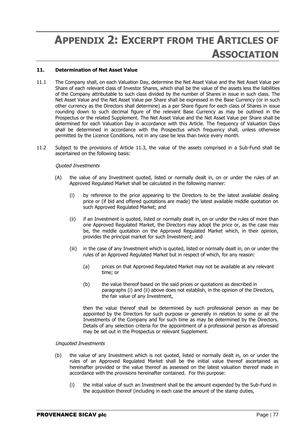# **APPENDIX 2: EXCERPT FROM THE ARTICLES OF ASSOCIATION**

### **11. Determination of Net Asset Value**

- 11.1 The Company shall, on each Valuation Day, determine the Net Asset Value and the Net Asset Value per Share of each relevant class of Investor Shares, which shall be the value of the assets less the liabilities of the Company attributable to such class divided by the number of Shares in issue in such class. The Net Asset Value and the Net Asset Value per Share shall be expressed in the Base Currency (or in such other currency as the Directors shall determine) as a per Share figure for each class of Shares in issue rounding down to such decimal figure of the relevant Base Currency as may be outlined in the Prospectus or the related Supplement. The Net Asset Value and the Net Asset Value per Share shall be determined for each Valuation Day in accordance with this Article. The frequency of Valuation Days shall be determined in accordance with the Prospectus which frequency shall, unless otherwise permitted by the Licence Conditions, not in any case be less than twice every month.
- 11.2 Subject to the provisions of Article 11.3, the value of the assets comprised in a Sub-Fund shall be ascertained on the following basis:

#### Quoted Investments

- (A) the value of any Investment quoted, listed or normally dealt in, on or under the rules of an Approved Regulated Market shall be calculated in the following manner:
	- (i) by reference to the price appearing to the Directors to be the latest available dealing price or (if bid and offered quotations are made) the latest available middle quotation on such Approved Regulated Market; and
	- (ii) if an Investment is quoted, listed or normally dealt in, on or under the rules of more than one Approved Regulated Market, the Directors may adopt the price or, as the case may be, the middle quotation on the Approved Regulated Market which, in their opinion, provides the principal market for such Investment; and
	- (iii) in the case of any Investment which is quoted, listed or normally dealt in, on or under the rules of an Approved Regulated Market but in respect of which, for any reason:
		- (a) prices on that Approved Regulated Market may not be available at any relevant time; or
		- (b) the value thereof based on the said prices or quotations as described in paragraphs (i) and (ii) above does not establish, in the opinion of the Directors, the fair value of any Investment,

then the value thereof shall be determined by such professional person as may be appointed by the Directors for such purpose or generally in relation to some or all the Investments of the Company and for such time as may be determined by the Directors. Details of any selection criteria for the appointment of a professional person as aforesaid may be set out in the Prospectus or relevant Supplement.

#### Unquoted Investments

- (b) the value of any Investment which is not quoted, listed or normally dealt in, on or under the rules of an Approved Regulated Market shall be the initial value thereof ascertained as hereinafter provided or the value thereof as assessed on the latest valuation thereof made in accordance with the provisions hereinafter contained. For this purpose:
	- (i) the initial value of such an Investment shall be the amount expended by the Sub-Fund in the acquisition thereof (including in each case the amount of the stamp duties,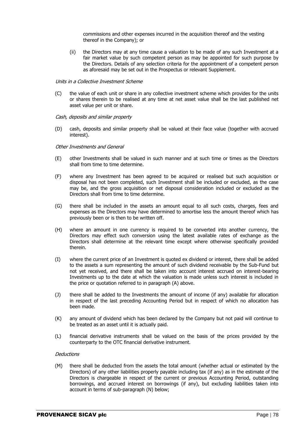commissions and other expenses incurred in the acquisition thereof and the vesting thereof in the Company); or

(ii) the Directors may at any time cause a valuation to be made of any such Investment at a fair market value by such competent person as may be appointed for such purpose by the Directors. Details of any selection criteria for the appointment of a competent person as aforesaid may be set out in the Prospectus or relevant Supplement.

#### Units in a Collective Investment Scheme

(C) the value of each unit or share in any collective investment scheme which provides for the units or shares therein to be realised at any time at net asset value shall be the last published net asset value per unit or share.

#### Cash, deposits and similar property

(D) cash, deposits and similar property shall be valued at their face value (together with accrued interest).

#### Other Investments and General

- (E) other Investments shall be valued in such manner and at such time or times as the Directors shall from time to time determine.
- (F) where any Investment has been agreed to be acquired or realised but such acquisition or disposal has not been completed, such Investment shall be included or excluded, as the case may be, and the gross acquisition or net disposal consideration included or excluded as the Directors shall from time to time determine.
- (G) there shall be included in the assets an amount equal to all such costs, charges, fees and expenses as the Directors may have determined to amortise less the amount thereof which has previously been or is then to be written off.
- (H) where an amount in one currency is required to be converted into another currency, the Directors may effect such conversion using the latest available rates of exchange as the Directors shall determine at the relevant time except where otherwise specifically provided therein.
- (I) where the current price of an Investment is quoted ex dividend or interest, there shall be added to the assets a sum representing the amount of such dividend receivable by the Sub-Fund but not yet received, and there shall be taken into account interest accrued on interest-bearing Investments up to the date at which the valuation is made unless such interest is included in the price or quotation referred to in paragraph (A) above.
- (J) there shall be added to the Investments the amount of income (if any) available for allocation in respect of the last preceding Accounting Period but in respect of which no allocation has been made.
- (K) any amount of dividend which has been declared by the Company but not paid will continue to be treated as an asset until it is actually paid.
- (L) financial derivative instruments shall be valued on the basis of the prices provided by the counterparty to the OTC financial derivative instrument.

#### **Deductions**

(M) there shall be deducted from the assets the total amount (whether actual or estimated by the Directors) of any other liabilities properly payable including tax (if any) as in the estimate of the Directors is chargeable in respect of the current or previous Accounting Period, outstanding borrowings, and accrued interest on borrowings (if any), but excluding liabilities taken into account in terms of sub-paragraph (N) below;